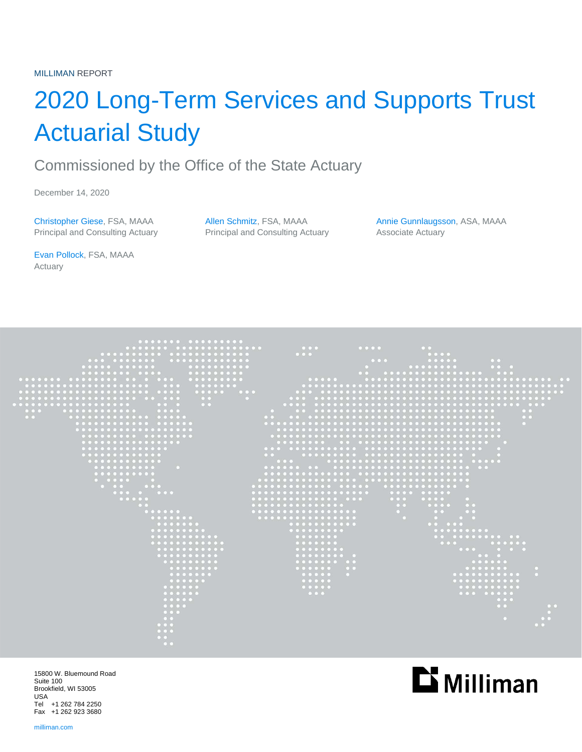# 2020 Long-Term Services and Supports Trust Actuarial Study

# Commissioned by the Office of the State Actuary

December 14, 2020

Christopher Giese, FSA, MAAA Allen Schmitz, FSA, MAAA Annie Gunnlaugsson, ASA, MAAA Principal and Consulting Actuary **Principal and Consulting Actuary** Associate Actuary

Evan Pollock, FSA, MAAA Actuary



15800 W. Bluemound Road Suite 100 Brookfield, WI 53005 USA Tel +1 262 784 2250 Fax +1 262 923 3680

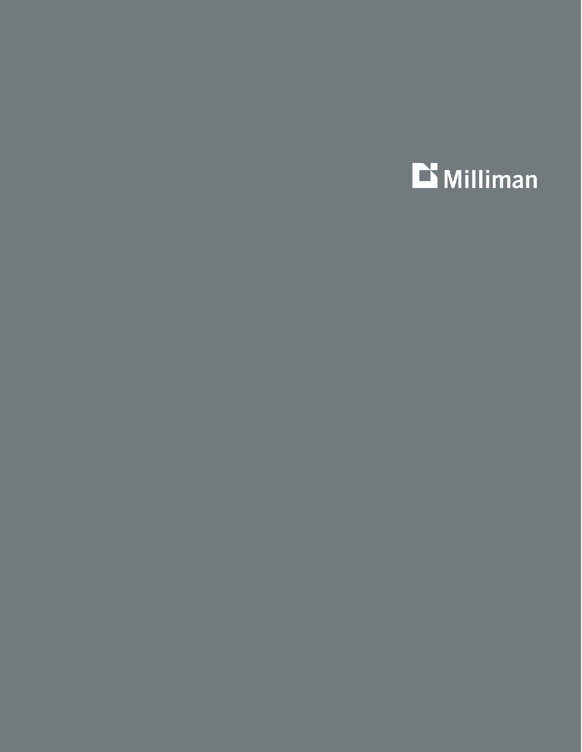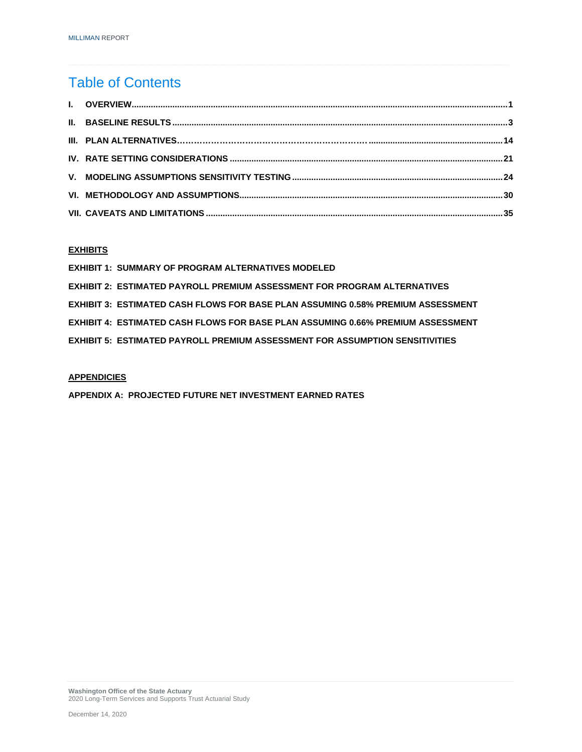## Table of Contents

#### **EXHIBITS**

| <b>EXHIBIT 1: SUMMARY OF PROGRAM ALTERNATIVES MODELED</b>                        |
|----------------------------------------------------------------------------------|
| EXHIBIT 2: ESTIMATED PAYROLL PREMIUM ASSESSMENT FOR PROGRAM ALTERNATIVES         |
| EXHIBIT 3:  ESTIMATED CASH FLOWS FOR BASE PLAN ASSUMING 0.58% PREMIUM ASSESSMENT |
| EXHIBIT 4:  ESTIMATED CASH FLOWS FOR BASE PLAN ASSUMING 0.66% PREMIUM ASSESSMENT |
| EXHIBIT 5: ESTIMATED PAYROLL PREMIUM ASSESSMENT FOR ASSUMPTION SENSITIVITIES     |

#### **APPENDICIES**

**APPENDIX A: PROJECTED FUTURE NET INVESTMENT EARNED RATES**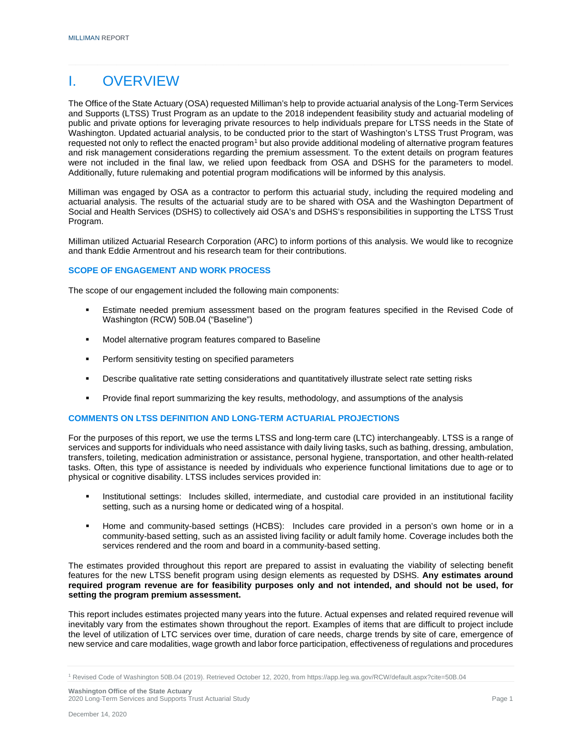### I. OVERVIEW

The Office of the State Actuary (OSA) requested Milliman's help to provide actuarial analysis of the Long-Term Services and Supports (LTSS) Trust Program as an update to the 2018 independent feasibility study and actuarial modeling of public and private options for leveraging private resources to help individuals prepare for LTSS needs in the State of Washington. Updated actuarial analysis, to be conducted prior to the start of Washington's LTSS Trust Program, was requested not only to reflect the enacted program<sup>[1](#page-3-0)</sup> but also provide additional modeling of alternative program features and risk management considerations regarding the premium assessment. To the extent details on program features were not included in the final law, we relied upon feedback from OSA and DSHS for the parameters to model. Additionally, future rulemaking and potential program modifications will be informed by this analysis.

Milliman was engaged by OSA as a contractor to perform this actuarial study, including the required modeling and actuarial analysis. The results of the actuarial study are to be shared with OSA and the Washington Department of Social and Health Services (DSHS) to collectively aid OSA's and DSHS's responsibilities in supporting the LTSS Trust Program.

Milliman utilized Actuarial Research Corporation (ARC) to inform portions of this analysis. We would like to recognize and thank Eddie Armentrout and his research team for their contributions.

#### **SCOPE OF ENGAGEMENT AND WORK PROCESS**

The scope of our engagement included the following main components:

- Estimate needed premium assessment based on the program features specified in the Revised Code of Washington (RCW) 50B.04 ("Baseline")
- Model alternative program features compared to Baseline
- **Perform sensitivity testing on specified parameters**
- Describe qualitative rate setting considerations and quantitatively illustrate select rate setting risks
- Provide final report summarizing the key results, methodology, and assumptions of the analysis

#### **COMMENTS ON LTSS DEFINITION AND LONG-TERM ACTUARIAL PROJECTIONS**

For the purposes of this report, we use the terms LTSS and long-term care (LTC) interchangeably. LTSS is a range of services and supports for individuals who need assistance with daily living tasks, such as bathing, dressing, ambulation, transfers, toileting, medication administration or assistance, personal hygiene, transportation, and other health-related tasks. Often, this type of assistance is needed by individuals who experience functional limitations due to age or to physical or cognitive disability. LTSS includes services provided in:

- **Institutional settings: Includes skilled, intermediate, and custodial care provided in an institutional facility** setting, such as a nursing home or dedicated wing of a hospital.
- Home and community-based settings (HCBS): Includes care provided in a person's own home or in a community-based setting, such as an assisted living facility or adult family home. Coverage includes both the services rendered and the room and board in a community-based setting.

The estimates provided throughout this report are prepared to assist in evaluating the viability of selecting benefit features for the new LTSS benefit program using design elements as requested by DSHS. **Any estimates around required program revenue are for feasibility purposes only and not intended, and should not be used, for setting the program premium assessment.**

This report includes estimates projected many years into the future. Actual expenses and related required revenue will inevitably vary from the estimates shown throughout the report. Examples of items that are difficult to project include the level of utilization of LTC services over time, duration of care needs, charge trends by site of care, emergence of new service and care modalities, wage growth and labor force participation, effectiveness of regulations and procedures

<span id="page-3-0"></span><sup>1</sup> Revised Code of Washington 50B.04 (2019). Retrieved October 12, 2020, from https://app.leg.wa.gov/RCW/default.aspx?cite=50B.04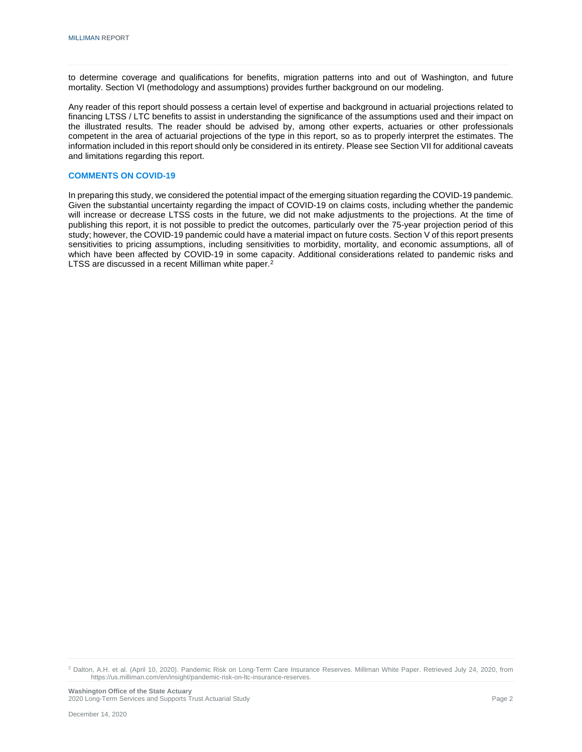to determine coverage and qualifications for benefits, migration patterns into and out of Washington, and future mortality. Section VI (methodology and assumptions) provides further background on our modeling.

Any reader of this report should possess a certain level of expertise and background in actuarial projections related to financing LTSS / LTC benefits to assist in understanding the significance of the assumptions used and their impact on the illustrated results. The reader should be advised by, among other experts, actuaries or other professionals competent in the area of actuarial projections of the type in this report, so as to properly interpret the estimates. The information included in this report should only be considered in its entirety. Please see Section VII for additional caveats and limitations regarding this report.

#### **COMMENTS ON COVID-19**

In preparing this study, we considered the potential impact of the emerging situation regarding the COVID-19 pandemic. Given the substantial uncertainty regarding the impact of COVID-19 on claims costs, including whether the pandemic will increase or decrease LTSS costs in the future, we did not make adjustments to the projections. At the time of publishing this report, it is not possible to predict the outcomes, particularly over the 75-year projection period of this study; however, the COVID-19 pandemic could have a material impact on future costs. Section V of this report presents sensitivities to pricing assumptions, including sensitivities to morbidity, mortality, and economic assumptions, all of which have been affected by COVID-19 in some capacity. Additional considerations related to pandemic risks and LTSS are discussed in a recent Milliman white paper.<sup>[2](#page-4-0)</sup>

<span id="page-4-0"></span><sup>2</sup> Dalton, A.H. et al. (April 10, 2020). Pandemic Risk on Long-Term Care Insurance Reserves. Milliman White Paper. Retrieved July 24, 2020, from https://us.milliman.com/en/insight/pandemic-risk-on-ltc-insurance-reserves.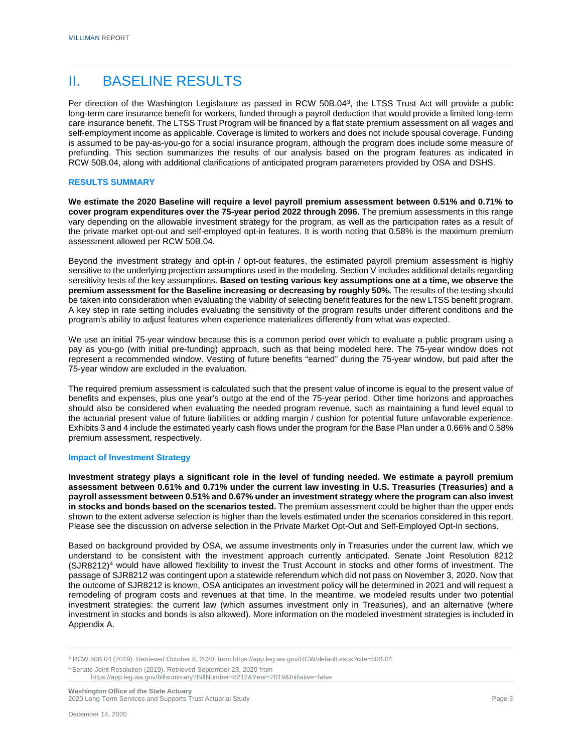### II. BASELINE RESULTS

Per direction of the Washington Legislature as passed in RCW 50B.04[3](#page-5-0), the LTSS Trust Act will provide a public long-term care insurance benefit for workers, funded through a payroll deduction that would provide a limited long-term care insurance benefit. The LTSS Trust Program will be financed by a flat state premium assessment on all wages and self-employment income as applicable. Coverage is limited to workers and does not include spousal coverage. Funding is assumed to be pay-as-you-go for a social insurance program, although the program does include some measure of prefunding. This section summarizes the results of our analysis based on the program features as indicated in RCW 50B.04, along with additional clarifications of anticipated program parameters provided by OSA and DSHS.

#### **RESULTS SUMMARY**

**We estimate the 2020 Baseline will require a level payroll premium assessment between 0.51% and 0.71% to cover program expenditures over the 75-year period 2022 through 2096.** The premium assessments in this range vary depending on the allowable investment strategy for the program, as well as the participation rates as a result of the private market opt-out and self-employed opt-in features. It is worth noting that 0.58% is the maximum premium assessment allowed per RCW 50B.04.

Beyond the investment strategy and opt-in / opt-out features, the estimated payroll premium assessment is highly sensitive to the underlying projection assumptions used in the modeling. Section V includes additional details regarding sensitivity tests of the key assumptions. **Based on testing various key assumptions one at a time, we observe the premium assessment for the Baseline increasing or decreasing by roughly 50%.** The results of the testing should be taken into consideration when evaluating the viability of selecting benefit features for the new LTSS benefit program. A key step in rate setting includes evaluating the sensitivity of the program results under different conditions and the program's ability to adjust features when experience materializes differently from what was expected.

We use an initial 75-year window because this is a common period over which to evaluate a public program using a pay as you-go (with initial pre-funding) approach, such as that being modeled here. The 75-year window does not represent a recommended window. Vesting of future benefits "earned" during the 75-year window, but paid after the 75-year window are excluded in the evaluation.

The required premium assessment is calculated such that the present value of income is equal to the present value of benefits and expenses, plus one year's outgo at the end of the 75-year period. Other time horizons and approaches should also be considered when evaluating the needed program revenue, such as maintaining a fund level equal to the actuarial present value of future liabilities or adding margin / cushion for potential future unfavorable experience. Exhibits 3 and 4 include the estimated yearly cash flows under the program for the Base Plan under a 0.66% and 0.58% premium assessment, respectively.

#### **Impact of Investment Strategy**

**Investment strategy plays a significant role in the level of funding needed. We estimate a payroll premium assessment between 0.61% and 0.71% under the current law investing in U.S. Treasuries (Treasuries) and a payroll assessment between 0.51% and 0.67% under an investment strategy where the program can also invest in stocks and bonds based on the scenarios tested.** The premium assessment could be higher than the upper ends shown to the extent adverse selection is higher than the levels estimated under the scenarios considered in this report. Please see the discussion on adverse selection in the Private Market Opt-Out and Self-Employed Opt-In sections.

Based on background provided by OSA, we assume investments only in Treasuries under the current law, which we understand to be consistent with the investment approach currently anticipated. Senate Joint Resolution 8212  $(SJR8212)^4$  $(SJR8212)^4$  would have allowed flexibility to invest the Trust Account in stocks and other forms of investment. The passage of SJR8212 was contingent upon a statewide referendum which did not pass on November 3, 2020. Now that the outcome of SJR8212 is known, OSA anticipates an investment policy will be determined in 2021 and will request a remodeling of program costs and revenues at that time. In the meantime, we modeled results under two potential investment strategies: the current law (which assumes investment only in Treasuries), and an alternative (where investment in stocks and bonds is also allowed). More information on the modeled investment strategies is included in Appendix A.

<span id="page-5-0"></span><sup>3</sup> RCW 50B.04 (2019). Retrieved October 8, 2020, fro[m https://app.leg.wa.gov/RCW/default.aspx?cite=50B.04](https://app.leg.wa.gov/RCW/default.aspx?cite=50B.04)

<span id="page-5-1"></span><sup>4</sup> Senate Joint Resolution (2019). Retrieved September 23, 2020 from

<https://app.leg.wa.gov/billsummary?BillNumber=8212&Year=2019&Initiative=false>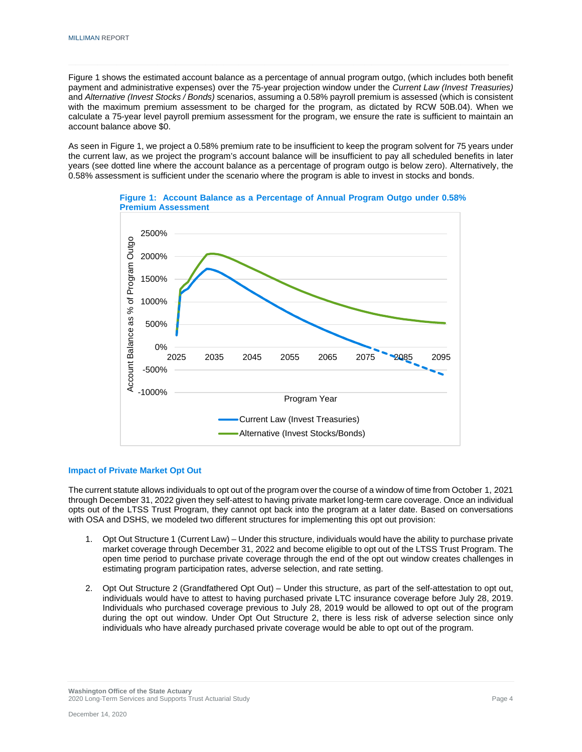Figure 1 shows the estimated account balance as a percentage of annual program outgo, (which includes both benefit payment and administrative expenses) over the 75-year projection window under the *Current Law (Invest Treasuries)* and *Alternative (Invest Stocks / Bonds)* scenarios, assuming a 0.58% payroll premium is assessed (which is consistent with the maximum premium assessment to be charged for the program, as dictated by RCW 50B.04). When we calculate a 75-year level payroll premium assessment for the program, we ensure the rate is sufficient to maintain an account balance above \$0.

As seen in Figure 1, we project a 0.58% premium rate to be insufficient to keep the program solvent for 75 years under the current law, as we project the program's account balance will be insufficient to pay all scheduled benefits in later years (see dotted line where the account balance as a percentage of program outgo is below zero). Alternatively, the 0.58% assessment is sufficient under the scenario where the program is able to invest in stocks and bonds.





#### **Impact of Private Market Opt Out**

The current statute allows individuals to opt out of the program over the course of a window of time from October 1, 2021 through December 31, 2022 given they self-attest to having private market long-term care coverage. Once an individual opts out of the LTSS Trust Program, they cannot opt back into the program at a later date. Based on conversations with OSA and DSHS, we modeled two different structures for implementing this opt out provision:

- 1. Opt Out Structure 1 (Current Law) Under this structure, individuals would have the ability to purchase private market coverage through December 31, 2022 and become eligible to opt out of the LTSS Trust Program. The open time period to purchase private coverage through the end of the opt out window creates challenges in estimating program participation rates, adverse selection, and rate setting.
- 2. Opt Out Structure 2 (Grandfathered Opt Out) Under this structure, as part of the self-attestation to opt out, individuals would have to attest to having purchased private LTC insurance coverage before July 28, 2019. Individuals who purchased coverage previous to July 28, 2019 would be allowed to opt out of the program during the opt out window. Under Opt Out Structure 2, there is less risk of adverse selection since only individuals who have already purchased private coverage would be able to opt out of the program.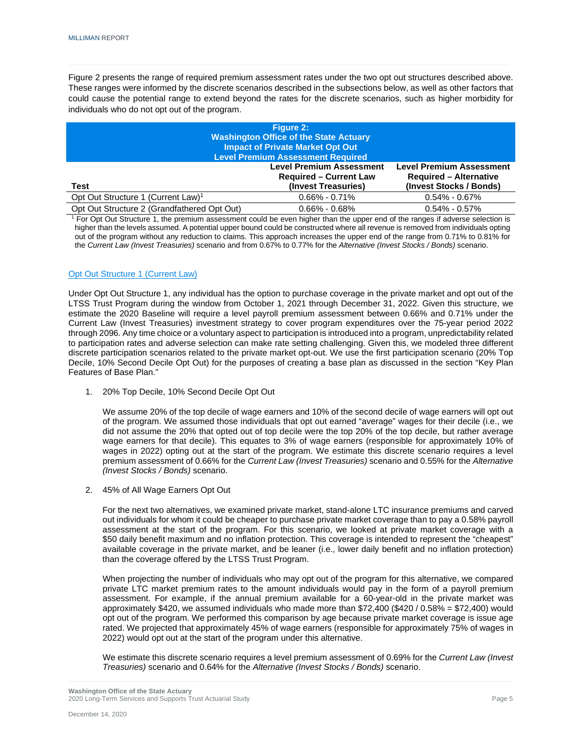Figure 2 presents the range of required premium assessment rates under the two opt out structures described above. These ranges were informed by the discrete scenarios described in the subsections below, as well as other factors that could cause the potential range to extend beyond the rates for the discrete scenarios, such as higher morbidity for individuals who do not opt out of the program.

| <b>Figure 2:</b><br><b>Washington Office of the State Actuary</b><br><b>Impact of Private Market Opt Out</b><br><b>Level Premium Assessment Required</b> |                                                                                             |
|----------------------------------------------------------------------------------------------------------------------------------------------------------|---------------------------------------------------------------------------------------------|
| <b>Level Premium Assessment</b><br><b>Required – Current Law</b><br>(Invest Treasuries)                                                                  | <b>Level Premium Assessment</b><br><b>Required - Alternative</b><br>(Invest Stocks / Bonds) |
| $0.66\% - 0.71\%$                                                                                                                                        | $0.54\% - 0.67\%$                                                                           |
| $0.66\% - 0.68\%$                                                                                                                                        | $0.54\% - 0.57\%$                                                                           |
|                                                                                                                                                          | .<br>$\cdot$ $\cdot$ $\cdot$<br>.                                                           |

<sup>1</sup> For Opt Out Structure 1, the premium assessment could be even higher than the upper end of the ranges if adverse selection is higher than the levels assumed. A potential upper bound could be constructed where all revenue is removed from individuals opting out of the program without any reduction to claims. This approach increases the upper end of the range from 0.71% to 0.81% for the *Current Law (Invest Treasuries)* scenario and from 0.67% to 0.77% for the *Alternative (Invest Stocks / Bonds)* scenario.

#### Opt Out Structure 1 (Current Law)

Under Opt Out Structure 1, any individual has the option to purchase coverage in the private market and opt out of the LTSS Trust Program during the window from October 1, 2021 through December 31, 2022. Given this structure, we estimate the 2020 Baseline will require a level payroll premium assessment between 0.66% and 0.71% under the Current Law (Invest Treasuries) investment strategy to cover program expenditures over the 75-year period 2022 through 2096. Any time choice or a voluntary aspect to participation is introduced into a program, unpredictability related to participation rates and adverse selection can make rate setting challenging. Given this, we modeled three different discrete participation scenarios related to the private market opt-out. We use the first participation scenario (20% Top Decile, 10% Second Decile Opt Out) for the purposes of creating a base plan as discussed in the section "Key Plan Features of Base Plan."

1. 20% Top Decile, 10% Second Decile Opt Out

We assume 20% of the top decile of wage earners and 10% of the second decile of wage earners will opt out of the program. We assumed those individuals that opt out earned "average" wages for their decile (i.e., we did not assume the 20% that opted out of top decile were the top 20% of the top decile, but rather average wage earners for that decile). This equates to 3% of wage earners (responsible for approximately 10% of wages in 2022) opting out at the start of the program. We estimate this discrete scenario requires a level premium assessment of 0.66% for the *Current Law (Invest Treasuries)* scenario and 0.55% for the *Alternative (Invest Stocks / Bonds)* scenario.

2. 45% of All Wage Earners Opt Out

For the next two alternatives, we examined private market, stand-alone LTC insurance premiums and carved out individuals for whom it could be cheaper to purchase private market coverage than to pay a 0.58% payroll assessment at the start of the program. For this scenario, we looked at private market coverage with a \$50 daily benefit maximum and no inflation protection. This coverage is intended to represent the "cheapest" available coverage in the private market, and be leaner (i.e., lower daily benefit and no inflation protection) than the coverage offered by the LTSS Trust Program.

When projecting the number of individuals who may opt out of the program for this alternative, we compared private LTC market premium rates to the amount individuals would pay in the form of a payroll premium assessment. For example, if the annual premium available for a 60-year-old in the private market was approximately \$420, we assumed individuals who made more than \$72,400 (\$420 / 0.58% = \$72,400) would opt out of the program. We performed this comparison by age because private market coverage is issue age rated. We projected that approximately 45% of wage earners (responsible for approximately 75% of wages in 2022) would opt out at the start of the program under this alternative.

We estimate this discrete scenario requires a level premium assessment of 0.69% for the *Current Law (Invest Treasuries)* scenario and 0.64% for the *Alternative (Invest Stocks / Bonds)* scenario.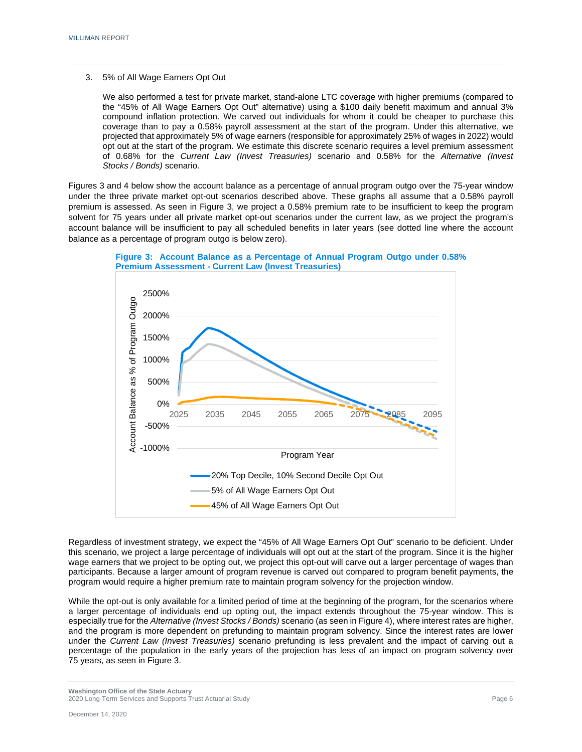3. 5% of All Wage Earners Opt Out

We also performed a test for private market, stand-alone LTC coverage with higher premiums (compared to the "45% of All Wage Earners Opt Out" alternative) using a \$100 daily benefit maximum and annual 3% compound inflation protection. We carved out individuals for whom it could be cheaper to purchase this coverage than to pay a 0.58% payroll assessment at the start of the program. Under this alternative, we projected that approximately 5% of wage earners (responsible for approximately 25% of wages in 2022) would opt out at the start of the program. We estimate this discrete scenario requires a level premium assessment of 0.68% for the *Current Law (Invest Treasuries)* scenario and 0.58% for the *Alternative (Invest Stocks / Bonds)* scenario.

Figures 3 and 4 below show the account balance as a percentage of annual program outgo over the 75-year window under the three private market opt-out scenarios described above. These graphs all assume that a 0.58% payroll premium is assessed. As seen in Figure 3, we project a 0.58% premium rate to be insufficient to keep the program solvent for 75 years under all private market opt-out scenarios under the current law, as we project the program's account balance will be insufficient to pay all scheduled benefits in later years (see dotted line where the account balance as a percentage of program outgo is below zero).



**Figure 3: Account Balance as a Percentage of Annual Program Outgo under 0.58% Premium Assessment - Current Law (Invest Treasuries)**

Regardless of investment strategy, we expect the "45% of All Wage Earners Opt Out" scenario to be deficient. Under this scenario, we project a large percentage of individuals will opt out at the start of the program. Since it is the higher wage earners that we project to be opting out, we project this opt-out will carve out a larger percentage of wages than participants. Because a larger amount of program revenue is carved out compared to program benefit payments, the program would require a higher premium rate to maintain program solvency for the projection window.

While the opt-out is only available for a limited period of time at the beginning of the program, for the scenarios where a larger percentage of individuals end up opting out, the impact extends throughout the 75-year window. This is especially true for the *Alternative (Invest Stocks / Bonds)* scenario (as seen in Figure 4), where interest rates are higher, and the program is more dependent on prefunding to maintain program solvency. Since the interest rates are lower under the *Current Law (Invest Treasuries)* scenario prefunding is less prevalent and the impact of carving out a percentage of the population in the early years of the projection has less of an impact on program solvency over 75 years, as seen in Figure 3.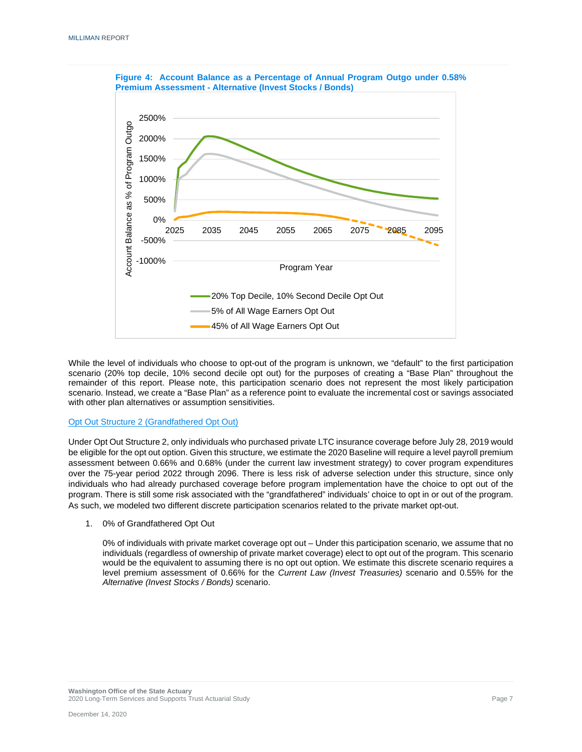

**Figure 4: Account Balance as a Percentage of Annual Program Outgo under 0.58%** 

While the level of individuals who choose to opt-out of the program is unknown, we "default" to the first participation scenario (20% top decile, 10% second decile opt out) for the purposes of creating a "Base Plan" throughout the remainder of this report. Please note, this participation scenario does not represent the most likely participation scenario. Instead, we create a "Base Plan" as a reference point to evaluate the incremental cost or savings associated with other plan alternatives or assumption sensitivities.

#### Opt Out Structure 2 (Grandfathered Opt Out)

Under Opt Out Structure 2, only individuals who purchased private LTC insurance coverage before July 28, 2019 would be eligible for the opt out option. Given this structure, we estimate the 2020 Baseline will require a level payroll premium assessment between 0.66% and 0.68% (under the current law investment strategy) to cover program expenditures over the 75-year period 2022 through 2096. There is less risk of adverse selection under this structure, since only individuals who had already purchased coverage before program implementation have the choice to opt out of the program. There is still some risk associated with the "grandfathered" individuals' choice to opt in or out of the program. As such, we modeled two different discrete participation scenarios related to the private market opt-out.

1. 0% of Grandfathered Opt Out

0% of individuals with private market coverage opt out – Under this participation scenario, we assume that no individuals (regardless of ownership of private market coverage) elect to opt out of the program. This scenario would be the equivalent to assuming there is no opt out option. We estimate this discrete scenario requires a level premium assessment of 0.66% for the *Current Law (Invest Treasuries)* scenario and 0.55% for the *Alternative (Invest Stocks / Bonds)* scenario.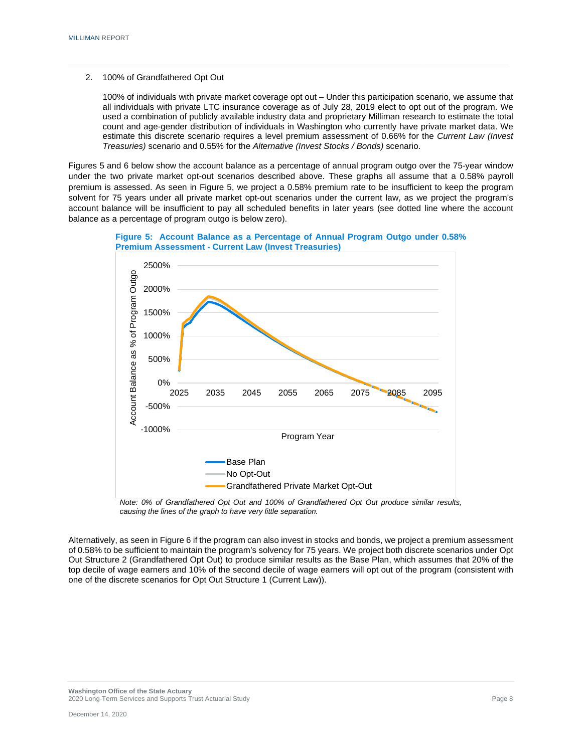2. 100% of Grandfathered Opt Out

500%

1000%

1500%

100% of individuals with private market coverage opt out – Under this participation scenario, we assume that all individuals with private LTC insurance coverage as of July 28, 2019 elect to opt out of the program. We used a combination of publicly available industry data and proprietary Milliman research to estimate the total count and age-gender distribution of individuals in Washington who currently have private market data. We estimate this discrete scenario requires a level premium assessment of 0.66% for the *Current Law (Invest Treasuries)* scenario and 0.55% for the *Alternative (Invest Stocks / Bonds)* scenario.

Figures 5 and 6 below show the account balance as a percentage of annual program outgo over the 75-year window under the two private market opt-out scenarios described above. These graphs all assume that a 0.58% payroll premium is assessed. As seen in Figure 5, we project a 0.58% premium rate to be insufficient to keep the program solvent for 75 years under all private market opt-out scenarios under the current law, as we project the program's account balance will be insufficient to pay all scheduled benefits in later years (see dotted line where the account balance as a percentage of program outgo is below zero).



**Figure 5: Account Balance as a Percentage of Annual Program Outgo under 0.58%** 







Alternatively, as seen in Figure 6 if the program can also invest in stocks and bonds, we project a premium assessment of 0.58% to be sufficient to maintain the program's solvency for 75 years. We project both discrete scenarios under Opt Out Structure 2 (Grandfathered Opt Out) to produce similar results as the Base Plan, which assumes that 20% of the top decile of wage earners and 10% of the second decile of wage earners will opt out of the program (consistent with one of the discrete scenarios for Opt Out Structure 1 (Current Law)).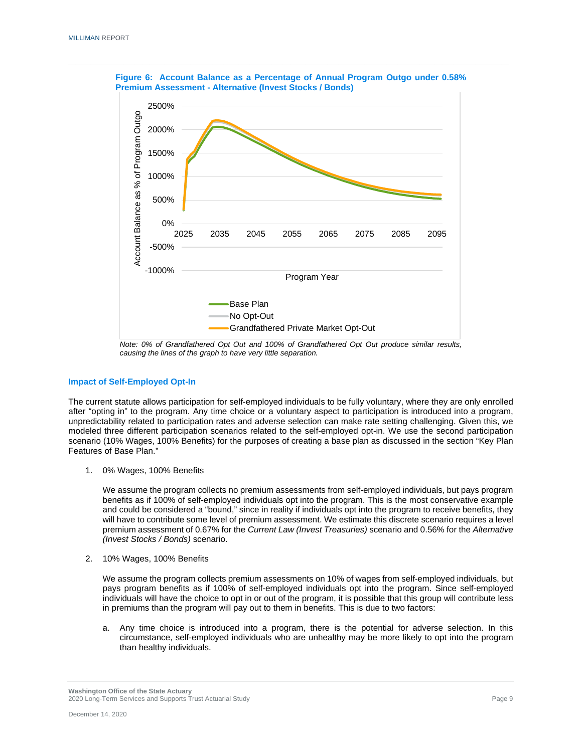

**Figure 6: Account Balance as a Percentage of Annual Program Outgo under 0.58% Premium Assessment - Alternative (Invest Stocks / Bonds)**

*Note: 0% of Grandfathered Opt Out and 100% of Grandfathered Opt Out produce similar results, causing the lines of the graph to have very little separation.*

#### **Impact of Self-Employed Opt-In**

The current statute allows participation for self-employed individuals to be fully voluntary, where they are only enrolled after "opting in" to the program. Any time choice or a voluntary aspect to participation is introduced into a program, unpredictability related to participation rates and adverse selection can make rate setting challenging. Given this, we modeled three different participation scenarios related to the self-employed opt-in. We use the second participation scenario (10% Wages, 100% Benefits) for the purposes of creating a base plan as discussed in the section "Key Plan Features of Base Plan."

1. 0% Wages, 100% Benefits

We assume the program collects no premium assessments from self-employed individuals, but pays program benefits as if 100% of self-employed individuals opt into the program. This is the most conservative example and could be considered a "bound," since in reality if individuals opt into the program to receive benefits, they will have to contribute some level of premium assessment. We estimate this discrete scenario requires a level premium assessment of 0.67% for the *Current Law (Invest Treasuries)* scenario and 0.56% for the *Alternative (Invest Stocks / Bonds)* scenario.

2. 10% Wages, 100% Benefits

We assume the program collects premium assessments on 10% of wages from self-employed individuals, but pays program benefits as if 100% of self-employed individuals opt into the program. Since self-employed individuals will have the choice to opt in or out of the program, it is possible that this group will contribute less in premiums than the program will pay out to them in benefits. This is due to two factors:

a. Any time choice is introduced into a program, there is the potential for adverse selection. In this circumstance, self-employed individuals who are unhealthy may be more likely to opt into the program than healthy individuals.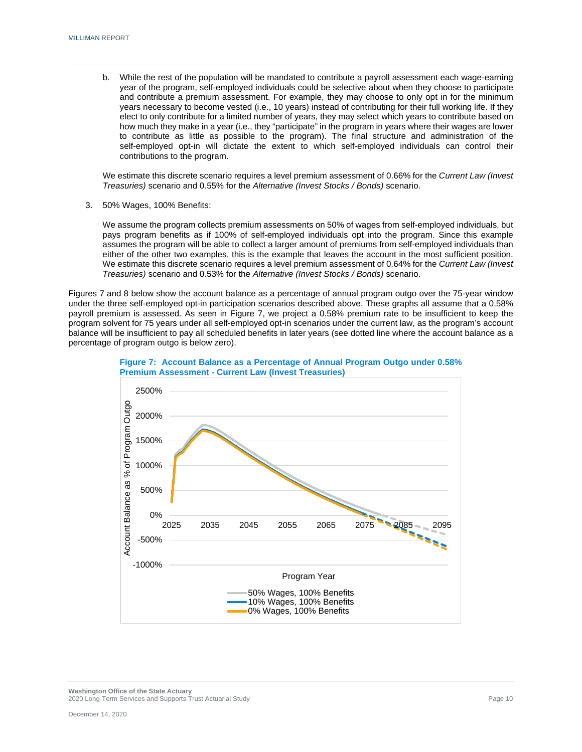b. While the rest of the population will be mandated to contribute a payroll assessment each wage-earning year of the program, self-employed individuals could be selective about when they choose to participate and contribute a premium assessment. For example, they may choose to only opt in for the minimum years necessary to become vested (i.e., 10 years) instead of contributing for their full working life. If they elect to only contribute for a limited number of years, they may select which years to contribute based on how much they make in a year (i.e., they "participate" in the program in years where their wages are lower to contribute as little as possible to the program). The final structure and administration of the self-employed opt-in will dictate the extent to which self-employed individuals can control their contributions to the program.

We estimate this discrete scenario requires a level premium assessment of 0.66% for the *Current Law (Invest Treasuries)* scenario and 0.55% for the *Alternative (Invest Stocks / Bonds)* scenario.

3. 50% Wages, 100% Benefits:

We assume the program collects premium assessments on 50% of wages from self-employed individuals, but pays program benefits as if 100% of self-employed individuals opt into the program. Since this example assumes the program will be able to collect a larger amount of premiums from self-employed individuals than either of the other two examples, this is the example that leaves the account in the most sufficient position. We estimate this discrete scenario requires a level premium assessment of 0.64% for the *Current Law (Invest Treasuries)* scenario and 0.53% for the *Alternative (Invest Stocks / Bonds)* scenario.

Figures 7 and 8 below show the account balance as a percentage of annual program outgo over the 75-year window under the three self-employed opt-in participation scenarios described above. These graphs all assume that a 0.58% payroll premium is assessed. As seen in Figure 7, we project a 0.58% premium rate to be insufficient to keep the program solvent for 75 years under all self-employed opt-in scenarios under the current law, as the program's account balance will be insufficient to pay all scheduled benefits in later years (see dotted line where the account balance as a percentage of program outgo is below zero).



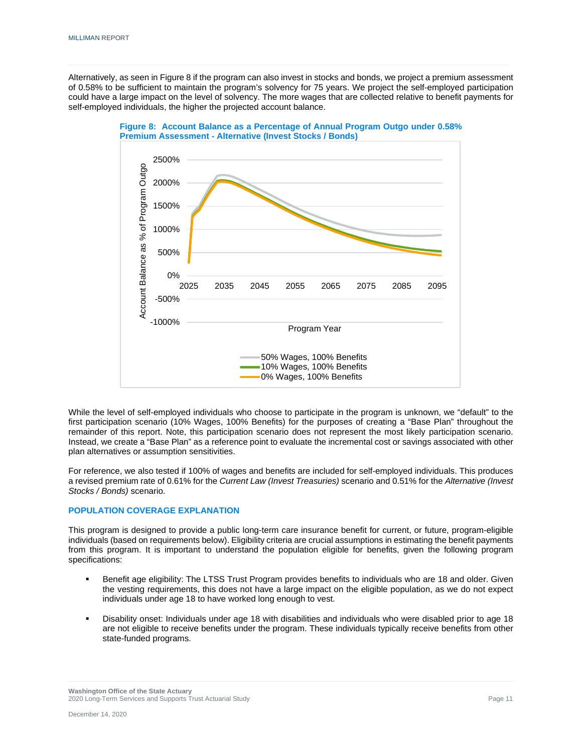Alternatively, as seen in Figure 8 if the program can also invest in stocks and bonds, we project a premium assessment of 0.58% to be sufficient to maintain the program's solvency for 75 years. We project the self-employed participation could have a large impact on the level of solvency. The more wages that are collected relative to benefit payments for self-employed individuals, the higher the projected account balance.



**Figure 8: Account Balance as a Percentage of Annual Program Outgo under 0.58% Premium Assessment - Alternative (Invest Stocks / Bonds)**

While the level of self-employed individuals who choose to participate in the program is unknown, we "default" to the first participation scenario (10% Wages, 100% Benefits) for the purposes of creating a "Base Plan" throughout the remainder of this report. Note, this participation scenario does not represent the most likely participation scenario. Instead, we create a "Base Plan" as a reference point to evaluate the incremental cost or savings associated with other plan alternatives or assumption sensitivities.

For reference, we also tested if 100% of wages and benefits are included for self-employed individuals. This produces a revised premium rate of 0.61% for the *Current Law (Invest Treasuries)* scenario and 0.51% for the *Alternative (Invest Stocks / Bonds)* scenario.

#### **POPULATION COVERAGE EXPLANATION**

This program is designed to provide a public long-term care insurance benefit for current, or future, program-eligible individuals (based on requirements below). Eligibility criteria are crucial assumptions in estimating the benefit payments from this program. It is important to understand the population eligible for benefits, given the following program specifications:

- Benefit age eligibility: The LTSS Trust Program provides benefits to individuals who are 18 and older. Given the vesting requirements, this does not have a large impact on the eligible population, as we do not expect individuals under age 18 to have worked long enough to vest.
- Disability onset: Individuals under age 18 with disabilities and individuals who were disabled prior to age 18 are not eligible to receive benefits under the program. These individuals typically receive benefits from other state-funded programs.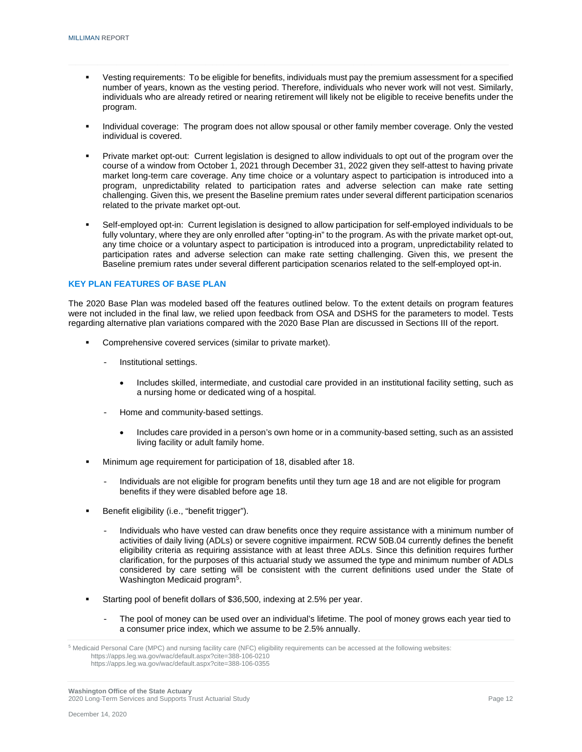- Vesting requirements: To be eligible for benefits, individuals must pay the premium assessment for a specified number of years, known as the vesting period. Therefore, individuals who never work will not vest. Similarly, individuals who are already retired or nearing retirement will likely not be eligible to receive benefits under the program.
- Individual coverage: The program does not allow spousal or other family member coverage. Only the vested individual is covered.
- Private market opt-out: Current legislation is designed to allow individuals to opt out of the program over the course of a window from October 1, 2021 through December 31, 2022 given they self-attest to having private market long-term care coverage. Any time choice or a voluntary aspect to participation is introduced into a program, unpredictability related to participation rates and adverse selection can make rate setting challenging. Given this, we present the Baseline premium rates under several different participation scenarios related to the private market opt-out.
- Self-employed opt-in: Current legislation is designed to allow participation for self-employed individuals to be fully voluntary, where they are only enrolled after "opting-in" to the program. As with the private market opt-out, any time choice or a voluntary aspect to participation is introduced into a program, unpredictability related to participation rates and adverse selection can make rate setting challenging. Given this, we present the Baseline premium rates under several different participation scenarios related to the self-employed opt-in.

#### **KEY PLAN FEATURES OF BASE PLAN**

The 2020 Base Plan was modeled based off the features outlined below. To the extent details on program features were not included in the final law, we relied upon feedback from OSA and DSHS for the parameters to model. Tests regarding alternative plan variations compared with the 2020 Base Plan are discussed in Sections III of the report.

- Comprehensive covered services (similar to private market).
	- Institutional settings.
		- Includes skilled, intermediate, and custodial care provided in an institutional facility setting, such as a nursing home or dedicated wing of a hospital.
	- Home and community-based settings.
		- Includes care provided in a person's own home or in a community-based setting, such as an assisted living facility or adult family home.
- Minimum age requirement for participation of 18, disabled after 18.
	- Individuals are not eligible for program benefits until they turn age 18 and are not eligible for program benefits if they were disabled before age 18.
- Benefit eligibility (i.e., "benefit trigger").
	- Individuals who have vested can draw benefits once they require assistance with a minimum number of activities of daily living (ADLs) or severe cognitive impairment. RCW 50B.04 currently defines the benefit eligibility criteria as requiring assistance with at least three ADLs. Since this definition requires further clarification, for the purposes of this actuarial study we assumed the type and minimum number of ADLs considered by care setting will be consistent with the current definitions used under the State of Washington Medicaid program<sup>5</sup>.
- Starting pool of benefit dollars of \$36,500, indexing at 2.5% per year.
	- The pool of money can be used over an individual's lifetime. The pool of money grows each year tied to a consumer price index, which we assume to be 2.5% annually.

<span id="page-14-0"></span><sup>&</sup>lt;sup>5</sup> Medicaid Personal Care (MPC) and nursing facility care (NFC) eligibility requirements can be accessed at the following websites: <https://apps.leg.wa.gov/wac/default.aspx?cite=388-106-0210> <https://apps.leg.wa.gov/wac/default.aspx?cite=388-106-0355>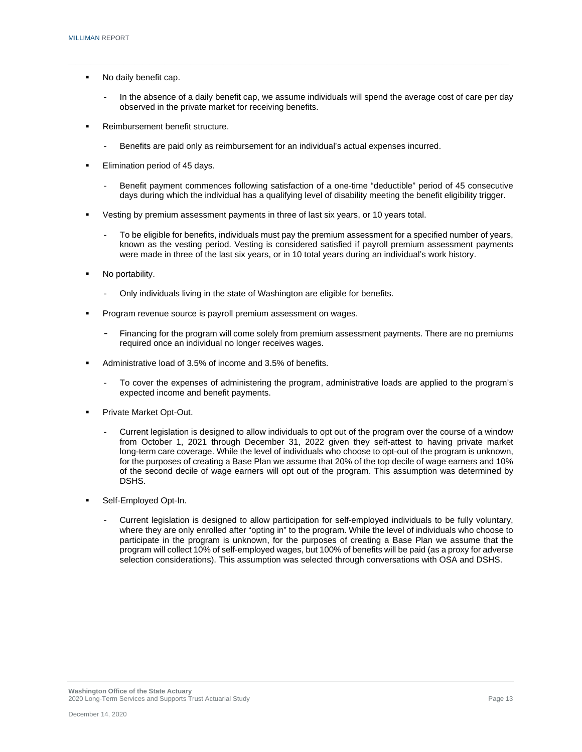- No daily benefit cap.
	- In the absence of a daily benefit cap, we assume individuals will spend the average cost of care per day observed in the private market for receiving benefits.
- Reimbursement benefit structure.
	- Benefits are paid only as reimbursement for an individual's actual expenses incurred.
- **Elimination period of 45 days.** 
	- Benefit payment commences following satisfaction of a one-time "deductible" period of 45 consecutive days during which the individual has a qualifying level of disability meeting the benefit eligibility trigger.
- Vesting by premium assessment payments in three of last six years, or 10 years total.
	- To be eligible for benefits, individuals must pay the premium assessment for a specified number of years, known as the vesting period. Vesting is considered satisfied if payroll premium assessment payments were made in three of the last six years, or in 10 total years during an individual's work history.
- No portability.
	- Only individuals living in the state of Washington are eligible for benefits.
- Program revenue source is payroll premium assessment on wages.
	- Financing for the program will come solely from premium assessment payments. There are no premiums required once an individual no longer receives wages.
- Administrative load of 3.5% of income and 3.5% of benefits.
	- To cover the expenses of administering the program, administrative loads are applied to the program's expected income and benefit payments.
- Private Market Opt-Out.
	- Current legislation is designed to allow individuals to opt out of the program over the course of a window from October 1, 2021 through December 31, 2022 given they self-attest to having private market long-term care coverage. While the level of individuals who choose to opt-out of the program is unknown, for the purposes of creating a Base Plan we assume that 20% of the top decile of wage earners and 10% of the second decile of wage earners will opt out of the program. This assumption was determined by DSHS.
- Self-Employed Opt-In.
	- Current legislation is designed to allow participation for self-employed individuals to be fully voluntary, where they are only enrolled after "opting in" to the program. While the level of individuals who choose to participate in the program is unknown, for the purposes of creating a Base Plan we assume that the program will collect 10% of self-employed wages, but 100% of benefits will be paid (as a proxy for adverse selection considerations). This assumption was selected through conversations with OSA and DSHS.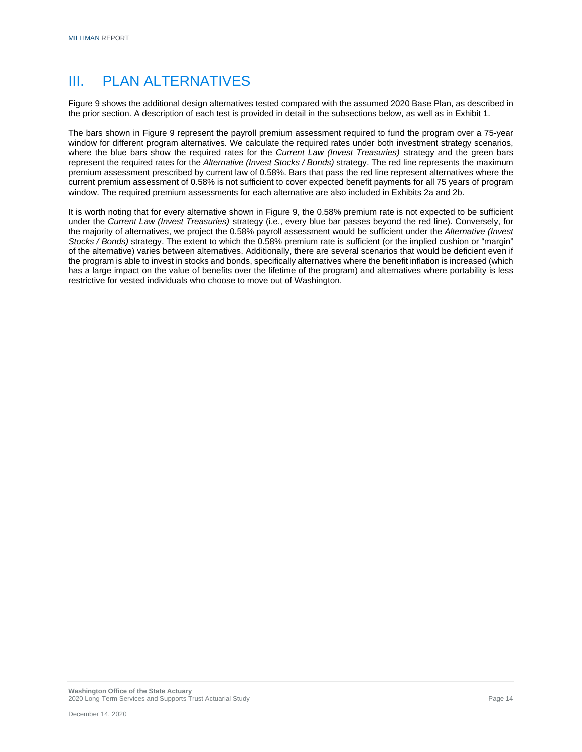### III. PLAN ALTERNATIVES

Figure 9 shows the additional design alternatives tested compared with the assumed 2020 Base Plan, as described in the prior section. A description of each test is provided in detail in the subsections below, as well as in Exhibit 1.

The bars shown in Figure 9 represent the payroll premium assessment required to fund the program over a 75-year window for different program alternatives. We calculate the required rates under both investment strategy scenarios, where the blue bars show the required rates for the *Current Law (Invest Treasuries)* strategy and the green bars represent the required rates for the *Alternative (Invest Stocks / Bonds)* strategy. The red line represents the maximum premium assessment prescribed by current law of 0.58%. Bars that pass the red line represent alternatives where the current premium assessment of 0.58% is not sufficient to cover expected benefit payments for all 75 years of program window. The required premium assessments for each alternative are also included in Exhibits 2a and 2b.

It is worth noting that for every alternative shown in Figure 9, the 0.58% premium rate is not expected to be sufficient under the *Current Law (Invest Treasuries)* strategy (i.e., every blue bar passes beyond the red line). Conversely, for the majority of alternatives, we project the 0.58% payroll assessment would be sufficient under the *Alternative (Invest Stocks / Bonds)* strategy. The extent to which the 0.58% premium rate is sufficient (or the implied cushion or "margin" of the alternative) varies between alternatives. Additionally, there are several scenarios that would be deficient even if the program is able to invest in stocks and bonds, specifically alternatives where the benefit inflation is increased (which has a large impact on the value of benefits over the lifetime of the program) and alternatives where portability is less restrictive for vested individuals who choose to move out of Washington.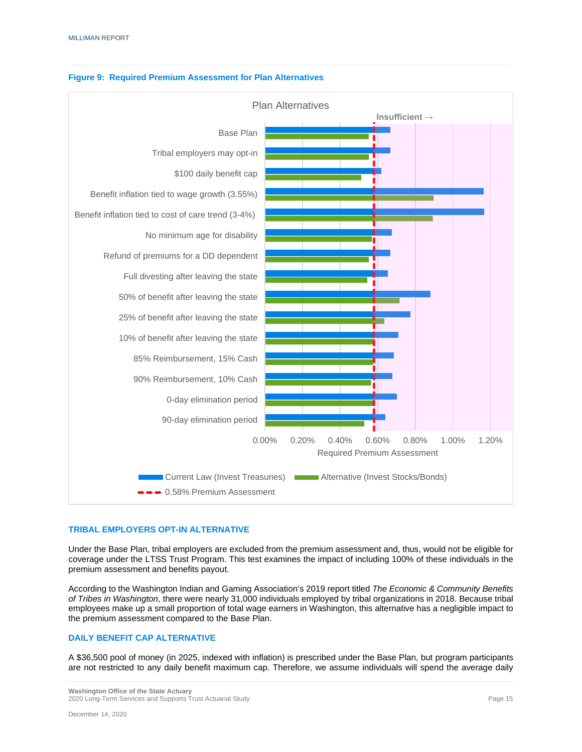

#### **Figure 9: Required Premium Assessment for Plan Alternatives**

#### **TRIBAL EMPLOYERS OPT-IN ALTERNATIVE**

Under the Base Plan, tribal employers are excluded from the premium assessment and, thus, would not be eligible for coverage under the LTSS Trust Program. This test examines the impact of including 100% of these individuals in the premium assessment and benefits payout.

According to the Washington Indian and Gaming Association's 2019 report titled *The Economic & Community Benefits of Tribes in Washington*, there were nearly 31,000 individuals employed by tribal organizations in 2018. Because tribal employees make up a small proportion of total wage earners in Washington, this alternative has a negligible impact to the premium assessment compared to the Base Plan.

#### **DAILY BENEFIT CAP ALTERNATIVE**

A \$36,500 pool of money (in 2025, indexed with inflation) is prescribed under the Base Plan, but program participants are not restricted to any daily benefit maximum cap. Therefore, we assume individuals will spend the average daily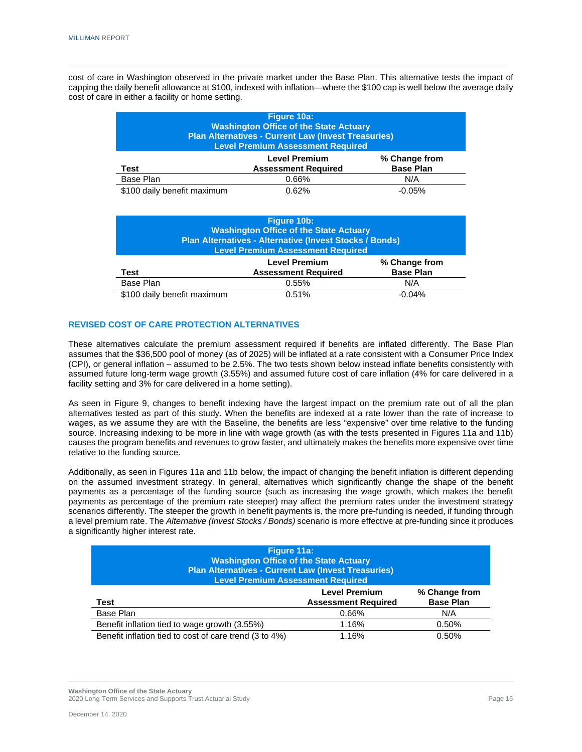cost of care in Washington observed in the private market under the Base Plan. This alternative tests the impact of capping the daily benefit allowance at \$100, indexed with inflation—where the \$100 cap is well below the average daily cost of care in either a facility or home setting.

| Figure 10a:<br><b>Washington Office of the State Actuary</b><br><b>Plan Alternatives - Current Law (Invest Treasuries)</b><br><b>Level Premium Assessment Required</b> |       |          |  |  |
|------------------------------------------------------------------------------------------------------------------------------------------------------------------------|-------|----------|--|--|
| <b>Level Premium</b><br>% Change from<br><b>Base Plan</b><br><b>Assessment Required</b><br>Test                                                                        |       |          |  |  |
| Base Plan                                                                                                                                                              | 0.66% | N/A      |  |  |
| \$100 daily benefit maximum                                                                                                                                            | 0.62% | $-0.05%$ |  |  |

| Figure 10b:<br><b>Washington Office of the State Actuary</b><br>Plan Alternatives - Alternative (Invest Stocks / Bonds)<br><b>Level Premium Assessment Required</b> |                                                    |                                   |
|---------------------------------------------------------------------------------------------------------------------------------------------------------------------|----------------------------------------------------|-----------------------------------|
| Test                                                                                                                                                                | <b>Level Premium</b><br><b>Assessment Required</b> | % Change from<br><b>Base Plan</b> |
| Base Plan                                                                                                                                                           | 0.55%                                              | N/A                               |
| \$100 daily benefit maximum                                                                                                                                         | 0.51%                                              | $-0.04%$                          |

#### **REVISED COST OF CARE PROTECTION ALTERNATIVES**

These alternatives calculate the premium assessment required if benefits are inflated differently. The Base Plan assumes that the \$36,500 pool of money (as of 2025) will be inflated at a rate consistent with a Consumer Price Index (CPI), or general inflation – assumed to be 2.5%. The two tests shown below instead inflate benefits consistently with assumed future long-term wage growth (3.55%) and assumed future cost of care inflation (4% for care delivered in a facility setting and 3% for care delivered in a home setting).

As seen in Figure 9, changes to benefit indexing have the largest impact on the premium rate out of all the plan alternatives tested as part of this study. When the benefits are indexed at a rate lower than the rate of increase to wages, as we assume they are with the Baseline, the benefits are less "expensive" over time relative to the funding source. Increasing indexing to be more in line with wage growth (as with the tests presented in Figures 11a and 11b) causes the program benefits and revenues to grow faster, and ultimately makes the benefits more expensive over time relative to the funding source.

Additionally, as seen in Figures 11a and 11b below, the impact of changing the benefit inflation is different depending on the assumed investment strategy. In general, alternatives which significantly change the shape of the benefit payments as a percentage of the funding source (such as increasing the wage growth, which makes the benefit payments as percentage of the premium rate steeper) may affect the premium rates under the investment strategy scenarios differently. The steeper the growth in benefit payments is, the more pre-funding is needed, if funding through a level premium rate. The *Alternative (Invest Stocks / Bonds)* scenario is more effective at pre-funding since it produces a significantly higher interest rate.

| Figure 11a:<br><b>Washington Office of the State Actuary</b><br>Plan Alternatives - Current Law (Invest Treasuries)<br><b>Level Premium Assessment Required</b> |       |       |  |  |
|-----------------------------------------------------------------------------------------------------------------------------------------------------------------|-------|-------|--|--|
| <b>Level Premium</b><br>% Change from<br><b>Base Plan</b><br><b>Assessment Required</b><br>Test                                                                 |       |       |  |  |
| Base Plan                                                                                                                                                       | 0.66% | N/A   |  |  |
| Benefit inflation tied to wage growth (3.55%)                                                                                                                   | 1.16% | 0.50% |  |  |
| Benefit inflation tied to cost of care trend (3 to 4%)                                                                                                          | 1.16% | 0.50% |  |  |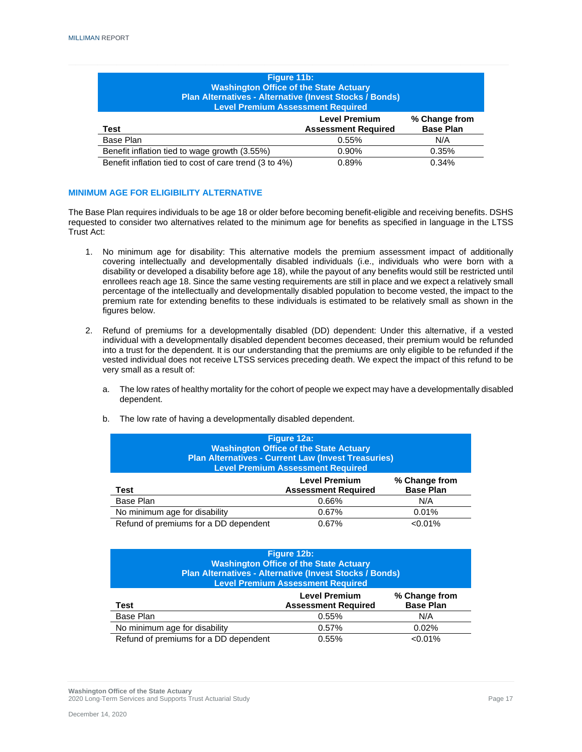| Figure 11b:<br><b>Washington Office of the State Actuary</b><br>Plan Alternatives - Alternative (Invest Stocks / Bonds)<br><b>Level Premium Assessment Required</b> |       |       |  |  |
|---------------------------------------------------------------------------------------------------------------------------------------------------------------------|-------|-------|--|--|
| <b>Level Premium</b><br>% Change from<br><b>Base Plan</b><br>Test<br><b>Assessment Required</b>                                                                     |       |       |  |  |
| Base Plan                                                                                                                                                           | 0.55% | N/A   |  |  |
| Benefit inflation tied to wage growth (3.55%)                                                                                                                       | 0.90% | 0.35% |  |  |
| Benefit inflation tied to cost of care trend (3 to 4%)                                                                                                              | 0.89% | 0.34% |  |  |

#### **MINIMUM AGE FOR ELIGIBILITY ALTERNATIVE**

The Base Plan requires individuals to be age 18 or older before becoming benefit-eligible and receiving benefits. DSHS requested to consider two alternatives related to the minimum age for benefits as specified in language in the LTSS Trust Act:

- 1. No minimum age for disability: This alternative models the premium assessment impact of additionally covering intellectually and developmentally disabled individuals (i.e., individuals who were born with a disability or developed a disability before age 18), while the payout of any benefits would still be restricted until enrollees reach age 18. Since the same vesting requirements are still in place and we expect a relatively small percentage of the intellectually and developmentally disabled population to become vested, the impact to the premium rate for extending benefits to these individuals is estimated to be relatively small as shown in the figures below.
- 2. Refund of premiums for a developmentally disabled (DD) dependent: Under this alternative, if a vested individual with a developmentally disabled dependent becomes deceased, their premium would be refunded into a trust for the dependent. It is our understanding that the premiums are only eligible to be refunded if the vested individual does not receive LTSS services preceding death. We expect the impact of this refund to be very small as a result of:
	- a. The low rates of healthy mortality for the cohort of people we expect may have a developmentally disabled dependent.
	- b. The low rate of having a developmentally disabled dependent.

| Figure 12a:<br><b>Washington Office of the State Actuary</b><br><b>Plan Alternatives - Current Law (Invest Treasuries)</b><br><b>Level Premium Assessment Required</b> |       |            |  |  |
|------------------------------------------------------------------------------------------------------------------------------------------------------------------------|-------|------------|--|--|
| <b>Level Premium</b><br>% Change from<br><b>Base Plan</b><br><b>Assessment Required</b><br>Test                                                                        |       |            |  |  |
| Base Plan                                                                                                                                                              | 0.66% | N/A        |  |  |
| No minimum age for disability                                                                                                                                          | 0.67% | 0.01%      |  |  |
| Refund of premiums for a DD dependent                                                                                                                                  | 0.67% | $< 0.01\%$ |  |  |

| Figure 12b:<br><b>Washington Office of the State Actuary</b><br>Plan Alternatives - Alternative (Invest Stocks / Bonds)<br><b>Level Premium Assessment Required</b> |       |            |  |  |
|---------------------------------------------------------------------------------------------------------------------------------------------------------------------|-------|------------|--|--|
| <b>Level Premium</b><br>% Change from<br><b>Base Plan</b><br><b>Assessment Required</b><br>Test                                                                     |       |            |  |  |
| Base Plan                                                                                                                                                           | 0.55% | N/A        |  |  |
| No minimum age for disability                                                                                                                                       | 0.57% | 0.02%      |  |  |
| Refund of premiums for a DD dependent                                                                                                                               | 0.55% | $< 0.01\%$ |  |  |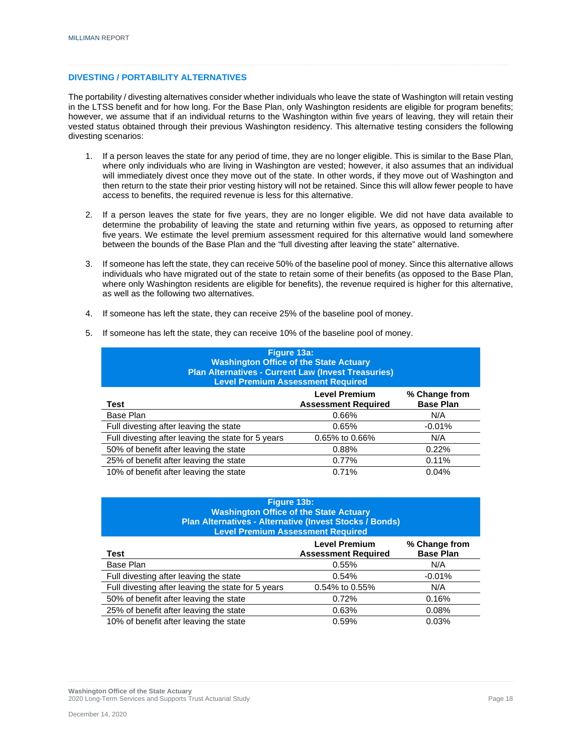#### **DIVESTING / PORTABILITY ALTERNATIVES**

The portability / divesting alternatives consider whether individuals who leave the state of Washington will retain vesting in the LTSS benefit and for how long. For the Base Plan, only Washington residents are eligible for program benefits; however, we assume that if an individual returns to the Washington within five years of leaving, they will retain their vested status obtained through their previous Washington residency. This alternative testing considers the following divesting scenarios:

- 1. If a person leaves the state for any period of time, they are no longer eligible. This is similar to the Base Plan, where only individuals who are living in Washington are vested; however, it also assumes that an individual will immediately divest once they move out of the state. In other words, if they move out of Washington and then return to the state their prior vesting history will not be retained. Since this will allow fewer people to have access to benefits, the required revenue is less for this alternative.
- 2. If a person leaves the state for five years, they are no longer eligible. We did not have data available to determine the probability of leaving the state and returning within five years, as opposed to returning after five years. We estimate the level premium assessment required for this alternative would land somewhere between the bounds of the Base Plan and the "full divesting after leaving the state" alternative.
- 3. If someone has left the state, they can receive 50% of the baseline pool of money. Since this alternative allows individuals who have migrated out of the state to retain some of their benefits (as opposed to the Base Plan, where only Washington residents are eligible for benefits), the revenue required is higher for this alternative, as well as the following two alternatives.
- 4. If someone has left the state, they can receive 25% of the baseline pool of money.

| Figure 13a:<br><b>Washington Office of the State Actuary</b><br><b>Plan Alternatives - Current Law (Invest Treasuries)</b><br><b>Level Premium Assessment Required</b> |                |          |  |  |
|------------------------------------------------------------------------------------------------------------------------------------------------------------------------|----------------|----------|--|--|
| <b>Level Premium</b><br>% Change from<br><b>Base Plan</b><br><b>Assessment Required</b><br>Test                                                                        |                |          |  |  |
| Base Plan                                                                                                                                                              | 0.66%          | N/A      |  |  |
| Full divesting after leaving the state                                                                                                                                 | 0.65%          | $-0.01%$ |  |  |
| Full divesting after leaving the state for 5 years                                                                                                                     | 0.65% to 0.66% | N/A      |  |  |
| 50% of benefit after leaving the state                                                                                                                                 | 0.88%          | 0.22%    |  |  |
| 25% of benefit after leaving the state                                                                                                                                 | 0.77%          | 0.11%    |  |  |
| 10% of benefit after leaving the state                                                                                                                                 | 0.71%          | 0.04%    |  |  |

5. If someone has left the state, they can receive 10% of the baseline pool of money.

| Figure 13b:                                             |
|---------------------------------------------------------|
| <b>Washington Office of the State Actuary</b>           |
| Plan Alternatives - Alternative (Invest Stocks / Bonds) |
| <b>Level Premium Assessment Required</b>                |

| Test                                               | <b>Level Premium</b><br><b>Assessment Required</b> | % Change from<br><b>Base Plan</b> |
|----------------------------------------------------|----------------------------------------------------|-----------------------------------|
| Base Plan                                          | 0.55%                                              | N/A                               |
| Full divesting after leaving the state             | 0.54%                                              | $-0.01%$                          |
| Full divesting after leaving the state for 5 years | 0.54% to 0.55%                                     | N/A                               |
| 50% of benefit after leaving the state             | 0.72%                                              | 0.16%                             |
| 25% of benefit after leaving the state             | 0.63%                                              | 0.08%                             |
| 10% of benefit after leaving the state             | 0.59%                                              | 0.03%                             |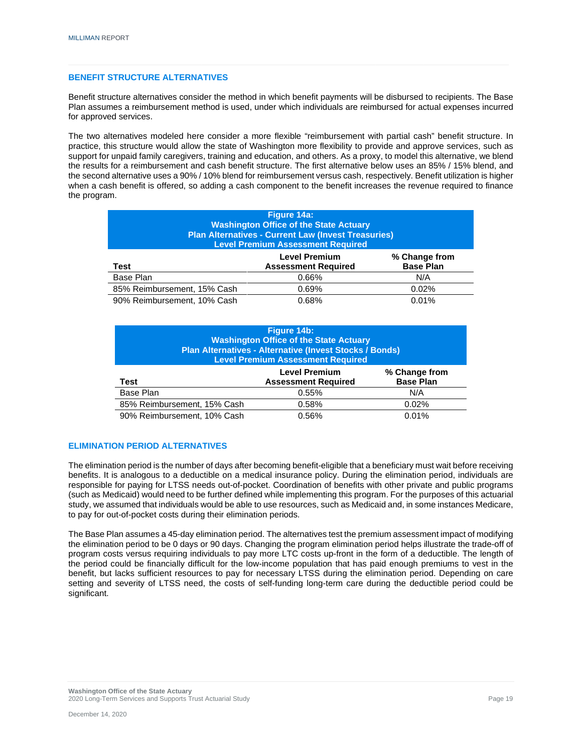#### **BENEFIT STRUCTURE ALTERNATIVES**

Benefit structure alternatives consider the method in which benefit payments will be disbursed to recipients. The Base Plan assumes a reimbursement method is used, under which individuals are reimbursed for actual expenses incurred for approved services.

The two alternatives modeled here consider a more flexible "reimbursement with partial cash" benefit structure. In practice, this structure would allow the state of Washington more flexibility to provide and approve services, such as support for unpaid family caregivers, training and education, and others. As a proxy, to model this alternative, we blend the results for a reimbursement and cash benefit structure. The first alternative below uses an 85% / 15% blend, and the second alternative uses a 90% / 10% blend for reimbursement versus cash, respectively. Benefit utilization is higher when a cash benefit is offered, so adding a cash component to the benefit increases the revenue required to finance the program.

| Figure 14a:<br><b>Washington Office of the State Actuary</b><br><b>Plan Alternatives - Current Law (Invest Treasuries)</b><br><b>Level Premium Assessment Required</b> |  |  |  |
|------------------------------------------------------------------------------------------------------------------------------------------------------------------------|--|--|--|
| <b>Level Premium</b><br>% Change from<br><b>Base Plan</b><br><b>Assessment Required</b><br>Test                                                                        |  |  |  |
| Base Plan<br>N/A<br>0.66%                                                                                                                                              |  |  |  |
| 85% Reimbursement, 15% Cash<br>0.02%<br>0.69%                                                                                                                          |  |  |  |
| 90% Reimbursement, 10% Cash<br>0.01%<br>0.68%                                                                                                                          |  |  |  |

| Figure 14b:<br><b>Washington Office of the State Actuary</b><br>Plan Alternatives - Alternative (Invest Stocks / Bonds)<br><b>Level Premium Assessment Required</b> |       |       |  |
|---------------------------------------------------------------------------------------------------------------------------------------------------------------------|-------|-------|--|
| <b>Level Premium</b><br>% Change from<br><b>Base Plan</b><br><b>Assessment Required</b><br>Test                                                                     |       |       |  |
| Base Plan                                                                                                                                                           | 0.55% | N/A   |  |
| 85% Reimbursement, 15% Cash                                                                                                                                         | 0.58% | 0.02% |  |
| 90% Reimbursement, 10% Cash<br>0.01%<br>0.56%                                                                                                                       |       |       |  |

#### **ELIMINATION PERIOD ALTERNATIVES**

The elimination period is the number of days after becoming benefit-eligible that a beneficiary must wait before receiving benefits. It is analogous to a deductible on a medical insurance policy. During the elimination period, individuals are responsible for paying for LTSS needs out-of-pocket. Coordination of benefits with other private and public programs (such as Medicaid) would need to be further defined while implementing this program. For the purposes of this actuarial study, we assumed that individuals would be able to use resources, such as Medicaid and, in some instances Medicare, to pay for out-of-pocket costs during their elimination periods.

The Base Plan assumes a 45-day elimination period. The alternatives test the premium assessment impact of modifying the elimination period to be 0 days or 90 days. Changing the program elimination period helps illustrate the trade-off of program costs versus requiring individuals to pay more LTC costs up-front in the form of a deductible. The length of the period could be financially difficult for the low-income population that has paid enough premiums to vest in the benefit, but lacks sufficient resources to pay for necessary LTSS during the elimination period. Depending on care setting and severity of LTSS need, the costs of self-funding long-term care during the deductible period could be significant.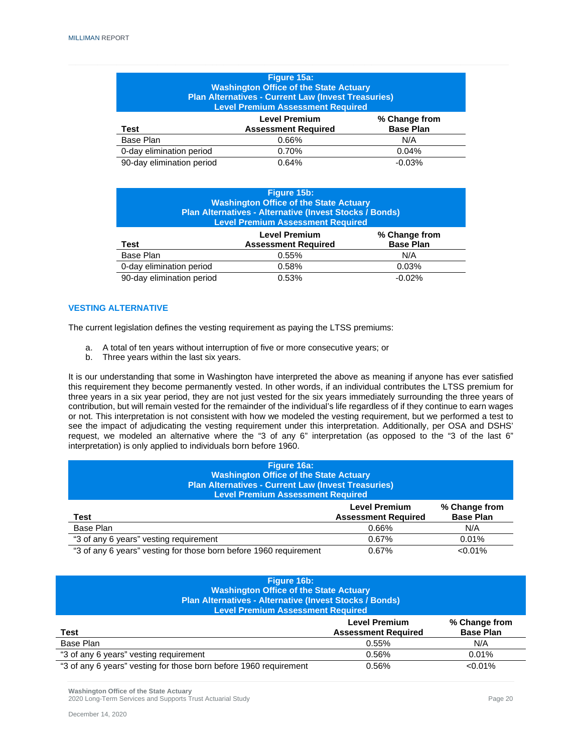| Figure 15a:<br><b>Washington Office of the State Actuary</b><br><b>Plan Alternatives - Current Law (Invest Treasuries)</b><br><b>Level Premium Assessment Required</b> |       |     |  |
|------------------------------------------------------------------------------------------------------------------------------------------------------------------------|-------|-----|--|
| <b>Level Premium</b><br>% Change from<br><b>Base Plan</b><br><b>Assessment Required</b><br>Test                                                                        |       |     |  |
| Base Plan                                                                                                                                                              | 0.66% | N/A |  |
| 0-day elimination period<br>0.70%<br>0.04%                                                                                                                             |       |     |  |
| 90-day elimination period<br>$-0.03%$<br>0.64%                                                                                                                         |       |     |  |

| Figure 15b:<br><b>Washington Office of the State Actuary</b><br>Plan Alternatives - Alternative (Invest Stocks / Bonds)<br><b>Level Premium Assessment Required</b> |                                                    |                                   |
|---------------------------------------------------------------------------------------------------------------------------------------------------------------------|----------------------------------------------------|-----------------------------------|
| Test                                                                                                                                                                | <b>Level Premium</b><br><b>Assessment Required</b> | % Change from<br><b>Base Plan</b> |
| Base Plan                                                                                                                                                           | 0.55%                                              | N/A                               |
| 0-day elimination period                                                                                                                                            | 0.58%                                              | 0.03%                             |
| 90-day elimination period                                                                                                                                           | 0.53%                                              | $-0.02%$                          |

#### **VESTING ALTERNATIVE**

The current legislation defines the vesting requirement as paying the LTSS premiums:

- a. A total of ten years without interruption of five or more consecutive years; or
- b. Three years within the last six years.

It is our understanding that some in Washington have interpreted the above as meaning if anyone has ever satisfied this requirement they become permanently vested. In other words, if an individual contributes the LTSS premium for three years in a six year period, they are not just vested for the six years immediately surrounding the three years of contribution, but will remain vested for the remainder of the individual's life regardless of if they continue to earn wages or not. This interpretation is not consistent with how we modeled the vesting requirement, but we performed a test to see the impact of adjudicating the vesting requirement under this interpretation. Additionally, per OSA and DSHS' request, we modeled an alternative where the "3 of any 6" interpretation (as opposed to the "3 of the last 6" interpretation) is only applied to individuals born before 1960.

| Figure 16a:<br><b>Washington Office of the State Actuary</b><br><b>Plan Alternatives - Current Law (Invest Treasuries)</b><br><b>Level Premium Assessment Required</b> |  |  |
|------------------------------------------------------------------------------------------------------------------------------------------------------------------------|--|--|
| <b>Level Premium</b><br>% Change from<br><b>Base Plan</b><br><b>Assessment Required</b><br>Test                                                                        |  |  |
| Base Plan<br>N/A<br>0.66%                                                                                                                                              |  |  |
| "3 of any 6 years" vesting requirement<br>0.01%<br>0.67%                                                                                                               |  |  |
| "3 of any 6 years" vesting for those born before 1960 requirement<br>$< 0.01\%$<br>0.67%                                                                               |  |  |

| Figure 16b:<br><b>Washington Office of the State Actuary</b><br>Plan Alternatives - Alternative (Invest Stocks / Bonds)<br><b>Level Premium Assessment Required</b> |                                                                                         |  |  |
|---------------------------------------------------------------------------------------------------------------------------------------------------------------------|-----------------------------------------------------------------------------------------|--|--|
| Test                                                                                                                                                                | <b>Level Premium</b><br>% Change from<br><b>Base Plan</b><br><b>Assessment Required</b> |  |  |
| Base Plan<br>N/A<br>0.55%                                                                                                                                           |                                                                                         |  |  |
| "3 of any 6 years" vesting requirement<br>0.01%<br>0.56%                                                                                                            |                                                                                         |  |  |
| "3 of any 6 years" vesting for those born before 1960 requirement<br>$< 0.01\%$<br>0.56%                                                                            |                                                                                         |  |  |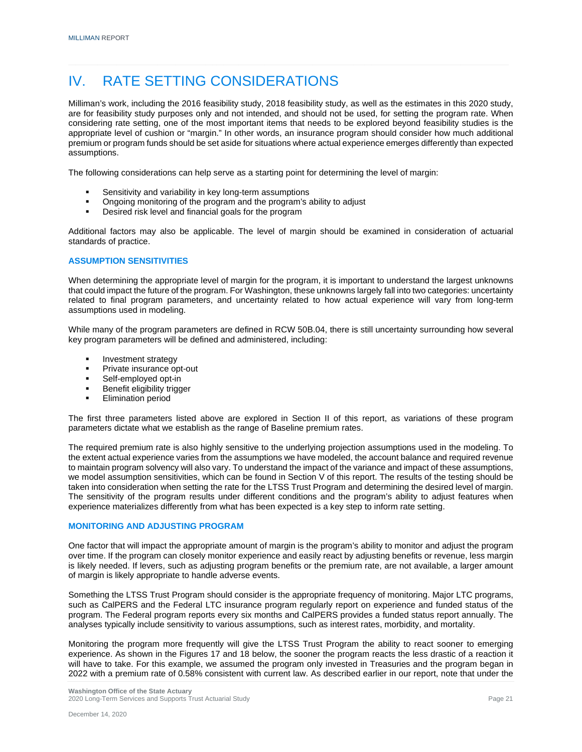### IV. RATE SETTING CONSIDERATIONS

Milliman's work, including the 2016 feasibility study, 2018 feasibility study, as well as the estimates in this 2020 study, are for feasibility study purposes only and not intended, and should not be used, for setting the program rate. When considering rate setting, one of the most important items that needs to be explored beyond feasibility studies is the appropriate level of cushion or "margin." In other words, an insurance program should consider how much additional premium or program funds should be set aside for situations where actual experience emerges differently than expected assumptions.

The following considerations can help serve as a starting point for determining the level of margin:

- Sensitivity and variability in key long-term assumptions
- Ongoing monitoring of the program and the program's ability to adjust
- **Desired risk level and financial goals for the program**

Additional factors may also be applicable. The level of margin should be examined in consideration of actuarial standards of practice.

#### **ASSUMPTION SENSITIVITIES**

When determining the appropriate level of margin for the program, it is important to understand the largest unknowns that could impact the future of the program. For Washington, these unknowns largely fall into two categories: uncertainty related to final program parameters, and uncertainty related to how actual experience will vary from long-term assumptions used in modeling.

While many of the program parameters are defined in RCW 50B.04, there is still uncertainty surrounding how several key program parameters will be defined and administered, including:

- Investment strategy
- Private insurance opt-out
- Self-employed opt-in
- Benefit eligibility trigger
- Elimination period

The first three parameters listed above are explored in Section II of this report, as variations of these program parameters dictate what we establish as the range of Baseline premium rates.

The required premium rate is also highly sensitive to the underlying projection assumptions used in the modeling. To the extent actual experience varies from the assumptions we have modeled, the account balance and required revenue to maintain program solvency will also vary. To understand the impact of the variance and impact of these assumptions, we model assumption sensitivities, which can be found in Section V of this report. The results of the testing should be taken into consideration when setting the rate for the LTSS Trust Program and determining the desired level of margin. The sensitivity of the program results under different conditions and the program's ability to adjust features when experience materializes differently from what has been expected is a key step to inform rate setting.

#### **MONITORING AND ADJUSTING PROGRAM**

One factor that will impact the appropriate amount of margin is the program's ability to monitor and adjust the program over time. If the program can closely monitor experience and easily react by adjusting benefits or revenue, less margin is likely needed. If levers, such as adjusting program benefits or the premium rate, are not available, a larger amount of margin is likely appropriate to handle adverse events.

Something the LTSS Trust Program should consider is the appropriate frequency of monitoring. Major LTC programs, such as CalPERS and the Federal LTC insurance program regularly report on experience and funded status of the program. The Federal program reports every six months and CalPERS provides a funded status report annually. The analyses typically include sensitivity to various assumptions, such as interest rates, morbidity, and mortality.

Monitoring the program more frequently will give the LTSS Trust Program the ability to react sooner to emerging experience. As shown in the Figures 17 and 18 below, the sooner the program reacts the less drastic of a reaction it will have to take. For this example, we assumed the program only invested in Treasuries and the program began in 2022 with a premium rate of 0.58% consistent with current law. As described earlier in our report, note that under the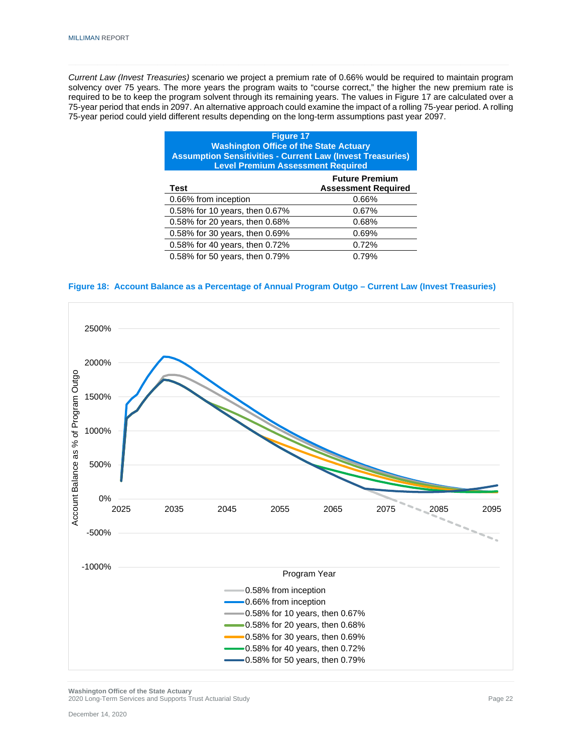*Current Law (Invest Treasuries)* scenario we project a premium rate of 0.66% would be required to maintain program solvency over 75 years. The more years the program waits to "course correct," the higher the new premium rate is required to be to keep the program solvent through its remaining years. The values in Figure 17 are calculated over a 75-year period that ends in 2097. An alternative approach could examine the impact of a rolling 75-year period. A rolling 75-year period could yield different results depending on the long-term assumptions past year 2097.

| <b>Figure 17</b><br><b>Washington Office of the State Actuary</b><br><b>Assumption Sensitivities - Current Law (Invest Treasuries)</b><br><b>Level Premium Assessment Required</b> |       |  |
|------------------------------------------------------------------------------------------------------------------------------------------------------------------------------------|-------|--|
| <b>Future Premium</b><br><b>Assessment Required</b><br><b>Test</b>                                                                                                                 |       |  |
| 0.66% from inception                                                                                                                                                               | 0.66% |  |
| 0.58% for 10 years, then 0.67%                                                                                                                                                     | 0.67% |  |
| 0.58% for 20 years, then 0.68%<br>0.68%                                                                                                                                            |       |  |
| 0.58% for 30 years, then 0.69%<br>0.69%                                                                                                                                            |       |  |
| 0.58% for 40 years, then 0.72%<br>0.72%                                                                                                                                            |       |  |
| 0.58% for 50 years, then 0.79%                                                                                                                                                     | 0.79% |  |

#### **Figure 18: Account Balance as a Percentage of Annual Program Outgo – Current Law (Invest Treasuries)**



**Washington Office of the State Actuary** 2020 Long-Term Services and Supports Trust Actuarial Study Page 22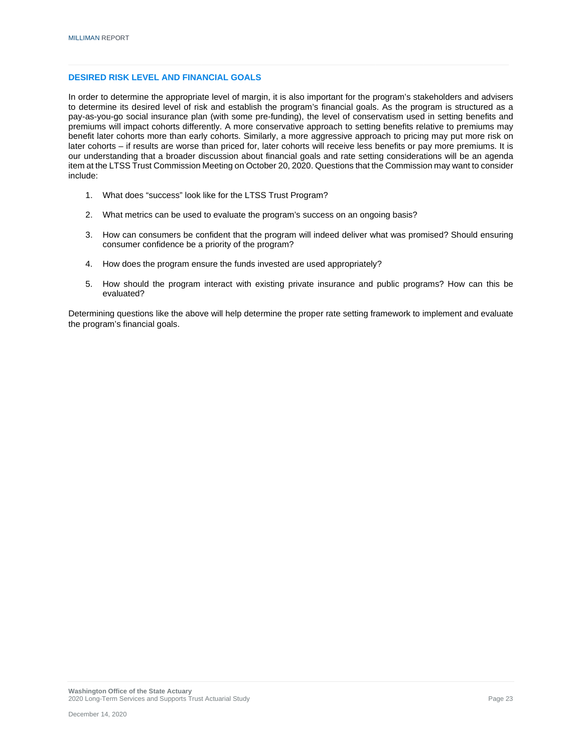#### **DESIRED RISK LEVEL AND FINANCIAL GOALS**

In order to determine the appropriate level of margin, it is also important for the program's stakeholders and advisers to determine its desired level of risk and establish the program's financial goals. As the program is structured as a pay-as-you-go social insurance plan (with some pre-funding), the level of conservatism used in setting benefits and premiums will impact cohorts differently. A more conservative approach to setting benefits relative to premiums may benefit later cohorts more than early cohorts. Similarly, a more aggressive approach to pricing may put more risk on later cohorts – if results are worse than priced for, later cohorts will receive less benefits or pay more premiums. It is our understanding that a broader discussion about financial goals and rate setting considerations will be an agenda item at the LTSS Trust Commission Meeting on October 20, 2020. Questions that the Commission may want to consider include:

- 1. What does "success" look like for the LTSS Trust Program?
- 2. What metrics can be used to evaluate the program's success on an ongoing basis?
- 3. How can consumers be confident that the program will indeed deliver what was promised? Should ensuring consumer confidence be a priority of the program?
- 4. How does the program ensure the funds invested are used appropriately?
- 5. How should the program interact with existing private insurance and public programs? How can this be evaluated?

Determining questions like the above will help determine the proper rate setting framework to implement and evaluate the program's financial goals.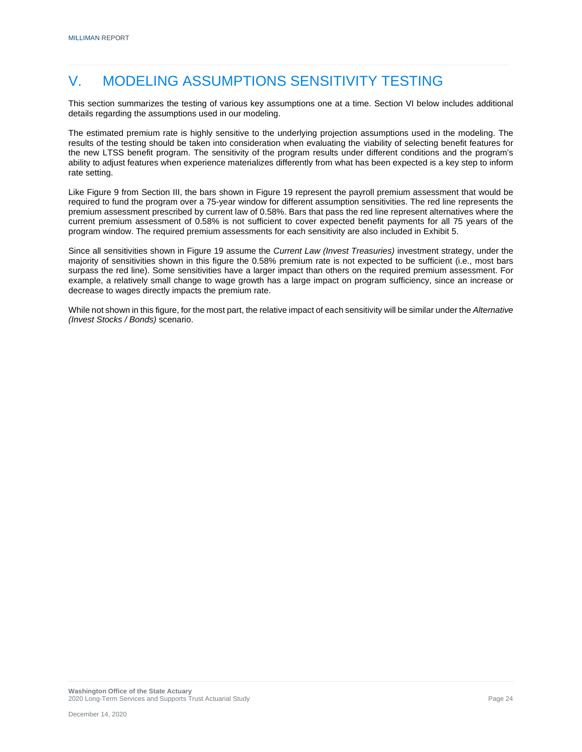# V. MODELING ASSUMPTIONS SENSITIVITY TESTING

This section summarizes the testing of various key assumptions one at a time. Section VI below includes additional details regarding the assumptions used in our modeling.

The estimated premium rate is highly sensitive to the underlying projection assumptions used in the modeling. The results of the testing should be taken into consideration when evaluating the viability of selecting benefit features for the new LTSS benefit program. The sensitivity of the program results under different conditions and the program's ability to adjust features when experience materializes differently from what has been expected is a key step to inform rate setting.

Like Figure 9 from Section III, the bars shown in Figure 19 represent the payroll premium assessment that would be required to fund the program over a 75-year window for different assumption sensitivities. The red line represents the premium assessment prescribed by current law of 0.58%. Bars that pass the red line represent alternatives where the current premium assessment of 0.58% is not sufficient to cover expected benefit payments for all 75 years of the program window. The required premium assessments for each sensitivity are also included in Exhibit 5.

Since all sensitivities shown in Figure 19 assume the *Current Law (Invest Treasuries)* investment strategy, under the majority of sensitivities shown in this figure the 0.58% premium rate is not expected to be sufficient (i.e., most bars surpass the red line). Some sensitivities have a larger impact than others on the required premium assessment. For example, a relatively small change to wage growth has a large impact on program sufficiency, since an increase or decrease to wages directly impacts the premium rate.

While not shown in this figure, for the most part, the relative impact of each sensitivity will be similar under the *Alternative (Invest Stocks / Bonds)* scenario.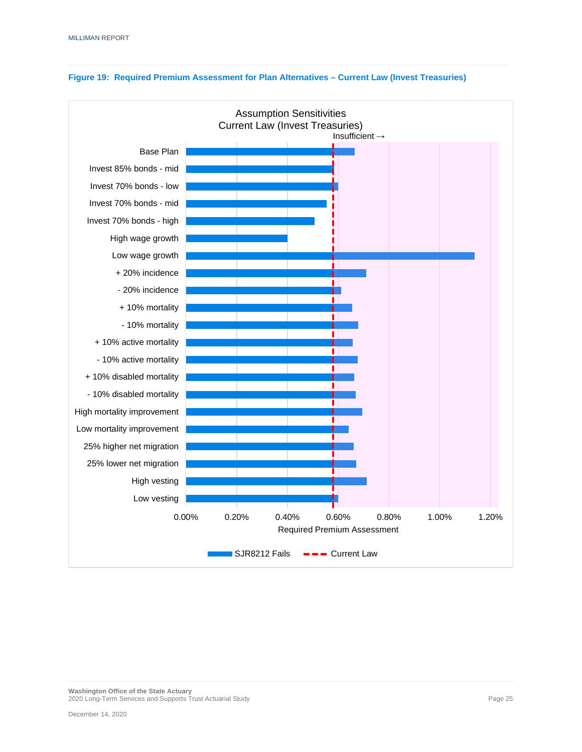

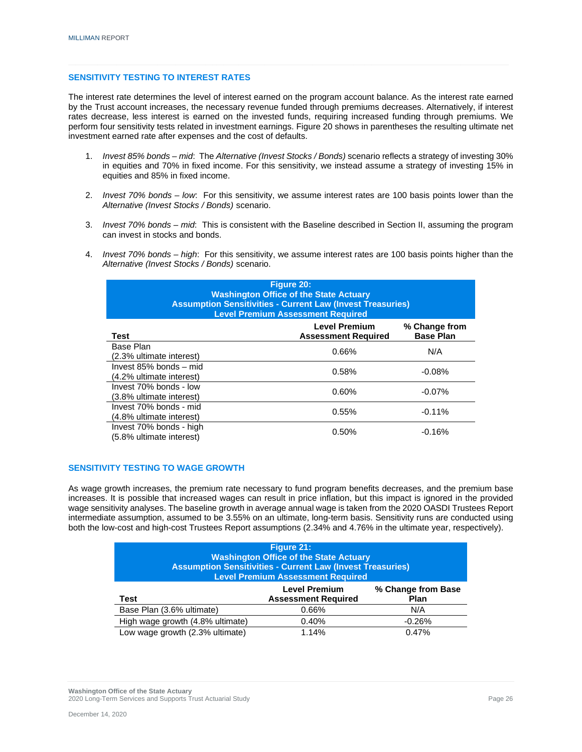#### **SENSITIVITY TESTING TO INTEREST RATES**

The interest rate determines the level of interest earned on the program account balance. As the interest rate earned by the Trust account increases, the necessary revenue funded through premiums decreases. Alternatively, if interest rates decrease, less interest is earned on the invested funds, requiring increased funding through premiums. We perform four sensitivity tests related in investment earnings. Figure 20 shows in parentheses the resulting ultimate net investment earned rate after expenses and the cost of defaults.

- 1. *Invest 85% bonds – mid*: The *Alternative (Invest Stocks / Bonds)* scenario reflects a strategy of investing 30% in equities and 70% in fixed income. For this sensitivity, we instead assume a strategy of investing 15% in equities and 85% in fixed income.
- 2. *Invest 70% bonds – low*: For this sensitivity, we assume interest rates are 100 basis points lower than the *Alternative (Invest Stocks / Bonds)* scenario.
- 3. *Invest 70% bonds – mid*: This is consistent with the Baseline described in Section II, assuming the program can invest in stocks and bonds.
- 4. *Invest 70% bonds – high*: For this sensitivity, we assume interest rates are 100 basis points higher than the *Alternative (Invest Stocks / Bonds)* scenario.

| Figure 20:<br><b>Washington Office of the State Actuary</b><br><b>Assumption Sensitivities - Current Law (Invest Treasuries)</b><br><b>Level Premium Assessment Required</b> |                                                    |                                   |
|------------------------------------------------------------------------------------------------------------------------------------------------------------------------------|----------------------------------------------------|-----------------------------------|
| Test                                                                                                                                                                         | <b>Level Premium</b><br><b>Assessment Required</b> | % Change from<br><b>Base Plan</b> |
| Base Plan<br>(2.3% ultimate interest)                                                                                                                                        | 0.66%                                              | N/A                               |
| Invest 85% bonds - mid<br>(4.2% ultimate interest)                                                                                                                           | 0.58%                                              | $-0.08%$                          |
| Invest 70% bonds - low<br>(3.8% ultimate interest)                                                                                                                           | 0.60%                                              | $-0.07%$                          |
| Invest 70% bonds - mid<br>(4.8% ultimate interest)                                                                                                                           | 0.55%                                              | $-0.11%$                          |
| Invest 70% bonds - high<br>(5.8% ultimate interest)                                                                                                                          | 0.50%                                              | $-0.16%$                          |

#### **SENSITIVITY TESTING TO WAGE GROWTH**

As wage growth increases, the premium rate necessary to fund program benefits decreases, and the premium base increases. It is possible that increased wages can result in price inflation, but this impact is ignored in the provided wage sensitivity analyses. The baseline growth in average annual wage is taken from the 2020 OASDI Trustees Report intermediate assumption, assumed to be 3.55% on an ultimate, long-term basis. Sensitivity runs are conducted using both the low-cost and high-cost Trustees Report assumptions (2.34% and 4.76% in the ultimate year, respectively).

| Figure 21:<br><b>Washington Office of the State Actuary</b><br><b>Assumption Sensitivities - Current Law (Invest Treasuries)</b><br><b>Level Premium Assessment Required</b> |                                                    |                                   |
|------------------------------------------------------------------------------------------------------------------------------------------------------------------------------|----------------------------------------------------|-----------------------------------|
| Test                                                                                                                                                                         | <b>Level Premium</b><br><b>Assessment Required</b> | % Change from Base<br><b>Plan</b> |
| Base Plan (3.6% ultimate)                                                                                                                                                    | 0.66%                                              | N/A                               |
| High wage growth (4.8% ultimate)                                                                                                                                             | 0.40%                                              | $-0.26%$                          |
| Low wage growth (2.3% ultimate)                                                                                                                                              | 1.14%                                              | 0.47%                             |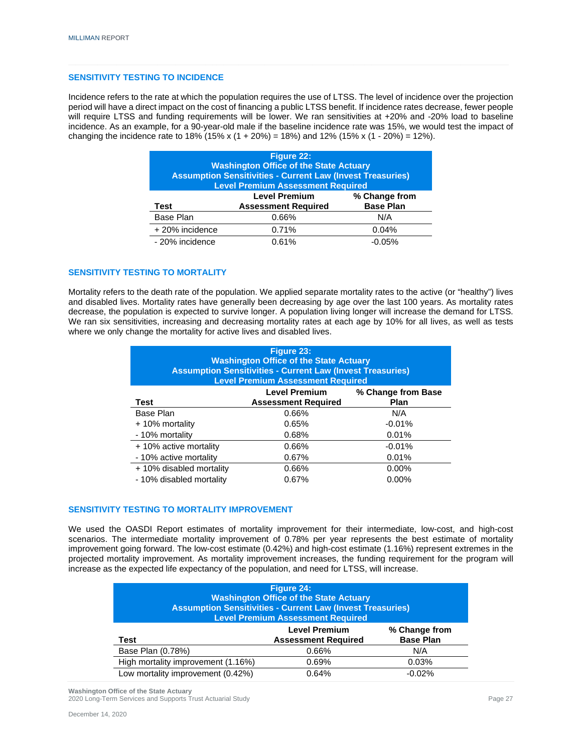#### **SENSITIVITY TESTING TO INCIDENCE**

Incidence refers to the rate at which the population requires the use of LTSS. The level of incidence over the projection period will have a direct impact on the cost of financing a public LTSS benefit. If incidence rates decrease, fewer people will require LTSS and funding requirements will be lower. We ran sensitivities at +20% and -20% load to baseline incidence. As an example, for a 90-year-old male if the baseline incidence rate was 15%, we would test the impact of changing the incidence rate to 18% (15% x (1 + 20%) = 18%) and 12% (15% x (1 - 20%) = 12%).

| <b>Figure 22:</b><br><b>Washington Office of the State Actuary</b><br><b>Assumption Sensitivities - Current Law (Invest Treasuries)</b><br><b>Level Premium Assessment Required</b> |       |                                   |
|-------------------------------------------------------------------------------------------------------------------------------------------------------------------------------------|-------|-----------------------------------|
| <b>Level Premium</b><br><b>Assessment Required</b><br>Test                                                                                                                          |       | % Change from<br><b>Base Plan</b> |
| Base Plan                                                                                                                                                                           | 0.66% | N/A                               |
| + 20% incidence                                                                                                                                                                     | 0.71% | 0.04%                             |
| - 20% incidence                                                                                                                                                                     | 0.61% | $-0.05\%$                         |

#### **SENSITIVITY TESTING TO MORTALITY**

Mortality refers to the death rate of the population. We applied separate mortality rates to the active (or "healthy") lives and disabled lives. Mortality rates have generally been decreasing by age over the last 100 years. As mortality rates decrease, the population is expected to survive longer. A population living longer will increase the demand for LTSS. We ran six sensitivities, increasing and decreasing mortality rates at each age by 10% for all lives, as well as tests where we only change the mortality for active lives and disabled lives.

| Figure 23:<br><b>Washington Office of the State Actuary</b><br><b>Assumption Sensitivities - Current Law (Invest Treasuries)</b><br><b>Level Premium Assessment Required</b> |                                                    |                                   |
|------------------------------------------------------------------------------------------------------------------------------------------------------------------------------|----------------------------------------------------|-----------------------------------|
| Test                                                                                                                                                                         | <b>Level Premium</b><br><b>Assessment Required</b> | % Change from Base<br><b>Plan</b> |
| Base Plan                                                                                                                                                                    | 0.66%                                              | N/A                               |
| + 10% mortality                                                                                                                                                              | 0.65%                                              | $-0.01%$                          |
| - 10% mortality                                                                                                                                                              | 0.68%                                              | 0.01%                             |
| + 10% active mortality                                                                                                                                                       | 0.66%                                              | $-0.01%$                          |
| - 10% active mortality                                                                                                                                                       | 0.67%                                              | 0.01%                             |
| + 10% disabled mortality                                                                                                                                                     | 0.66%                                              | $0.00\%$                          |
| - 10% disabled mortality                                                                                                                                                     | 0.67%                                              | $0.00\%$                          |

#### **SENSITIVITY TESTING TO MORTALITY IMPROVEMENT**

We used the OASDI Report estimates of mortality improvement for their intermediate, low-cost, and high-cost scenarios. The intermediate mortality improvement of 0.78% per year represents the best estimate of mortality improvement going forward. The low-cost estimate (0.42%) and high-cost estimate (1.16%) represent extremes in the projected mortality improvement. As mortality improvement increases, the funding requirement for the program will increase as the expected life expectancy of the population, and need for LTSS, will increase.

| Figure 24:<br><b>Washington Office of the State Actuary</b><br><b>Assumption Sensitivities - Current Law (Invest Treasuries)</b><br><b>Level Premium Assessment Required</b> |                                                    |                                   |  |
|------------------------------------------------------------------------------------------------------------------------------------------------------------------------------|----------------------------------------------------|-----------------------------------|--|
| Test                                                                                                                                                                         | <b>Level Premium</b><br><b>Assessment Required</b> | % Change from<br><b>Base Plan</b> |  |
| Base Plan (0.78%)                                                                                                                                                            | 0.66%                                              | N/A                               |  |
| High mortality improvement (1.16%)                                                                                                                                           | 0.69%                                              | 0.03%                             |  |
| Low mortality improvement (0.42%)<br>0.64%<br>$-0.02%$                                                                                                                       |                                                    |                                   |  |

**Washington Office of the State Actuary** 2020 Long-Term Services and Supports Trust Actuarial Study Page 27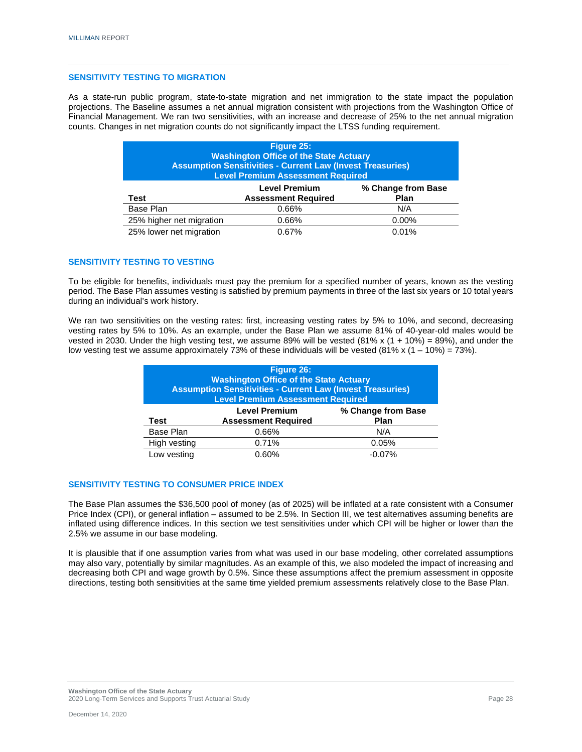#### **SENSITIVITY TESTING TO MIGRATION**

As a state-run public program, state-to-state migration and net immigration to the state impact the population projections. The Baseline assumes a net annual migration consistent with projections from the Washington Office of Financial Management. We ran two sensitivities, with an increase and decrease of 25% to the net annual migration counts. Changes in net migration counts do not significantly impact the LTSS funding requirement.

| Figure 25:<br><b>Washington Office of the State Actuary</b><br><b>Assumption Sensitivities - Current Law (Invest Treasuries)</b><br><b>Level Premium Assessment Required</b> |                |     |  |  |  |  |  |
|------------------------------------------------------------------------------------------------------------------------------------------------------------------------------|----------------|-----|--|--|--|--|--|
| % Change from Base<br><b>Level Premium</b><br><b>Assessment Required</b><br><b>Plan</b><br>Test                                                                              |                |     |  |  |  |  |  |
| Base Plan                                                                                                                                                                    | 0.66%          | N/A |  |  |  |  |  |
| 25% higher net migration<br>0.00%<br>0.66%                                                                                                                                   |                |     |  |  |  |  |  |
| 25% lower net migration                                                                                                                                                      | 0.01%<br>0.67% |     |  |  |  |  |  |

#### **SENSITIVITY TESTING TO VESTING**

To be eligible for benefits, individuals must pay the premium for a specified number of years, known as the vesting period. The Base Plan assumes vesting is satisfied by premium payments in three of the last six years or 10 total years during an individual's work history.

We ran two sensitivities on the vesting rates: first, increasing vesting rates by 5% to 10%, and second, decreasing vesting rates by 5% to 10%. As an example, under the Base Plan we assume 81% of 40-year-old males would be vested in 2030. Under the high vesting test, we assume 89% will be vested  $(81\% \times (1 + 10\%) = 89\%)$ , and under the low vesting test we assume approximately 73% of these individuals will be vested (81% x  $(1 - 10%) = 73%$ ).

| Figure 26:<br><b>Washington Office of the State Actuary</b><br><b>Assumption Sensitivities - Current Law (Invest Treasuries)</b><br><b>Level Premium Assessment Required</b> |       |           |  |  |  |  |  |
|------------------------------------------------------------------------------------------------------------------------------------------------------------------------------|-------|-----------|--|--|--|--|--|
| % Change from Base<br><b>Level Premium</b><br><b>Assessment Required</b><br><b>Plan</b><br>Test                                                                              |       |           |  |  |  |  |  |
| Base Plan                                                                                                                                                                    | 0.66% | N/A       |  |  |  |  |  |
| High vesting                                                                                                                                                                 | 0.71% | 0.05%     |  |  |  |  |  |
| Low vesting                                                                                                                                                                  | 0.60% | $-0.07\%$ |  |  |  |  |  |

#### **SENSITIVITY TESTING TO CONSUMER PRICE INDEX**

The Base Plan assumes the \$36,500 pool of money (as of 2025) will be inflated at a rate consistent with a Consumer Price Index (CPI), or general inflation – assumed to be 2.5%. In Section III, we test alternatives assuming benefits are inflated using difference indices. In this section we test sensitivities under which CPI will be higher or lower than the 2.5% we assume in our base modeling.

It is plausible that if one assumption varies from what was used in our base modeling, other correlated assumptions may also vary, potentially by similar magnitudes. As an example of this, we also modeled the impact of increasing and decreasing both CPI and wage growth by 0.5%. Since these assumptions affect the premium assessment in opposite directions, testing both sensitivities at the same time yielded premium assessments relatively close to the Base Plan.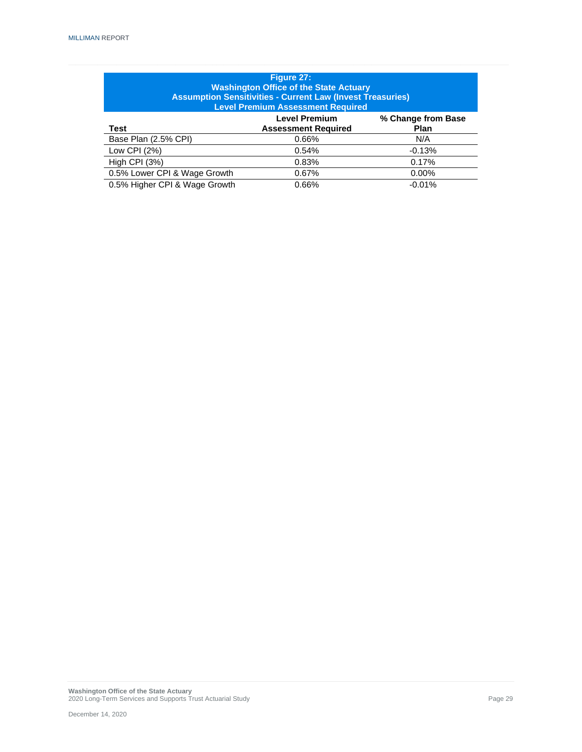| Figure 27:<br><b>Washington Office of the State Actuary</b><br><b>Assumption Sensitivities - Current Law (Invest Treasuries)</b><br><b>Level Premium Assessment Required</b> |       |          |  |  |  |  |  |  |
|------------------------------------------------------------------------------------------------------------------------------------------------------------------------------|-------|----------|--|--|--|--|--|--|
| <b>Level Premium</b><br>% Change from Base<br>Test<br><b>Assessment Required</b><br><b>Plan</b>                                                                              |       |          |  |  |  |  |  |  |
| Base Plan (2.5% CPI)                                                                                                                                                         | 0.66% | N/A      |  |  |  |  |  |  |
| Low CPI $(2%)$                                                                                                                                                               | 0.54% | $-0.13%$ |  |  |  |  |  |  |
| <b>High CPI (3%)</b>                                                                                                                                                         | 0.83% | 0.17%    |  |  |  |  |  |  |
| 0.5% Lower CPI & Wage Growth<br>0.67%<br>$0.00\%$                                                                                                                            |       |          |  |  |  |  |  |  |
| 0.5% Higher CPI & Wage Growth                                                                                                                                                | 0.66% | $-0.01%$ |  |  |  |  |  |  |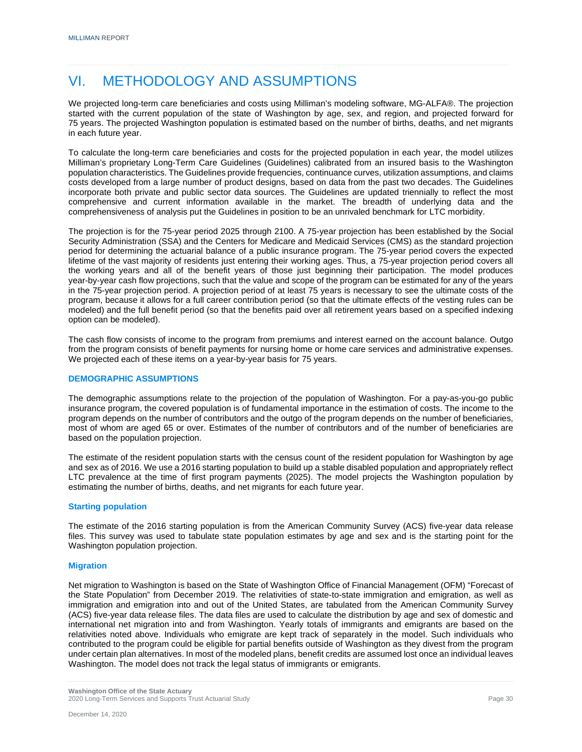### VI. METHODOLOGY AND ASSUMPTIONS

We projected long-term care beneficiaries and costs using Milliman's modeling software, MG-ALFA®. The projection started with the current population of the state of Washington by age, sex, and region, and projected forward for 75 years. The projected Washington population is estimated based on the number of births, deaths, and net migrants in each future year.

To calculate the long-term care beneficiaries and costs for the projected population in each year, the model utilizes Milliman's proprietary Long-Term Care Guidelines (Guidelines) calibrated from an insured basis to the Washington population characteristics. The Guidelines provide frequencies, continuance curves, utilization assumptions, and claims costs developed from a large number of product designs, based on data from the past two decades. The Guidelines incorporate both private and public sector data sources. The Guidelines are updated triennially to reflect the most comprehensive and current information available in the market. The breadth of underlying data and the comprehensiveness of analysis put the Guidelines in position to be an unrivaled benchmark for LTC morbidity.

The projection is for the 75-year period 2025 through 2100. A 75-year projection has been established by the Social Security Administration (SSA) and the Centers for Medicare and Medicaid Services (CMS) as the standard projection period for determining the actuarial balance of a public insurance program. The 75-year period covers the expected lifetime of the vast majority of residents just entering their working ages. Thus, a 75-year projection period covers all the working years and all of the benefit years of those just beginning their participation. The model produces year-by-year cash flow projections, such that the value and scope of the program can be estimated for any of the years in the 75-year projection period. A projection period of at least 75 years is necessary to see the ultimate costs of the program, because it allows for a full career contribution period (so that the ultimate effects of the vesting rules can be modeled) and the full benefit period (so that the benefits paid over all retirement years based on a specified indexing option can be modeled).

The cash flow consists of income to the program from premiums and interest earned on the account balance. Outgo from the program consists of benefit payments for nursing home or home care services and administrative expenses. We projected each of these items on a year-by-year basis for 75 years.

#### **DEMOGRAPHIC ASSUMPTIONS**

The demographic assumptions relate to the projection of the population of Washington. For a pay-as-you-go public insurance program, the covered population is of fundamental importance in the estimation of costs. The income to the program depends on the number of contributors and the outgo of the program depends on the number of beneficiaries, most of whom are aged 65 or over. Estimates of the number of contributors and of the number of beneficiaries are based on the population projection.

The estimate of the resident population starts with the census count of the resident population for Washington by age and sex as of 2016. We use a 2016 starting population to build up a stable disabled population and appropriately reflect LTC prevalence at the time of first program payments (2025). The model projects the Washington population by estimating the number of births, deaths, and net migrants for each future year.

#### **Starting population**

The estimate of the 2016 starting population is from the American Community Survey (ACS) five-year data release files. This survey was used to tabulate state population estimates by age and sex and is the starting point for the Washington population projection.

#### **Migration**

Net migration to Washington is based on the State of Washington Office of Financial Management (OFM) "Forecast of the State Population" from December 2019. The relativities of state-to-state immigration and emigration, as well as immigration and emigration into and out of the United States, are tabulated from the American Community Survey (ACS) five-year data release files. The data files are used to calculate the distribution by age and sex of domestic and international net migration into and from Washington. Yearly totals of immigrants and emigrants are based on the relativities noted above. Individuals who emigrate are kept track of separately in the model. Such individuals who contributed to the program could be eligible for partial benefits outside of Washington as they divest from the program under certain plan alternatives. In most of the modeled plans, benefit credits are assumed lost once an individual leaves Washington. The model does not track the legal status of immigrants or emigrants.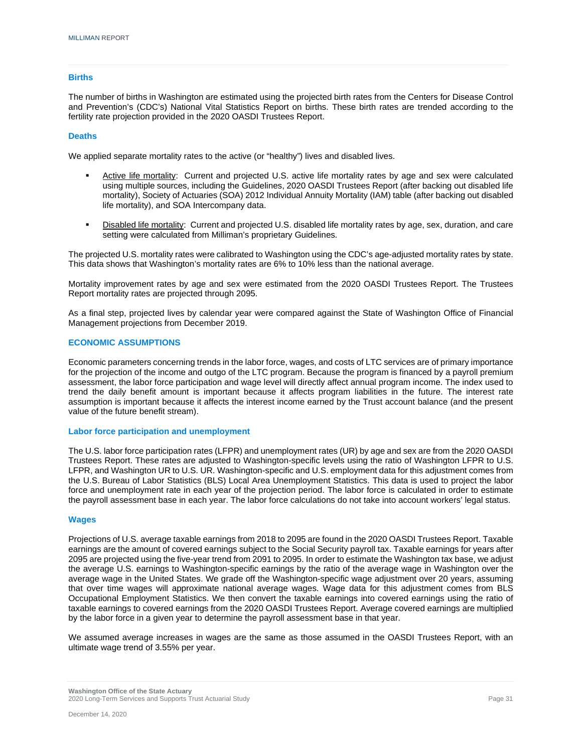#### **Births**

The number of births in Washington are estimated using the projected birth rates from the Centers for Disease Control and Prevention's (CDC's) National Vital Statistics Report on births. These birth rates are trended according to the fertility rate projection provided in the 2020 OASDI Trustees Report.

#### **Deaths**

We applied separate mortality rates to the active (or "healthy") lives and disabled lives.

- Active life mortality: Current and projected U.S. active life mortality rates by age and sex were calculated using multiple sources, including the Guidelines, 2020 OASDI Trustees Report (after backing out disabled life mortality), Society of Actuaries (SOA) 2012 Individual Annuity Mortality (IAM) table (after backing out disabled life mortality), and SOA Intercompany data.
- Disabled life mortality: Current and projected U.S. disabled life mortality rates by age, sex, duration, and care setting were calculated from Milliman's proprietary Guidelines.

The projected U.S. mortality rates were calibrated to Washington using the CDC's age-adjusted mortality rates by state. This data shows that Washington's mortality rates are 6% to 10% less than the national average.

Mortality improvement rates by age and sex were estimated from the 2020 OASDI Trustees Report. The Trustees Report mortality rates are projected through 2095.

As a final step, projected lives by calendar year were compared against the State of Washington Office of Financial Management projections from December 2019.

#### **ECONOMIC ASSUMPTIONS**

Economic parameters concerning trends in the labor force, wages, and costs of LTC services are of primary importance for the projection of the income and outgo of the LTC program. Because the program is financed by a payroll premium assessment, the labor force participation and wage level will directly affect annual program income. The index used to trend the daily benefit amount is important because it affects program liabilities in the future. The interest rate assumption is important because it affects the interest income earned by the Trust account balance (and the present value of the future benefit stream).

#### **Labor force participation and unemployment**

The U.S. labor force participation rates (LFPR) and unemployment rates (UR) by age and sex are from the 2020 OASDI Trustees Report. These rates are adjusted to Washington-specific levels using the ratio of Washington LFPR to U.S. LFPR, and Washington UR to U.S. UR. Washington-specific and U.S. employment data for this adjustment comes from the U.S. Bureau of Labor Statistics (BLS) Local Area Unemployment Statistics. This data is used to project the labor force and unemployment rate in each year of the projection period. The labor force is calculated in order to estimate the payroll assessment base in each year. The labor force calculations do not take into account workers' legal status.

#### **Wages**

Projections of U.S. average taxable earnings from 2018 to 2095 are found in the 2020 OASDI Trustees Report. Taxable earnings are the amount of covered earnings subject to the Social Security payroll tax. Taxable earnings for years after 2095 are projected using the five-year trend from 2091 to 2095. In order to estimate the Washington tax base, we adjust the average U.S. earnings to Washington-specific earnings by the ratio of the average wage in Washington over the average wage in the United States. We grade off the Washington-specific wage adjustment over 20 years, assuming that over time wages will approximate national average wages. Wage data for this adjustment comes from BLS Occupational Employment Statistics. We then convert the taxable earnings into covered earnings using the ratio of taxable earnings to covered earnings from the 2020 OASDI Trustees Report. Average covered earnings are multiplied by the labor force in a given year to determine the payroll assessment base in that year.

We assumed average increases in wages are the same as those assumed in the OASDI Trustees Report, with an ultimate wage trend of 3.55% per year.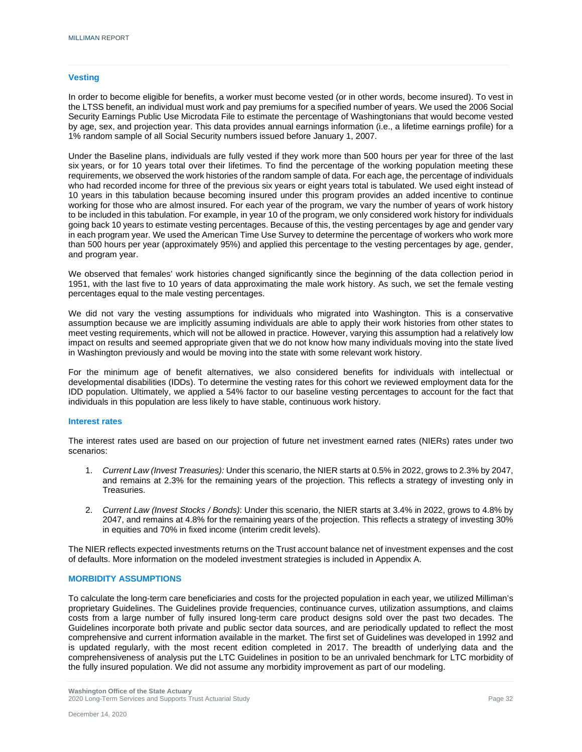#### **Vesting**

In order to become eligible for benefits, a worker must become vested (or in other words, become insured). To vest in the LTSS benefit, an individual must work and pay premiums for a specified number of years. We used the 2006 Social Security Earnings Public Use Microdata File to estimate the percentage of Washingtonians that would become vested by age, sex, and projection year. This data provides annual earnings information (i.e., a lifetime earnings profile) for a 1% random sample of all Social Security numbers issued before January 1, 2007.

Under the Baseline plans, individuals are fully vested if they work more than 500 hours per year for three of the last six years, or for 10 years total over their lifetimes. To find the percentage of the working population meeting these requirements, we observed the work histories of the random sample of data. For each age, the percentage of individuals who had recorded income for three of the previous six years or eight years total is tabulated. We used eight instead of 10 years in this tabulation because becoming insured under this program provides an added incentive to continue working for those who are almost insured. For each year of the program, we vary the number of years of work history to be included in this tabulation. For example, in year 10 of the program, we only considered work history for individuals going back 10 years to estimate vesting percentages. Because of this, the vesting percentages by age and gender vary in each program year. We used the American Time Use Survey to determine the percentage of workers who work more than 500 hours per year (approximately 95%) and applied this percentage to the vesting percentages by age, gender, and program year.

We observed that females' work histories changed significantly since the beginning of the data collection period in 1951, with the last five to 10 years of data approximating the male work history. As such, we set the female vesting percentages equal to the male vesting percentages.

We did not vary the vesting assumptions for individuals who migrated into Washington. This is a conservative assumption because we are implicitly assuming individuals are able to apply their work histories from other states to meet vesting requirements, which will not be allowed in practice. However, varying this assumption had a relatively low impact on results and seemed appropriate given that we do not know how many individuals moving into the state lived in Washington previously and would be moving into the state with some relevant work history.

For the minimum age of benefit alternatives, we also considered benefits for individuals with intellectual or developmental disabilities (IDDs). To determine the vesting rates for this cohort we reviewed employment data for the IDD population. Ultimately, we applied a 54% factor to our baseline vesting percentages to account for the fact that individuals in this population are less likely to have stable, continuous work history.

#### **Interest rates**

The interest rates used are based on our projection of future net investment earned rates (NIERs) rates under two scenarios:

- 1. *Current Law (Invest Treasuries):* Under this scenario, the NIER starts at 0.5% in 2022, grows to 2.3% by 2047, and remains at 2.3% for the remaining years of the projection. This reflects a strategy of investing only in Treasuries.
- 2. *Current Law (Invest Stocks / Bonds)*: Under this scenario, the NIER starts at 3.4% in 2022, grows to 4.8% by 2047, and remains at 4.8% for the remaining years of the projection. This reflects a strategy of investing 30% in equities and 70% in fixed income (interim credit levels).

The NIER reflects expected investments returns on the Trust account balance net of investment expenses and the cost of defaults. More information on the modeled investment strategies is included in Appendix A.

#### **MORBIDITY ASSUMPTIONS**

To calculate the long-term care beneficiaries and costs for the projected population in each year, we utilized Milliman's proprietary Guidelines. The Guidelines provide frequencies, continuance curves, utilization assumptions, and claims costs from a large number of fully insured long-term care product designs sold over the past two decades. The Guidelines incorporate both private and public sector data sources, and are periodically updated to reflect the most comprehensive and current information available in the market. The first set of Guidelines was developed in 1992 and is updated regularly, with the most recent edition completed in 2017. The breadth of underlying data and the comprehensiveness of analysis put the LTC Guidelines in position to be an unrivaled benchmark for LTC morbidity of the fully insured population. We did not assume any morbidity improvement as part of our modeling.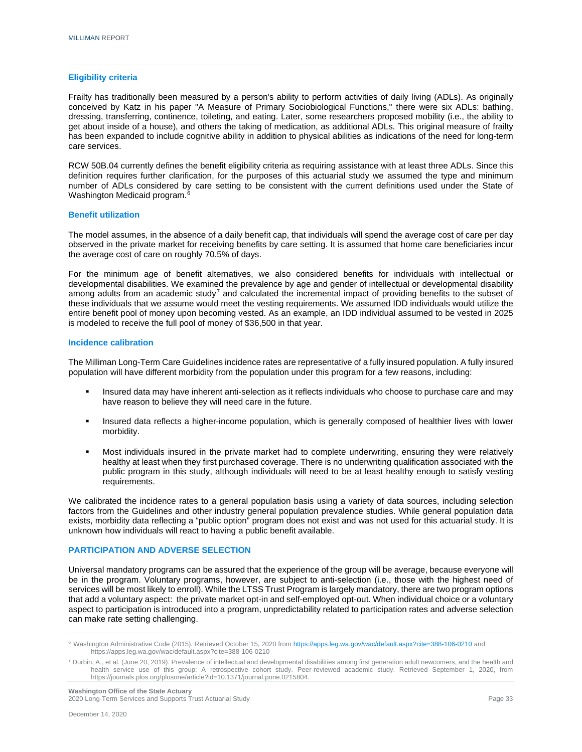#### **Eligibility criteria**

Frailty has traditionally been measured by a person's ability to perform activities of daily living (ADLs). As originally conceived by Katz in his paper "A Measure of Primary Sociobiological Functions," there were six ADLs: bathing, dressing, transferring, continence, toileting, and eating. Later, some researchers proposed mobility (i.e., the ability to get about inside of a house), and others the taking of medication, as additional ADLs. This original measure of frailty has been expanded to include cognitive ability in addition to physical abilities as indications of the need for long-term care services.

RCW 50B.04 currently defines the benefit eligibility criteria as requiring assistance with at least three ADLs. Since this definition requires further clarification, for the purposes of this actuarial study we assumed the type and minimum number of ADLs considered by care setting to be consistent with the current definitions used under the State of Washington Medicaid program. [6](#page-35-0)

#### **Benefit utilization**

The model assumes, in the absence of a daily benefit cap, that individuals will spend the average cost of care per day observed in the private market for receiving benefits by care setting. It is assumed that home care beneficiaries incur the average cost of care on roughly 70.5% of days.

For the minimum age of benefit alternatives, we also considered benefits for individuals with intellectual or developmental disabilities. We examined the prevalence by age and gender of intellectual or developmental disability among adults from an academic study<sup>[7](#page-35-1)</sup> and calculated the incremental impact of providing benefits to the subset of these individuals that we assume would meet the vesting requirements. We assumed IDD individuals would utilize the entire benefit pool of money upon becoming vested. As an example, an IDD individual assumed to be vested in 2025 is modeled to receive the full pool of money of \$36,500 in that year.

#### **Incidence calibration**

The Milliman Long-Term Care Guidelines incidence rates are representative of a fully insured population. A fully insured population will have different morbidity from the population under this program for a few reasons, including:

- Insured data may have inherent anti-selection as it reflects individuals who choose to purchase care and may have reason to believe they will need care in the future.
- **Insured data reflects a higher-income population, which is generally composed of healthier lives with lower** morbidity.
- Most individuals insured in the private market had to complete underwriting, ensuring they were relatively healthy at least when they first purchased coverage. There is no underwriting qualification associated with the public program in this study, although individuals will need to be at least healthy enough to satisfy vesting requirements.

We calibrated the incidence rates to a general population basis using a variety of data sources, including selection factors from the Guidelines and other industry general population prevalence studies. While general population data exists, morbidity data reflecting a "public option" program does not exist and was not used for this actuarial study. It is unknown how individuals will react to having a public benefit available.

#### **PARTICIPATION AND ADVERSE SELECTION**

Universal mandatory programs can be assured that the experience of the group will be average, because everyone will be in the program. Voluntary programs, however, are subject to anti-selection (i.e., those with the highest need of services will be most likely to enroll). While the LTSS Trust Program is largely mandatory, there are two program options that add a voluntary aspect: the private market opt-in and self-employed opt-out. When individual choice or a voluntary aspect to participation is introduced into a program, unpredictability related to participation rates and adverse selection can make rate setting challenging.

<span id="page-35-0"></span><sup>6</sup> Washington Administrative Code (2015). Retrieved October 15, 2020 from<https://apps.leg.wa.gov/wac/default.aspx?cite=388-106-0210> and https://apps.leg.wa.gov/wac/default.aspx?cite=388-106-0210

<span id="page-35-1"></span> $^7$  Durbin, A., et al. (June 20, 2019). Prevalence of intellectual and developmental disabilities among first generation adult newcomers, and the health and health service use of this group: A retrospective cohort study. Peer-reviewed academic study. Retrieved September 1, 2020, from https://journals.plos.org/plosone/article?id=10.1371/journal.pone.0215804.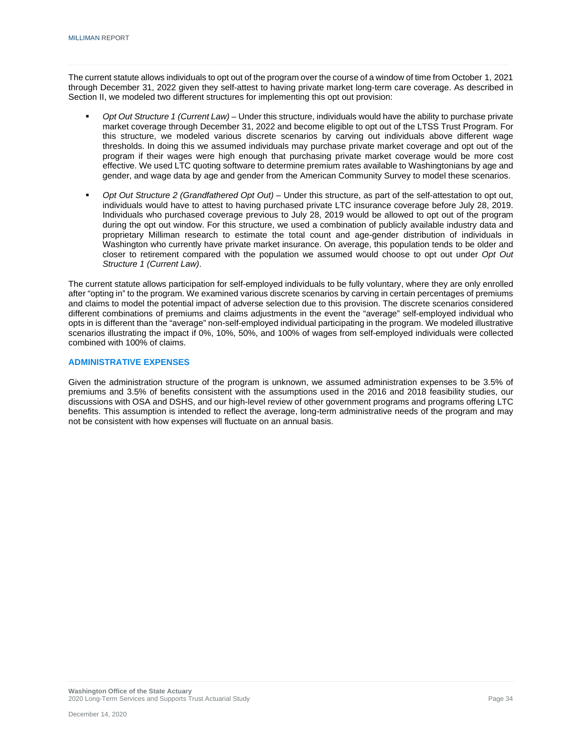The current statute allows individuals to opt out of the program over the course of a window of time from October 1, 2021 through December 31, 2022 given they self-attest to having private market long-term care coverage. As described in Section II, we modeled two different structures for implementing this opt out provision:

- *Opt Out Structure 1 (Current Law)* Under this structure, individuals would have the ability to purchase private market coverage through December 31, 2022 and become eligible to opt out of the LTSS Trust Program. For this structure, we modeled various discrete scenarios by carving out individuals above different wage thresholds. In doing this we assumed individuals may purchase private market coverage and opt out of the program if their wages were high enough that purchasing private market coverage would be more cost effective. We used LTC quoting software to determine premium rates available to Washingtonians by age and gender, and wage data by age and gender from the American Community Survey to model these scenarios.
- *Opt Out Structure 2 (Grandfathered Opt Out)* Under this structure, as part of the self-attestation to opt out, individuals would have to attest to having purchased private LTC insurance coverage before July 28, 2019. Individuals who purchased coverage previous to July 28, 2019 would be allowed to opt out of the program during the opt out window. For this structure, we used a combination of publicly available industry data and proprietary Milliman research to estimate the total count and age-gender distribution of individuals in Washington who currently have private market insurance. On average, this population tends to be older and closer to retirement compared with the population we assumed would choose to opt out under *Opt Out Structure 1 (Current Law)*.

The current statute allows participation for self-employed individuals to be fully voluntary, where they are only enrolled after "opting in" to the program. We examined various discrete scenarios by carving in certain percentages of premiums and claims to model the potential impact of adverse selection due to this provision. The discrete scenarios considered different combinations of premiums and claims adjustments in the event the "average" self-employed individual who opts in is different than the "average" non-self-employed individual participating in the program. We modeled illustrative scenarios illustrating the impact if 0%, 10%, 50%, and 100% of wages from self-employed individuals were collected combined with 100% of claims.

#### **ADMINISTRATIVE EXPENSES**

Given the administration structure of the program is unknown, we assumed administration expenses to be 3.5% of premiums and 3.5% of benefits consistent with the assumptions used in the 2016 and 2018 feasibility studies, our discussions with OSA and DSHS, and our high-level review of other government programs and programs offering LTC benefits. This assumption is intended to reflect the average, long-term administrative needs of the program and may not be consistent with how expenses will fluctuate on an annual basis.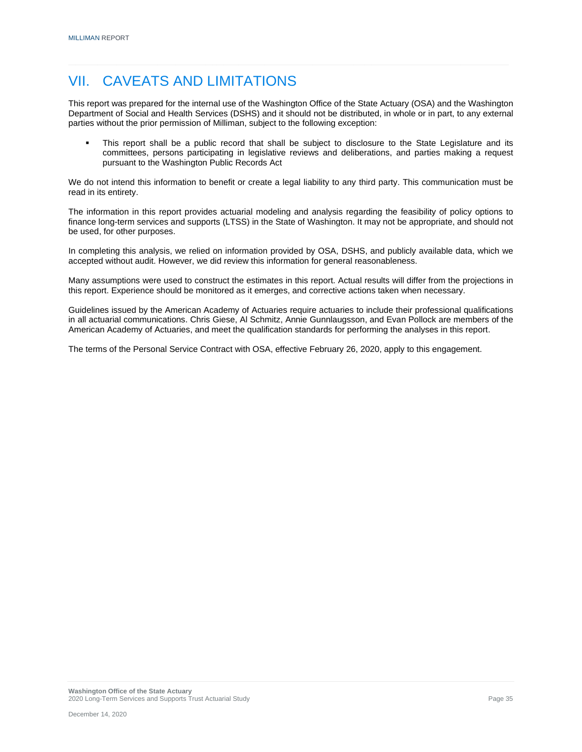### VII. CAVEATS AND LIMITATIONS

This report was prepared for the internal use of the Washington Office of the State Actuary (OSA) and the Washington Department of Social and Health Services (DSHS) and it should not be distributed, in whole or in part, to any external parties without the prior permission of Milliman, subject to the following exception:

 This report shall be a public record that shall be subject to disclosure to the State Legislature and its committees, persons participating in legislative reviews and deliberations, and parties making a request pursuant to the Washington Public Records Act

We do not intend this information to benefit or create a legal liability to any third party. This communication must be read in its entirety.

The information in this report provides actuarial modeling and analysis regarding the feasibility of policy options to finance long-term services and supports (LTSS) in the State of Washington. It may not be appropriate, and should not be used, for other purposes.

In completing this analysis, we relied on information provided by OSA, DSHS, and publicly available data, which we accepted without audit. However, we did review this information for general reasonableness.

Many assumptions were used to construct the estimates in this report. Actual results will differ from the projections in this report. Experience should be monitored as it emerges, and corrective actions taken when necessary.

Guidelines issued by the American Academy of Actuaries require actuaries to include their professional qualifications in all actuarial communications. Chris Giese, Al Schmitz, Annie Gunnlaugsson, and Evan Pollock are members of the American Academy of Actuaries, and meet the qualification standards for performing the analyses in this report.

The terms of the Personal Service Contract with OSA, effective February 26, 2020, apply to this engagement.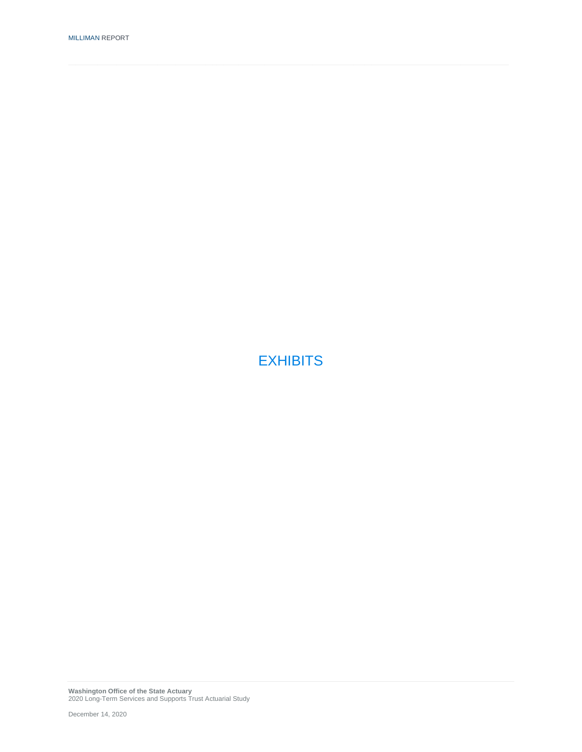**EXHIBITS**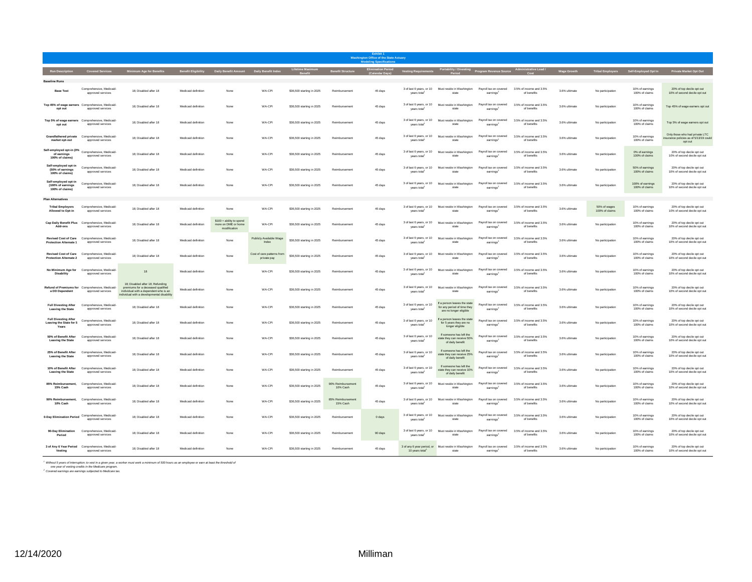|                                                                 | <b>Washington Office of the State Actuary</b>                         |                                                                                                                                                              |                     |                                                               |                                           |                           |                              |         |                                                      |                                                                                                                                                                                               |                                                 |                                        |                    |                                |                                       |                                                                                   |
|-----------------------------------------------------------------|-----------------------------------------------------------------------|--------------------------------------------------------------------------------------------------------------------------------------------------------------|---------------------|---------------------------------------------------------------|-------------------------------------------|---------------------------|------------------------------|---------|------------------------------------------------------|-----------------------------------------------------------------------------------------------------------------------------------------------------------------------------------------------|-------------------------------------------------|----------------------------------------|--------------------|--------------------------------|---------------------------------------|-----------------------------------------------------------------------------------|
|                                                                 | Run Description Covered Services                                      | <b>Minimum Age for Benefits</b>                                                                                                                              |                     | Benefit Eligibility Daily Benefit Amount Daily Benefit Index  |                                           | Lifetime Maximum          | <b>Benefit Structure</b>     |         |                                                      | Elimination Period Vesting Requirements Portability / Divesting Program Revenue Source Administrative Load /<br>Calendar Days) Vesting Requirements Period Period Program Revenue Source Cost |                                                 |                                        | <b>Wage Growth</b> |                                | Tribal Employers Self-Employed Opt In | Private Market Opt Out                                                            |
| <b>Baseline Runs</b>                                            |                                                                       |                                                                                                                                                              |                     |                                                               |                                           |                           |                              |         |                                                      |                                                                                                                                                                                               |                                                 |                                        |                    |                                |                                       |                                                                                   |
| <b>Base Test</b>                                                | Comprehensive Medicaid-<br>approved services                          | 18; Disabled after 18                                                                                                                                        | Medicaid definition | None                                                          | WA-CPI                                    | \$36,500 starting in 2025 | Reimbursement                | 45 days | 3 of last 6 years, or 10<br>years total              | Must reside in Washington<br>state                                                                                                                                                            | Payroll tax on covered<br>earnings <sup>2</sup> | 3.5% of income and 3.5%<br>of benefits | 3.6% ultimate      | No participation               | 10% of earnings<br>100% of claims     | 20% of top decile ont out<br>10% of second decile opt out                         |
| opt out                                                         | Top 45% of wage earners Comprehensive, Medicaid-<br>approved services | 18: Disabled after 18                                                                                                                                        | Medicaid definition | None                                                          | WA-CPI                                    | \$36,500 starting in 2025 | Reimbursement                | 45 days | 3 of last 6 years, or 10<br>vears total              | Must reside in Washington<br>state                                                                                                                                                            | Payroll tax on covered<br>earnings <sup>2</sup> | 3.5% of income and 3.5%<br>of benefits | 3.6% ultimate      | No participation               | 10% of earnings<br>100% of claims     | Top 45% of wage earners opt out                                                   |
| opt out                                                         | Top 5% of wage earners Comprehensive, Medicaid-<br>approved services  | 18: Disabled after 18                                                                                                                                        | Medicaid definition | None                                                          | WA-CPI                                    | \$36,500 starting in 2025 | Reimbursement                | 45 days | 3 of last 6 years, or 10<br>years total              | Must reside in Washington<br>state                                                                                                                                                            | Payroll tax on covered<br>earnings <sup>2</sup> | 3.5% of income and 3.5%<br>of benefits | 3.6% ultimate      | No participation               | 10% of earnings<br>100% of claims     | Top 5% of wage earners opt out                                                    |
| market opt-out                                                  | Grandfathered private Comprehensive, Medicaid-<br>approved services   | 18: Disabled after 18                                                                                                                                        | Medicaid definitio  |                                                               | WA-CPI                                    | \$36,500 starting in 2025 | Reimbursement                | 45 days | 3 of last 6 years, or 10<br>vears total              | Must reside in Washington<br>state                                                                                                                                                            | Payroll tax on covered<br>earnings <sup>2</sup> | 3.5% of income and 3.5%<br>of benefits | 3.6% ultimate      | No participation               | 10% of earnings<br>100% of claims     | Only those who had private LTC<br>surance policies as of 5/13/19 could<br>opt out |
| Self-employed opt-in (0%<br>of earnings<br>100% of claims)      | Comprehensive, Medicaid-<br>approved services                         | 18: Disabled after 18                                                                                                                                        | Medicaid definition | None                                                          | WA-CP                                     | \$36,500 starting in 2025 | Reimbursement                | 45 days | 3 of last 6 years, or 10<br>years total              | Must reside in Washington<br>state                                                                                                                                                            | Payroll tax on covered<br>earnings <sup>2</sup> | 3.5% of income and 3.5%<br>of benefits | 3.6% ultimate      | No participation               | 0% of earnings<br>100% of claims      | 20% of top decile opt out<br>10% of second decile opt out                         |
| Self-employed opt-in<br>(50% of earnings)<br>100% of claims)    | Comprehensive, Medicaid-<br>approved services                         | 18: Disabled after 18                                                                                                                                        | Medicaid definition | None                                                          | WA-CPI                                    | \$36,500 starting in 2025 | Reimbursement                | 45 days | 3 of last 6 years, or 10<br>years total              | Must reside in Washington<br>etate                                                                                                                                                            | Payroll tax on covered<br>earnings <sup>2</sup> | 3.5% of income and 3.5%<br>of henefits | 3.6% ultimate      | No participation               | 50% of earnings<br>100% of claims     | 20% of top decile opt out<br>10% of second decile opt out                         |
| Self-employed opt-in<br>(100% of earnings<br>100% of claims)    | Comprehensive Medicaid-<br>approved services                          | 18; Disabled after 18                                                                                                                                        | Medicaid definition | None                                                          | WA-CPI                                    | \$36,500 starting in 2025 | Reimbursement                | 45 days | 3 of last 6 years, or 10<br>years total              | Must reside in Washington<br>state                                                                                                                                                            | Payroll tax on covered<br>earnings              | 3.5% of income and 3.5%<br>of benefits | 3.6% ultimate      | No participation               | 100% of earnings<br>100% of claims    | 20% of top decile ont out<br>10% of second decile opt out                         |
| <b>Plan Alternatives</b>                                        |                                                                       |                                                                                                                                                              |                     |                                                               |                                           |                           |                              |         |                                                      |                                                                                                                                                                                               |                                                 |                                        |                    |                                |                                       |                                                                                   |
| <b>Tribal Employers</b><br>Allowed to Opt-in                    | Comprehensive, Medicaid-<br>approved services                         | 18: Disabled after 18                                                                                                                                        | Medicaid definition | None                                                          | WA-CPI                                    | \$36,500 starting in 2025 | Reimbursement                | 45 days | 3 of last 6 years, or 10<br>years total              | Must reside in Washington<br>state                                                                                                                                                            | Payroll tax on covered<br>earnings <sup>2</sup> | 3.5% of income and 3.5%<br>of henefits | 3.6% ultimate      | 50% of wages<br>100% of claims | 10% of earnings<br>100% of claims     | 20% of top decile opt out<br>10% of second decile opt out                         |
| Add-ons                                                         | Cap Daily Benefit Plus Comprehensive, Medicaid-<br>approved services  | 18; Disabled after 18                                                                                                                                        | Medicaid definition | \$100 + ability to spend<br>more on DME or home<br>modificati | WA-CPI                                    | \$36,500 starting in 2025 | Reimbursement                | 45 days | 3 of last 6 years, or 10<br>vears total              | Must reside in Washington<br>state                                                                                                                                                            | Payroll tax on covered<br>earnings              | 3.5% of income and 3.5%<br>of benefits | 3.6% ultimate      | No participatio                | 10% of earnings<br>100% of claims     | 20% of top decile ont out<br>10% of second decile ont out                         |
| <b>Revised Cost of Care</b><br><b>Protection Alternate 1</b>    | Comprehensive, Medicaid-<br>approved services                         | 18: Disabled after 18                                                                                                                                        | Medicaid definition | None                                                          | Publicly Available Wage<br>Index          | \$36,500 starting in 2025 | Reimbursement                | 45 days | 3 of last 6 years, or 10<br>vears total              | Must reside in Washington<br>state                                                                                                                                                            | Payroll tax on covered<br>earnings <sup>2</sup> | 3.5% of income and 3.5%<br>of benefits | 3.6% ultimate      | No participation               | 10% of earnings<br>100% of claims     | 20% of top decile opt out<br>10% of second decile opt out                         |
| <b>Revised Cost of Care</b><br><b>Protection Alternate 2</b>    | Comprehensive, Medicaid-<br>approved services                         | 18: Disabled after 18                                                                                                                                        | Medicaid definition | None                                                          | Cost of care patterns from<br>private pay | \$36,500 starting in 2025 | Reimbursement                | 45 days | 3 of last 6 years, or 10<br>vears total              | Must reside in Washington<br>state                                                                                                                                                            | Payroll tax on covered<br>earnings              | 3.5% of income and 3.5%<br>of benefits | 3.6% ultimate      | No participation               | 10% of earnings<br>100% of claims     | 20% of top decile opt out<br>10% of second decile opt out                         |
| <b>Disability</b>                                               | No Minimum Age for Comprehensive, Medicaid-<br>approved services      | 18                                                                                                                                                           | Medicaid definitio  | None                                                          | WA-CPI                                    | \$36,500 starting in 2025 | Reimbursement                | 45 days | 3 of last 6 years, or 10<br>vears total              | Must reside in Washington<br>state                                                                                                                                                            | Payroll tax on covered<br>earnings <sup>2</sup> | 3.5% of income and 3.5%<br>of benefits | 3.6% ultimate      | No participation               | 10% of earnings<br>100% of claims     | 20% of top decile opt out<br>10% of second decile opt out                         |
| a DD Dependent                                                  | Refund of Premiums for Comprehensive, Medicaid-<br>approved services  | 18: Disabled after 18: Refunding<br>premiums for a deceased qualified<br>individual with a dependent who is an<br>individual with a developmental disability | Medicaid definitio  | None                                                          | WA-CPI                                    | \$36,500 starting in 2025 | Reimbursement                | 45 days | 3 of last 6 years, or 10<br>vears total              | Must reside in Washington<br>state                                                                                                                                                            | Payroll tax on covered<br>earnings <sup>2</sup> | 3.5% of income and 3.5%<br>of benefits | 3.6% ultimate      | No participatio                | 10% of earnings<br>100% of claims     | 20% of top decile ont out<br>10% of second decile opt out                         |
| <b>Full Divesting After</b><br>Leaving the State                | Comprehensive, Medicaid-<br>annroved services                         | 18; Disabled after 18                                                                                                                                        | Medicaid definition | None                                                          | WA-CPI                                    | \$36,500 starting in 2025 | Reimbursement                | 45 days | 3 of last 6 years, or 10<br>years total <sup>1</sup> | If a nerson leaves the state<br>for any period of time they<br>are no longer eligible                                                                                                         | Payroll tax on covered<br>earnings <sup>2</sup> | 3.5% of income and 3.5%<br>of henefits | 3.6% ultimate      | No participation               | 10% of earnings<br>100% of claims     | 20% of top decile opt out<br>10% of second decile ont out                         |
| <b>Full Divesting After</b><br>Leaving the State for 5<br>Years | Comprehensive, Medicaid-<br>approved services                         | 18: Disabled after 18                                                                                                                                        | Medicaid definition | None                                                          | WA-CPI                                    | \$36,500 starting in 2025 | Reimbursement                | 45 days | 3 of last 6 years, or 10<br>vears total              | If a person leaves the state<br>for 5 years they are no<br>longer eligible                                                                                                                    | Payroll tax on covered<br>earnings <sup>2</sup> | 3.5% of income and 3.5%<br>of benefits | 3.6% ultimate      | No participation               | 10% of earnings<br>100% of claims     | 20% of top decile opt out<br>10% of second decile opt out                         |
| 50% of Benefit After<br><b>Leaving the State</b>                | Comprehensive, Medicaid-<br>approved services                         | 18: Disabled after 18                                                                                                                                        | Medicaid definition | None                                                          | WA-CPI                                    | \$36,500 starting in 2025 | Reimbursement                | 45 days | 3 of last 6 years, or 10<br>years total <sup>1</sup> | If someone has left the<br>state they can receive 50%<br>of daily benefit                                                                                                                     | Payroll tax on covered<br>earnings <sup>2</sup> | 3.5% of income and 3.5%<br>of benefits | 3.6% ultimate      | No participation               | 10% of earnings<br>100% of claims     | 20% of top decile opt out<br>10% of second decile opt out                         |
| 25% of Benefit After<br>Leaving the State                       | Comprehensive, Medicaid-<br>approved services                         | 18: Disabled after 18                                                                                                                                        | Medicaid definition | None                                                          | WA-CPI                                    | \$36,500 starting in 2025 | Reimbursement                | 45 days | 3 of last 6 years, or 10<br>years total <sup>1</sup> | If someone has left the<br>state they can receive 25%<br>of daily benefit                                                                                                                     | Payroll tax on covered<br>earnings <sup>2</sup> | 3.5% of income and 3.5%<br>of benefits | 3.6% ultimate      | No participation               | 10% of earnings<br>100% of claims     | 20% of top decile opt out<br>10% of second decile opt out                         |
| 10% of Benefit After<br>Leaving the State                       | Comprehensive, Medicaid-<br>approved services                         | 18; Disabled after 18                                                                                                                                        | Medicaid definition | None                                                          | WA-CPI                                    | \$36,500 starting in 2025 | Reimbursement                | 45 days | 3 of last 6 years, or 10<br>wears total              | If someone has left the<br>state they can receive 10%<br>filened viich lo                                                                                                                     | Payroll tax on covered<br>earnings              | 3.5% of income and 3.5%<br>of benefits | 3.6% ultimate      | No participation               | 10% of earnings<br>100% of claims     | 20% of top decile opt out<br>10% of second decile opt out                         |
| 15% Cash                                                        | 85% Reimbursement, Comprehensive, Medicaid-<br>approved services      | 18: Disabled after 18                                                                                                                                        | Medicaid definition | None                                                          | WA-CP                                     | \$36,500 starting in 2025 | 90% Reimbursemen<br>10% Cash | 45 days | 3 of last 6 years, or 10<br>years total <sup>1</sup> | Must reside in Washington<br>state                                                                                                                                                            | Payroll tax on covered<br>earnings <sup>2</sup> | 3.5% of income and 3.5%<br>of benefits | 3.6% ultimate      | No participation               | 10% of earnings<br>100% of claims     | 20% of top decile opt out<br>10% of second decile opt out                         |
| 90% Reimbursement.<br>10% Cash                                  | Comprehensive, Medicaid-<br>approved services                         | 18; Disabled after 18                                                                                                                                        | Medicaid definition | None                                                          | WA-CPI                                    | \$36,500 starting in 2025 | 85% Reimbursemen<br>15% Cash | 45 days | 3 of last 6 years, or 10<br>years total <sup>1</sup> | Must reside in Washington<br>state                                                                                                                                                            | Payroll tax on covered<br>earnings <sup>2</sup> | 3.5% of income and 3.5%<br>of benefits | 3.6% ultimate      | No participation               | 10% of earnings<br>100% of claims     | 20% of top decile opt out<br>10% of second decile opt out                         |
| 0-Day Elimination Period                                        | Comprehensive, Medicaid-<br>approved services                         | 18: Disabled after 18                                                                                                                                        | Medicaid definition | None                                                          | WA-CPI                                    | \$36,500 starting in 2025 | <b>Paimhureamant</b>         | 0 days  | 3 of last 6 years, or 10<br>vears total              | Must reside in Washington<br>state                                                                                                                                                            | Payroll tax on covered<br>earnings <sup>2</sup> | 3.5% of income and 3.5%<br>of benefits | 3.6% ultimate      | No participation               | 10% of earnings<br>100% of claims     | 20% of top decile opt out<br>10% of second decile opt out                         |
| 90-Day Elimination<br>Period                                    | Comprehensive, Medicaid-<br>pproved services                          | 18: Disabled after 18                                                                                                                                        | Medicaid definition | None                                                          | WA-CPI                                    | \$36,500 starting in 2025 | Reimbursement                | 90 days | 3 of last 6 years, or 10<br>vears total              | Must reside in Washington<br>state                                                                                                                                                            | Payroll tax on covered<br>earnings <sup>2</sup> | 3.5% of income and 3.5%<br>of benefits | 3.6% ultimate      | No participation               | 10% of earnings<br>100% of claims     | 20% of top decile opt out<br>10% of second decile opt out                         |
| Vesting                                                         | 3 of Any 6 Year Period Comprehensive, Medicaid<br>approved services   | 18: Disabled after 18                                                                                                                                        | Medicaid definition | None                                                          | WA-CPI                                    | \$36,500 starting in 2025 | Reimbursement                | 45 days | 10 years total <sup>1</sup>                          | 3 of any 6 year period, or Must reside in Washington<br>state                                                                                                                                 | Payroll tax on covered<br>earnings <sup>2</sup> | 3.5% of income and 3.5%<br>of benefits | 3.6% ultimate      | No participation               | 10% of earnings<br>100% of claims     | 20% of top decile opt out<br>10% of second decile opt out                         |

<sup>1</sup> Without 5 years of interruption; to vest in a given year, a worker must work a minimum of 500 hours as an employee or earn at least the threshold ol<br>- one year of vesting credits in the Medicare program.<br><sup>2</sup> Covered ea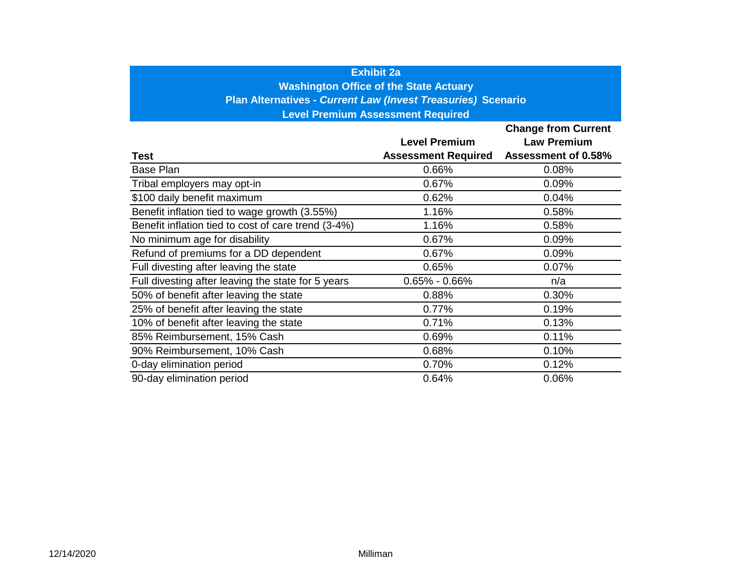### **Exhibit 2a**

**Washington Office of the State Actuary** 

**Plan Alternatives -** *Current Law (Invest Treasuries)* **Scenario** 

**Level Premium Assessment Required** 

|                                                     |                            | <b>Change from Current</b> |
|-----------------------------------------------------|----------------------------|----------------------------|
|                                                     | <b>Level Premium</b>       | <b>Law Premium</b>         |
| Test                                                | <b>Assessment Required</b> | <b>Assessment of 0.58%</b> |
| <b>Base Plan</b>                                    | 0.66%                      | 0.08%                      |
| Tribal employers may opt-in                         | 0.67%                      | 0.09%                      |
| \$100 daily benefit maximum                         | 0.62%                      | 0.04%                      |
| Benefit inflation tied to wage growth (3.55%)       | 1.16%                      | 0.58%                      |
| Benefit inflation tied to cost of care trend (3-4%) | 1.16%                      | 0.58%                      |
| No minimum age for disability                       | 0.67%                      | 0.09%                      |
| Refund of premiums for a DD dependent               | 0.67%                      | 0.09%                      |
| Full divesting after leaving the state              | 0.65%                      | 0.07%                      |
| Full divesting after leaving the state for 5 years  | $0.65\% - 0.66\%$          | n/a                        |
| 50% of benefit after leaving the state              | 0.88%                      | 0.30%                      |
| 25% of benefit after leaving the state              | 0.77%                      | 0.19%                      |
| 10% of benefit after leaving the state              | 0.71%                      | 0.13%                      |
| 85% Reimbursement, 15% Cash                         | 0.69%                      | 0.11%                      |
| 90% Reimbursement, 10% Cash                         | 0.68%                      | 0.10%                      |
| 0-day elimination period                            | 0.70%                      | 0.12%                      |
| 90-day elimination period                           | 0.64%                      | 0.06%                      |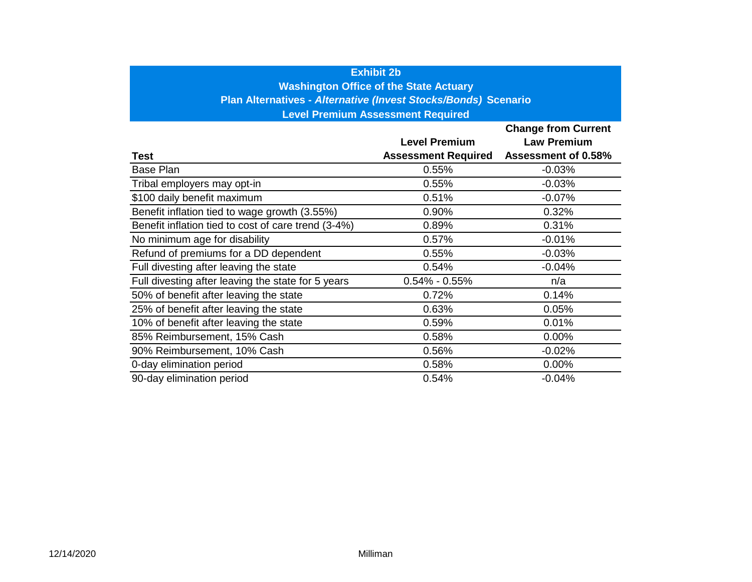### **Exhibit 2b**

**Washington Office of the State Actuary**

**Plan Alternatives -** *Alternative (Invest Stocks/Bonds)* **Scenario**

**Level Premium Assessment Required**

|                                                     |                            | <b>Change from Current</b> |
|-----------------------------------------------------|----------------------------|----------------------------|
|                                                     | <b>Level Premium</b>       | <b>Law Premium</b>         |
| Test                                                | <b>Assessment Required</b> | <b>Assessment of 0.58%</b> |
| Base Plan                                           | 0.55%                      | $-0.03%$                   |
| Tribal employers may opt-in                         | 0.55%                      | $-0.03%$                   |
| \$100 daily benefit maximum                         | 0.51%                      | $-0.07%$                   |
| Benefit inflation tied to wage growth (3.55%)       | 0.90%                      | 0.32%                      |
| Benefit inflation tied to cost of care trend (3-4%) | 0.89%                      | 0.31%                      |
| No minimum age for disability                       | 0.57%                      | $-0.01%$                   |
| Refund of premiums for a DD dependent               | 0.55%                      | $-0.03%$                   |
| Full divesting after leaving the state              | 0.54%                      | $-0.04%$                   |
| Full divesting after leaving the state for 5 years  | $0.54\% - 0.55\%$          | n/a                        |
| 50% of benefit after leaving the state              | 0.72%                      | 0.14%                      |
| 25% of benefit after leaving the state              | 0.63%                      | 0.05%                      |
| 10% of benefit after leaving the state              | 0.59%                      | 0.01%                      |
| 85% Reimbursement, 15% Cash                         | 0.58%                      | 0.00%                      |
| 90% Reimbursement, 10% Cash                         | 0.56%                      | $-0.02%$                   |
| 0-day elimination period                            | 0.58%                      | 0.00%                      |
| 90-day elimination period                           | 0.54%                      | $-0.04%$                   |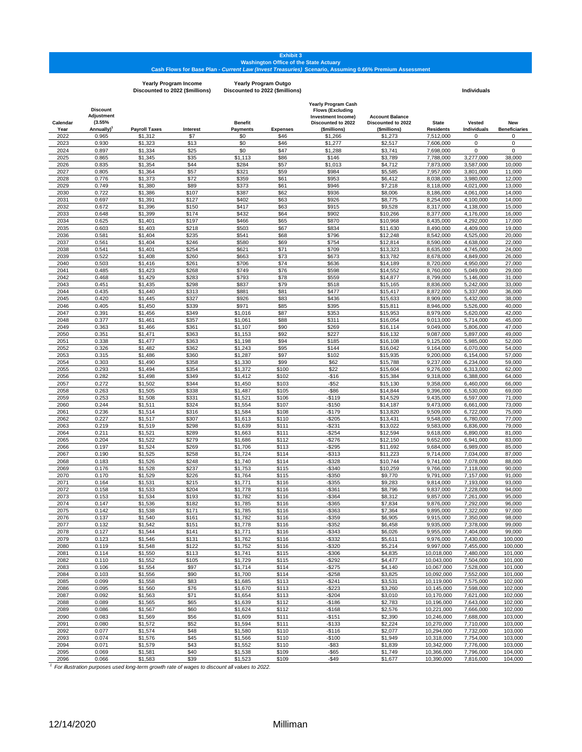# Exhibit 3<br>Washington Office of the State Actuary<br>Cash Flows for Base Plan *- Current Law (Invest Treasuries) S*cenario, Assuming 0.66% Premium Assessment

**Yearly Program Income Discounted to 2022 (\$millions)**

**Yearly Program Outgo Discounted to 2022 (\$millions) Individuals**

| Calendar     | <b>Discount</b><br>Adjustment<br>(3.55% |                      |                | <b>Benefit</b>      |                 | Yearly Program Cash<br><b>Flows (Excluding</b><br>Investment Income)<br>Discounted to 2022 | <b>Account Balance</b><br>Discounted to 2022 | <b>State</b>             | <b>Vested</b>          | New                   |
|--------------|-----------------------------------------|----------------------|----------------|---------------------|-----------------|--------------------------------------------------------------------------------------------|----------------------------------------------|--------------------------|------------------------|-----------------------|
| Year         | Annually)                               | <b>Payroll Taxes</b> | Interest       | <b>Payments</b>     | <b>Expenses</b> | (\$millions)                                                                               | (\$millions)                                 | <b>Residents</b>         | Individuals            | <b>Beneficiaries</b>  |
| 2022         | 0.965                                   | \$1,312              | \$7            | \$0                 | \$46            | \$1,266                                                                                    | \$1,273                                      | 7,512,000                | 0                      | $\mathbf 0$           |
| 2023         | 0.930                                   | \$1,323              | \$13           | \$0                 | \$46            | \$1,277                                                                                    | \$2,517                                      | 7,606,000                | 0                      | $\mathbf 0$           |
| 2024<br>2025 | 0.897<br>0.865                          | \$1,334<br>\$1,345   | \$25<br>\$35   | \$0<br>\$1,113      | \$47<br>\$86    | \$1,288<br>\$146                                                                           | \$3,741<br>\$3,789                           | 7,698,000<br>7.788.000   | 0<br>3,277,000         | $\mathbf 0$<br>38,000 |
| 2026         | 0.835                                   | \$1,354              | \$44           | \$284               | \$57            | \$1,013                                                                                    | \$4,712                                      | 7,873,000                | 3.587.000              | 10,000                |
| 2027         | 0.805                                   | \$1,364              | \$57           | \$321               | \$59            | \$984                                                                                      | \$5,585                                      | 7,957,000                | 3,801,000              | 11,000                |
| 2028         | 0.776                                   | \$1,373              | \$72           | \$359               | \$61            | \$953                                                                                      | \$6,412                                      | 8,038,000                | 3,980,000              | 12,000                |
| 2029         | 0.749                                   | \$1,380              | \$89           | \$373               | \$61            | \$946                                                                                      | \$7,218                                      | 8,118,000                | 4,021,000              | 13,000                |
| 2030         | 0.722                                   | \$1,386              | \$107          | \$387               | \$62            | \$936                                                                                      | \$8,006                                      | 8,186,000                | 4,061,000              | 14,000                |
| 2031         | 0.697                                   | \$1,391              | \$127          | \$402               | \$63            | \$926                                                                                      | \$8,775                                      | 8.254.000                | 4,100,000              | 14,000                |
| 2032         | 0.672                                   | \$1,396              | \$150          | \$417               | \$63            | \$915                                                                                      | \$9,528                                      | 8.317.000                | 4,138,000              | 15,000                |
| 2033         | 0.648<br>0.625                          | \$1,399<br>\$1,401   | \$174<br>\$197 | \$432<br>\$466      | \$64<br>\$65    | \$902<br>\$870                                                                             | \$10,266                                     | 8,377,000                | 4,176,000<br>4,292,000 | 16,000                |
| 2034<br>2035 | 0.603                                   | \$1,403              | \$218          | \$503               | \$67            | \$834                                                                                      | \$10,968<br>\$11,630                         | 8,435,000<br>8,490,000   | 4,409,000              | 17,000<br>19,000      |
| 2036         | 0.581                                   | \$1,404              | \$235          | \$541               | \$68            | \$796                                                                                      | \$12,248                                     | 8.542.000                | 4,525,000              | 20,000                |
| 2037         | 0.561                                   | \$1,404              | \$246          | \$580               | \$69            | \$754                                                                                      | \$12,814                                     | 8,590,000                | 4,638,000              | 22,000                |
| 2038         | 0.541                                   | \$1,401              | \$254          | \$621               | \$71            | \$709                                                                                      | \$13,323                                     | 8,635,000                | 4,745,000              | 24,000                |
| 2039         | 0.522                                   | \$1,408              | \$260          | \$663               | \$73            | \$673                                                                                      | \$13,782                                     | 8,678,000                | 4,849,000              | 26,000                |
| 2040         | 0.503                                   | \$1,416              | \$261          | \$706               | \$74            | \$636                                                                                      | \$14,189                                     | 8,720,000                | 4,950,000              | 27,000                |
| 2041         | 0.485                                   | \$1,423              | \$268          | \$749               | \$76            | \$598                                                                                      | \$14,552                                     | 8,760,000                | 5,049,000              | 29,000                |
| 2042         | 0.468                                   | \$1,429              | \$283          | \$793               | \$78            | \$559                                                                                      | \$14,877                                     | 8,799,000                | 5,146,000              | 31,000                |
| 2043<br>2044 | 0.451<br>0.435                          | \$1,435<br>\$1,440   | \$298<br>\$313 | \$837<br>\$881      | \$79<br>\$81    | \$518<br>\$477                                                                             | \$15,165<br>\$15,417                         | 8,836,000<br>8,872,000   | 5,242,000<br>5,337,000 | 33,000<br>36,000      |
| 2045         | 0.420                                   | \$1,445              | \$327          | \$926               | \$83            | \$436                                                                                      | \$15,633                                     | 8,909,000                | 5,432,000              | 38,000                |
| 2046         | 0.405                                   | \$1,450              | \$339          | \$971               | \$85            | \$395                                                                                      | \$15,811                                     | 8,946,000                | 5,526,000              | 40,000                |
| 2047         | 0.391                                   | \$1,456              | \$349          | \$1,016             | \$87            | \$353                                                                                      | \$15,953                                     | 8,979,000                | 5,620,000              | 42,000                |
| 2048         | 0.377                                   | \$1,461              | \$357          | \$1,061             | \$88            | \$311                                                                                      | \$16,054                                     | 9,013,000                | 5,714,000              | 45,000                |
| 2049         | 0.363                                   | \$1,466              | \$361          | \$1,107             | \$90            | \$269                                                                                      | \$16,114                                     | 9,049,000                | 5,806,000              | 47,000                |
| 2050         | 0.351                                   | \$1,471              | \$363          | \$1,153             | \$92            | \$227                                                                                      | \$16.132                                     | 9,087,000                | 5,897,000              | 49,000                |
| 2051         | 0.338                                   | \$1,477              | \$363          | \$1,198             | \$94            | \$185                                                                                      | \$16,108                                     | 9,125,000                | 5.985.000              | 52,000                |
| 2052         | 0.326                                   | \$1,482<br>\$1,486   | \$362          | \$1,243<br>\$1,287  | \$95<br>\$97    | \$144<br>\$102                                                                             | \$16.042                                     | 9,164,000                | 6.070.000              | 54,000                |
| 2053<br>2054 | 0.315<br>0.303                          | \$1,490              | \$360<br>\$358 | \$1,330             | \$99            | \$62                                                                                       | \$15,935<br>\$15,788                         | 9,200,000<br>9,237,000   | 6,154,000<br>6,234,000 | 57,000<br>59,000      |
| 2055         | 0.293                                   | \$1,494              | \$354          | \$1,372             | \$100           | \$22                                                                                       | \$15,604                                     | 9,276,000                | 6,313,000              | 62,000                |
| 2056         | 0.282                                   | \$1,498              | \$349          | \$1,412             | \$102           | $-$16$                                                                                     | \$15,384                                     | 9,318,000                | 6,388,000              | 64,000                |
| 2057         | 0.272                                   | \$1,502              | \$344          | $\overline{$}1,450$ | \$103           | $-$ \$52                                                                                   | \$15,130                                     | 9,358,000                | 6,460,000              | 66,000                |
| 2058         | 0.263                                   | \$1,505              | \$338          | \$1,487             | \$105           | $-$ \$86                                                                                   | \$14,844                                     | 9,396,000                | 6,530,000              | 69,000                |
| 2059         | 0.253                                   | \$1,508              | \$331          | \$1,521             | \$106           | $-$119$                                                                                    | \$14,529                                     | 9,435,000                | 6,597,000              | 71,000                |
| 2060         | 0.244                                   | \$1,511              | \$324          | \$1,554             | \$107           | $-$150$                                                                                    | \$14,187                                     | 9,473,000                | 6,661,000              | 73,000                |
| 2061         | 0.236                                   | \$1,514              | \$316          | \$1,584             | \$108           | $-$179$                                                                                    | \$13,820                                     | 9,509,000                | 6,722,000              | 75,000                |
| 2062<br>2063 | 0.227<br>0.219                          | \$1,517<br>\$1,519   | \$307<br>\$298 | \$1,613<br>\$1,639  | \$110<br>\$111  | $-$205$<br>$-$ \$231                                                                       | \$13,431<br>\$13,022                         | 9,548,000<br>9,583,000   | 6,780,000<br>6,836,000 | 77,000<br>79,000      |
| 2064         | 0.211                                   | \$1,521              | \$289          | \$1,663             | \$111           | $-$ \$254                                                                                  | \$12,594                                     | 9,618,000                | 6,890,000              | 81,000                |
| 2065         | 0.204                                   | \$1,522              | \$279          | \$1,686             | \$112           | $-$276$                                                                                    | \$12,150                                     | 9,652,000                | 6,941,000              | 83,000                |
| 2066         | 0.197                                   | \$1,524              | \$269          | \$1,706             | \$113           | $-$ \$295                                                                                  | \$11,692                                     | 9,684,000                | 6,989,000              | 85,000                |
| 2067         | 0.190                                   | \$1,525              | \$258          | \$1,724             | \$114           | $-$ \$313                                                                                  | \$11,223                                     | 9,714,000                | 7,034,000              | 87,000                |
| 2068         | 0.183                                   | \$1,526              | \$248          | \$1,740             | \$114           | $-$ \$328                                                                                  | \$10,744                                     | 9,741,000                | 7,078,000              | 88,000                |
| 2069         | 0.176                                   | \$1,528              | \$237          | \$1,753             | \$115           | $-$ \$340                                                                                  | \$10,259                                     | 9,766,000                | 7,118,000              | 90,000                |
| 2070<br>2071 | 0.170                                   | \$1,529              | \$226<br>\$215 | \$1,764<br>\$1,771  | \$115<br>\$116  | $-$ \$350<br>$-$ \$355                                                                     | \$9,770                                      | 9,791,000                | 7,157,000              | 91,000<br>93,000      |
| 2072         | 0.164<br>0.158                          | \$1,531<br>\$1,533   | \$204          | \$1,778             | \$116           | $-$ \$361                                                                                  | \$9,283<br>\$8,796                           | 9,814,000<br>9.837.000   | 7,193,000<br>7,228,000 | 94,000                |
| 2073         | 0.153                                   | \$1,534              | \$193          | \$1,782             | \$116           | $-$ \$364                                                                                  | \$8,312                                      | 9,857,000                | 7,261,000              | 95,000                |
| 2074         | 0.147                                   | \$1,536              | \$182          | \$1,785             | \$116           | $-$ \$365                                                                                  | \$7,834                                      | 9.876.000                | 7,292,000              | 96,000                |
| 2075         | 0.142                                   | \$1,538              | \$171          | \$1,785             | \$116           | $-$ \$363                                                                                  | \$7,364                                      | 9,895,000                | 7.322.000              | 97,000                |
| 2076         | 0.137                                   | \$1,540              | \$161          | \$1,782             | \$116           | -\$359                                                                                     | \$6,905                                      | 9,915,000                | 7,350,000              | 98,000                |
| 2077         | 0.132                                   | \$1,542              | \$151          | \$1,778             | \$116           | $-$ \$352                                                                                  | \$6,458                                      | 9,935,000                | 7,378,000              | 99,000                |
| 2078         | 0.127                                   | \$1,544              | \$141          | \$1,771             | \$116           | $-$ \$343                                                                                  | \$6,026                                      | 9,955,000                | 7,404,000              | 99,000                |
| 2079         | 0.123                                   | \$1,546              | \$131          | \$1,762             | \$116           | $-$ \$332                                                                                  | \$5,611                                      | 9,976,000                | 7,430,000              | 100.000               |
| 2080<br>2081 | 0.119<br>0.114                          | \$1,548<br>\$1,550   | \$122<br>\$113 | \$1,752<br>\$1,741  | \$116<br>\$115  | $-$ \$320<br>$-$306$                                                                       | \$5,214<br>\$4,835                           | 9,997,000<br>10,018,000  | 7,455,000<br>7,480,000 | 100,000<br>101,000    |
| 2082         | 0.110                                   | \$1,552              | \$105          | \$1,729             | \$115           | $-$ \$292                                                                                  | \$4,477                                      | 10,043,000               | 7,504,000              | 101,000               |
| 2083         | 0.106                                   | \$1,554              | \$97           | \$1,714             | \$114           | $-$275$                                                                                    | \$4,140                                      | 10,067,000               | 7,528,000              | 101,000               |
| 2084         | 0.103                                   | \$1,556              | \$90           | \$1,700             | \$114           | $-$ \$258                                                                                  | \$3,825                                      | 10,092,000               | 7,552,000              | 101,000               |
| 2085         | 0.099                                   | \$1,558              | \$83           | \$1,685             | \$113           | $-$ \$241                                                                                  | \$3,531                                      | 10,119,000               | 7,575,000              | 102,000               |
| 2086         | 0.095                                   | \$1,560              | \$76           | \$1,670             | \$113           | $-$ \$223                                                                                  | \$3,260                                      | 10,145,000               | 7,598,000              | 102,000               |
| 2087         | 0.092                                   | \$1,563              | \$71           | \$1,654             | \$113           | $-$204$                                                                                    | \$3,010                                      | 10,170,000               | 7,621,000              | 102,000               |
| 2088         | 0.089                                   | \$1,565              | \$65           | \$1,639             | \$112           | $-$186$                                                                                    | \$2,783                                      | 10,196,000               | 7,643,000              | 102,000               |
| 2089         | 0.086                                   | \$1,567              | \$60           | \$1,624             | \$112           | $-$168$                                                                                    | \$2,576                                      | 10,221,000               | 7,666,000              | 102,000               |
| 2090         | 0.083                                   | \$1,569              | \$56           | \$1,609             | \$111           | $-$151$<br>$-$133$                                                                         | \$2,390                                      | 10,246,000               | 7,688,000              | 103,000<br>103,000    |
| 2091<br>2092 | 0.080<br>0.077                          | \$1,572<br>\$1,574   | \$52<br>\$48   | \$1,594<br>\$1,580  | \$111<br>\$110  | $-$116$                                                                                    | \$2,224<br>\$2,077                           | 10,270,000<br>10,294,000 | 7,710,000<br>7,732,000 | 103,000               |
| 2093         | 0.074                                   | \$1,576              | \$45           | \$1,566             | \$110           | $-$100$                                                                                    | \$1,949                                      | 10,318,000               | 7,754,000              | 103,000               |
| 2094         | 0.071                                   | \$1,579              | \$43           | \$1,552             | \$110           | $-$ \$83                                                                                   | \$1,839                                      | 10,342,000               | 7,776,000              | 103,000               |
| 2095         | 0.069                                   | \$1,581              | \$40           | \$1,538             | \$109           | $-$ \$65                                                                                   | \$1,749                                      | 10,366,000               | 7,796,000              | 104,000               |
| 2096         | 0.066                                   | \$1,583              | \$39           | \$1,523             | \$109           | $-$ \$49                                                                                   | \$1,677                                      | 10,390,000               | 7,816,000              | 104,000               |

*1 For illustration purposes used long-term growth rate of wages to discount all values to 2022.*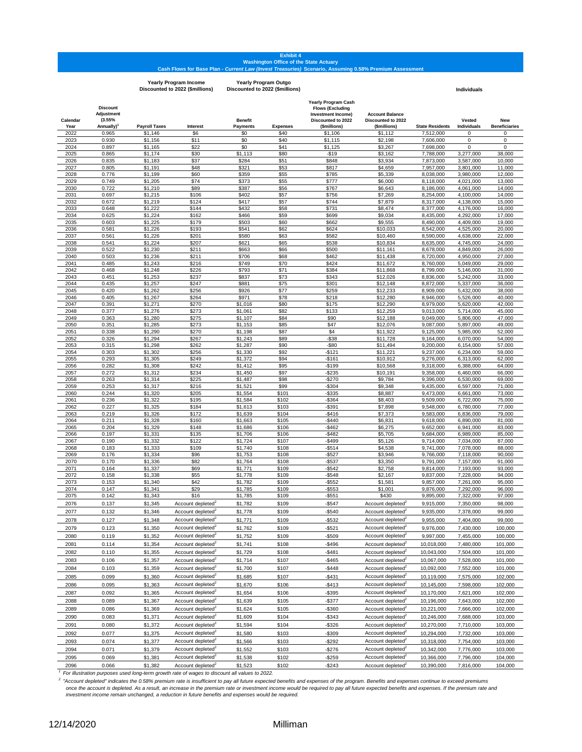#### **Exhibit 4 Washington Office of the State Actuary Cash Flows for Base Plan -** *Current Law (Invest Treasuries)* **Scenario, Assuming 0.58% Premium Assessment**

|                  |                                                      |                      | <b>Yearly Program Income</b><br>Discounted to 2022 (\$millions) |                            | <b>Yearly Program Outgo</b><br>Discounted to 2022 (\$millions) |                                                                                                                   |                                                              |                        | <b>Individuals</b>     |                             |
|------------------|------------------------------------------------------|----------------------|-----------------------------------------------------------------|----------------------------|----------------------------------------------------------------|-------------------------------------------------------------------------------------------------------------------|--------------------------------------------------------------|------------------------|------------------------|-----------------------------|
| Calendar<br>Year | <b>Discount</b><br>Adjustment<br>(3.55%<br>Annually) | <b>Payroll Taxes</b> | Interest                                                        | <b>Benefit</b><br>Payments | <b>Expenses</b>                                                | <b>Yearly Program Cash</b><br><b>Flows (Excluding</b><br>Investment Income)<br>Discounted to 2022<br>(\$millions) | <b>Account Balance</b><br>Discounted to 2022<br>(\$millions) | <b>State Residents</b> | Vested<br>Individuals  | New<br><b>Beneficiaries</b> |
| 2022             | 0.965                                                | \$1,146              | \$6                                                             | \$0                        | \$40                                                           | \$1,106                                                                                                           | \$1,112                                                      | 7,512,000              | 0                      | 0                           |
| 2023             | 0.930                                                | \$1,156              | \$11                                                            | \$0                        | \$40                                                           | \$1,115                                                                                                           | \$2,198                                                      | 7,606,000              | $\mathbf 0$            | 0                           |
| 2024             | 0.897                                                | \$1,165              | \$22                                                            | \$0                        | \$41                                                           | \$1,125                                                                                                           | \$3,267                                                      | 7,698,000              | 0                      | 0                           |
| 2025<br>2026     | 0.865<br>0.835                                       | \$1,174<br>\$1,183   | \$30<br>\$37                                                    | \$1,113<br>\$284           | \$80<br>\$51                                                   | $-$19$<br>\$848                                                                                                   | \$3,162<br>\$3,934                                           | 7,788,000<br>7,873,000 | 3,277,000<br>3,587,000 | 38,000<br>10,000            |
| 2027             | 0.805                                                | \$1,191              | \$48                                                            | \$321                      | \$53                                                           | \$817                                                                                                             | \$4,659                                                      | 7,957,000              | 3,801,000              | 11,000                      |
| 2028             | 0.776                                                | \$1,199              | \$60                                                            | \$359                      | \$55                                                           | \$785                                                                                                             | \$5,339                                                      | 8,038,000              | 3.980.000              | 12,000                      |
| 2029             | 0.749                                                | \$1,205              | \$74                                                            | \$373                      | \$55                                                           | \$777                                                                                                             | \$6,000                                                      | 8,118,000              | 4,021,000              | 13,000                      |
| 2030             | 0.722                                                | \$1,210              | \$89                                                            | \$387                      | \$56                                                           | \$767                                                                                                             | \$6,643                                                      | 8,186,000              | 4.061.000              | 14,000                      |
| 2031             | 0.697                                                | \$1,215              | \$106                                                           | \$402                      | \$57                                                           | \$756                                                                                                             | \$7,269                                                      | 8,254,000              | 4,100,000              | 14,000                      |
| 2032             | 0.672                                                | \$1,219              | \$124                                                           | \$417                      | \$57                                                           | \$744                                                                                                             | \$7,879                                                      | 8,317,000              | 4,138,000              | 15,000                      |
| 2033<br>2034     | 0.648<br>0.625                                       | \$1,222<br>\$1,224   | \$144<br>\$162                                                  | \$432<br>\$466             | \$58<br>\$59                                                   | \$731<br>\$699                                                                                                    | \$8,474<br>\$9,034                                           | 8,377,000<br>8,435,000 | 4,176,000<br>4,292,000 | 16,000<br>17,000            |
| 2035             | 0.603                                                | \$1,225              | \$179                                                           | \$503                      | \$60                                                           | \$662                                                                                                             | \$9,555                                                      | 8,490,000              | 4,409,000              | 19,000                      |
| 2036             | 0.581                                                | \$1,226              | \$193                                                           | \$541                      | \$62                                                           | \$624                                                                                                             | \$10,033                                                     | 8,542,000              | 4,525,000              | 20,000                      |
| 2037             | 0.561                                                | \$1,226              | \$201                                                           | \$580                      | \$63                                                           | \$582                                                                                                             | \$10,460                                                     | 8,590,000              | 4,638,000              | 22,000                      |
| 2038             | 0.541                                                | \$1,224              | \$207                                                           | \$621                      | \$65                                                           | \$538                                                                                                             | \$10,834                                                     | 8,635,000              | 4,745,000              | 24,000                      |
| 2039             | 0.522                                                | \$1,230              | \$211                                                           | \$663                      | \$66                                                           | \$500                                                                                                             | \$11,161                                                     | 8,678,000              | 4,849,000              | 26,000                      |
| 2040             | 0.503                                                | \$1,236              | \$211                                                           | \$706                      | \$68                                                           | \$462                                                                                                             | \$11,438                                                     | 8,720,000              | 4,950,000              | 27,000                      |
| 2041<br>2042     | 0.485<br>0.468                                       | \$1,243<br>\$1,248   | \$216<br>\$226                                                  | \$749<br>\$793             | \$70<br>\$71                                                   | \$424<br>\$384                                                                                                    | \$11,672<br>\$11,868                                         | 8,760,000<br>8,799,000 | 5,049,000<br>5,146,000 | 29,000<br>31,000            |
| 2043             | 0.451                                                | \$1,253              | \$237                                                           | \$837                      | \$73                                                           | \$343                                                                                                             | \$12,026                                                     | 8,836,000              | 5,242,000              | 33,000                      |
| 2044             | 0.435                                                | \$1,257              | \$247                                                           | \$881                      | \$75                                                           | \$301                                                                                                             | \$12,148                                                     | 8,872,000              | 5.337.000              | 36,000                      |
| 2045             | 0.420                                                | \$1,262              | \$256                                                           | \$926                      | \$77                                                           | \$259                                                                                                             | \$12,233                                                     | 8,909,000              | 5.432.000              | 38,000                      |
| 2046             | 0.405                                                | \$1,267              | \$264                                                           | \$971                      | \$78                                                           | \$218                                                                                                             | \$12,280                                                     | 8,946,000              | 5,526,000              | 40,000                      |
| 2047             | 0.391                                                | \$1,271              | \$270                                                           | \$1,016                    | \$80                                                           | \$175                                                                                                             | \$12,290                                                     | 8,979,000              | 5,620,000              | 42,000                      |
| 2048             | 0.377                                                | \$1,276              | \$273                                                           | \$1,061                    | \$82                                                           | \$133                                                                                                             | \$12,259                                                     | 9,013,000              | 5,714,000              | 45,000                      |
| 2049<br>2050     | 0.363<br>0.351                                       | \$1,280<br>\$1,285   | \$275<br>\$273                                                  | \$1,107<br>\$1,153         | \$84<br>\$85                                                   | \$90<br>\$47                                                                                                      | \$12,188<br>\$12,076                                         | 9,049,000<br>9,087,000 | 5,806,000<br>5,897,000 | 47,000<br>49,000            |
| 2051             | 0.338                                                | \$1,290              | \$270                                                           | \$1,198                    | \$87                                                           | \$4                                                                                                               | \$11,922                                                     | 9,125,000              | 5,985,000              | 52,000                      |
| 2052             | 0.326                                                | \$1,294              | \$267                                                           | \$1,243                    | \$89                                                           | $-$ \$38                                                                                                          | \$11,728                                                     | 9,164,000              | 6,070,000              | 54,000                      |
| 2053             | 0.315                                                | \$1,298              | \$262                                                           | \$1,287                    | \$90                                                           | $-$ \$80                                                                                                          | \$11,494                                                     | 9,200,000              | 6,154,000              | 57,000                      |
| 2054             | 0.303                                                | \$1,302              | \$256                                                           | \$1,330                    | \$92                                                           | $-$121$                                                                                                           | \$11.221                                                     | 9,237,000              | 6,234,000              | 59,000                      |
| 2055             | 0.293                                                | \$1,305              | \$249                                                           | \$1,372                    | \$94                                                           | $-$161$                                                                                                           | \$10,912                                                     | 9,276,000              | 6,313,000              | 62,000                      |
| 2056             | 0.282                                                | \$1,308              | \$242                                                           | \$1,412                    | \$95                                                           | -\$199                                                                                                            | \$10,568                                                     | 9,318,000              | 6,388,000              | 64,000                      |
| 2057<br>2058     | 0.272<br>0.263                                       | \$1,312<br>\$1,314   | \$234<br>\$225                                                  | \$1,450<br>\$1,487         | \$97<br>\$98                                                   | $-$235$<br>$-$270$                                                                                                | \$10,191<br>\$9,784                                          | 9,358,000<br>9,396,000 | 6,460,000<br>6,530,000 | 66,000<br>69,000            |
| 2059             | 0.253                                                | \$1,317              | \$216                                                           | \$1,521                    | \$99                                                           | $-$ \$304                                                                                                         | \$9,348                                                      | 9,435,000              | 6,597,000              | 71,000                      |
| 2060             | 0.244                                                | \$1,320              | \$205                                                           | \$1,554                    | \$101                                                          | $-$ \$335                                                                                                         | \$8,887                                                      | 9,473,000              | 6,661,000              | 73,000                      |
| 2061             | 0.236                                                | \$1,322              | \$195                                                           | \$1,584                    | \$102                                                          | -\$364                                                                                                            | \$8,403                                                      | 9,509,000              | 6,722,000              | 75,000                      |
| 2062             | 0.227                                                | \$1,325              | \$184                                                           | \$1,613                    | \$103                                                          | $-$ \$391                                                                                                         | \$7,898                                                      | 9,548,000              | 6,780,000              | 77,000                      |
| 2063             | 0.219                                                | \$1,326              | \$172                                                           | \$1,639                    | \$104                                                          | $-$416$                                                                                                           | \$7,373                                                      | 9,583,000              | 6,836,000              | 79,000                      |
| 2064<br>2065     | 0.211<br>0.204                                       | \$1,328<br>\$1,329   | \$160<br>\$148                                                  | \$1,663<br>\$1,686         | \$105<br>\$106                                                 | $-$ \$440<br>$-$ \$462                                                                                            | \$6,831<br>\$6,275                                           | 9,618,000<br>9,652,000 | 6,890,000<br>6,941,000 | 81,000<br>83,000            |
| 2066             | 0.197                                                | \$1,331              | \$135                                                           | \$1,706                    | \$106                                                          | $-$ \$482                                                                                                         | \$5,705                                                      | 9,684,000              | 6,989,000              | 85,000                      |
| 2067             | 0.190                                                | \$1,332              | \$122                                                           | \$1,724                    | \$107                                                          | $-$ \$499                                                                                                         | \$5,126                                                      | 9,714,000              | 7,034,000              | 87,000                      |
| 2068             | 0.183                                                | \$1,333              | \$109                                                           | \$1,740                    | \$108                                                          | $-$ \$514                                                                                                         | \$4,538                                                      | 9,741,000              | 7,078,000              | 88,000                      |
| 2069             | 0.176                                                | \$1,334              | \$96                                                            | \$1,753                    | \$108                                                          | $-$ \$527                                                                                                         | \$3,946                                                      | 9,766,000              | 7,118,000              | 90,000                      |
| 2070             | 0.170                                                | \$1,336              | \$82                                                            | \$1,764                    | \$108                                                          | $-$ \$537                                                                                                         | \$3,350                                                      | 9,791,000              | 7,157,000              | 91,000                      |
| 2071<br>2072     | 0.164<br>0.158                                       | \$1,337<br>\$1,338   | \$69<br>\$55                                                    | \$1,771<br>\$1,778         | \$109<br>\$109                                                 | $-$ \$542<br>$-$ \$548                                                                                            | \$2,758<br>\$2,167                                           | 9,814,000<br>9,837,000 | 7.193.000<br>7,228,000 | 93,000<br>94,000            |
| 2073             | 0.153                                                | \$1,340              | \$42                                                            | \$1,782                    | \$109                                                          | $-$ \$552                                                                                                         | \$1,581                                                      | 9,857,000              | 7,261,000              | 95,000                      |
| 2074             | 0.147                                                | \$1,341              | \$29                                                            | \$1,785                    | \$109                                                          | $-$ \$553                                                                                                         | \$1,001                                                      | 9,876,000              | 7,292,000              | 96,000                      |
| 2075             | 0.142                                                | \$1,343              | \$16                                                            | \$1,785                    | \$109                                                          | $-$ \$551                                                                                                         | \$430                                                        | 9,895,000              | 7,322,000              | 97,000                      |
| 2076             | 0.137                                                | \$1,345              | Account depleted <sup>2</sup>                                   | \$1,782                    | \$109                                                          | $-$ \$547                                                                                                         | Account depleted <sup>2</sup>                                | 9,915,000              | 7.350.000              | 98,000                      |
| 2077             | 0.132                                                | \$1,346              | Account depleted <sup>2</sup>                                   | \$1,778                    | \$109                                                          | $-$ \$540                                                                                                         | Account depleted <sup>2</sup>                                | 9,935,000              | 7,378,000              | 99,000                      |
| 2078             | 0.127                                                | \$1,348              | Account depleted <sup>2</sup>                                   | \$1,771                    | \$109                                                          | $-$ \$532                                                                                                         | Account depleted <sup>2</sup>                                | 9,955,000              | 7,404,000              | 99,000                      |
| 2079             | 0.123                                                | \$1,350              | Account depleted <sup>2</sup>                                   | \$1,762                    | \$109                                                          | $-$ \$521                                                                                                         | Account depleted <sup>2</sup>                                | 9,976,000              | 7,430,000              | 100,000                     |
| 2080             | 0.119                                                | \$1,352              | Account depleted <sup>2</sup>                                   | \$1,752                    | \$109                                                          | $-$509$                                                                                                           | Account depleted <sup>2</sup>                                | 9,997,000              | 7,455,000              | 100,000                     |
| 2081             | 0.114                                                | \$1,354              | Account depleted <sup>2</sup>                                   | \$1,741                    | \$108                                                          | $-$ \$496                                                                                                         | Account depleted <sup>2</sup>                                | 10,018,000             | 7,480,000              | 101,000                     |
| 2082             | 0.110                                                | \$1,355              | Account depleted <sup>2</sup>                                   | \$1,729                    | \$108                                                          | $-$ \$481                                                                                                         | Account depleted <sup>2</sup>                                | 10,043,000             | 7,504,000              | 101,000                     |
| 2083             | 0.106                                                | \$1,357              | Account depleted <sup>2</sup>                                   | \$1,714                    | \$107                                                          | -\$465                                                                                                            | Account depleted <sup>2</sup>                                | 10,067,000             | 7,528,000              | 101,000                     |
| 2084             | 0.103                                                | \$1,359              | Account depleted <sup>2</sup>                                   | \$1,700                    | \$107                                                          | $-$ \$448                                                                                                         | Account depleted <sup>2</sup>                                | 10,092,000             | 7,552,000              | 101,000                     |
| 2085             | 0.099                                                | \$1,360              | Account depleted <sup>2</sup>                                   | \$1,685                    | \$107                                                          | -\$431                                                                                                            | Account depleted <sup>2</sup>                                | 10,119,000             | 7,575,000              | 102,000                     |
| 2086             | 0.095                                                | \$1,363              | Account depleted <sup>2</sup>                                   | \$1,670                    | \$106                                                          | $-$ \$413                                                                                                         | Account depleted <sup>2</sup>                                | 10,145,000             | 7,598,000              | 102,000                     |
| 2087             | 0.092                                                | \$1,365              | Account depleted <sup>2</sup>                                   | \$1,654                    | \$106                                                          | -\$395                                                                                                            | Account depleted <sup>2</sup>                                | 10,170,000             | 7,621,000              | 102,000                     |
| 2088             | 0.089                                                | \$1,367              | Account depleted <sup>2</sup>                                   | \$1,639                    | \$105                                                          | -\$377                                                                                                            | Account depleted <sup>2</sup>                                | 10,196,000             | 7,643,000              | 102,000                     |
| 2089             | 0.086                                                | \$1,369              | Account depleted <sup>2</sup>                                   | \$1,624                    | \$105                                                          | -\$360                                                                                                            | Account depleted <sup>2</sup>                                | 10,221,000             | 7,666,000              | 102,000                     |
| 2090             | 0.083                                                | \$1,371              | Account depleted <sup>2</sup>                                   | \$1,609                    | \$104                                                          | -\$343                                                                                                            | Account depleted <sup>2</sup>                                | 10,246,000             | 7,688,000              | 103,000                     |
| 2091             | 0.080                                                | \$1,372              | Account depleted <sup>2</sup>                                   | \$1,594                    | \$104                                                          | $-$ \$326                                                                                                         | Account depleted <sup>2</sup>                                | 10,270,000             | 7,710,000              | 103,000                     |
| 2092             | 0.077                                                | \$1,375              | Account depleted <sup>2</sup>                                   | \$1,580                    | \$103                                                          | -\$309                                                                                                            | Account depleted <sup>2</sup>                                | 10,294,000             | 7,732,000              | 103,000                     |
| 2093             | 0.074                                                | \$1,377              | Account depleted <sup>2</sup>                                   | \$1,566                    | \$103                                                          | $-$ \$292                                                                                                         | Account depleted <sup>2</sup>                                | 10,318,000             | 7,754,000              | 103,000                     |
| 2094             | 0.071                                                | \$1,379              | Account depleted <sup>2</sup>                                   | \$1,552                    | \$103                                                          | $-$ \$276                                                                                                         | Account depleted <sup>2</sup>                                | 10,342,000             | 7,776,000              | 103,000                     |
| 2095             | 0.069                                                | \$1,381              | Account depleted <sup>2</sup>                                   | \$1,538                    | \$102                                                          | $-$ \$259                                                                                                         | Account depleted <sup>2</sup>                                | 10,366,000             | 7,796,000              | 104,000                     |
|                  |                                                      |                      |                                                                 |                            |                                                                |                                                                                                                   |                                                              |                        |                        |                             |

*1 For illustration purposes used long-term growth rate of wages to discount all values to 2022.*

*2 "Account depleted" indicates the 0.58% premium rate is insufficient to pay all future expected benefits and expenses of the program. Benefits and expenses continue to exceed premiums*

once the account is depleted. As a result, an increase in the premium rate or investment income would be required to pay all future expected benefits and expenses. If the premium rate anc<br>investment income remain unchanged

2096 0.066 \$1,382 Account depleted<sup>2</sup> \$1,523 \$102 -\$243 Account depleted<sup>2</sup> 10,390,000 7,816,000 104,000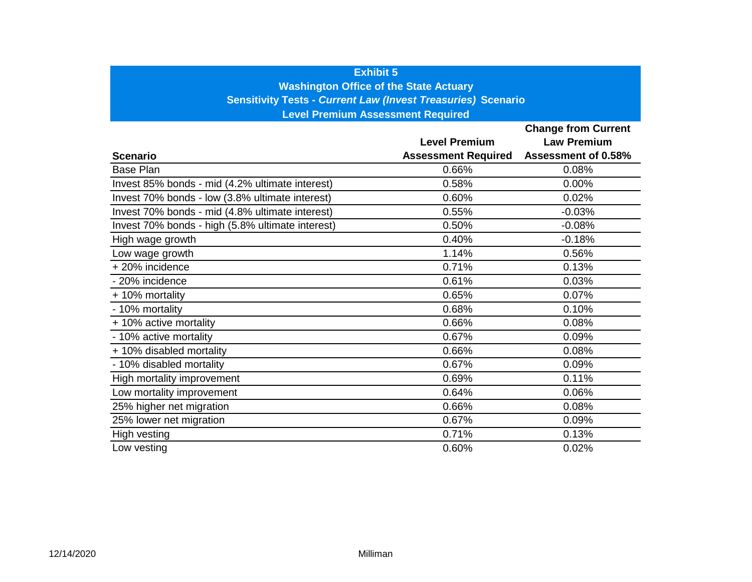### **Exhibit 5**

**Washington Office of the State Actuary**

**Sensitivity Tests -** *Current Law (Invest Treasuries)* **Scenario**

**Level Premium Assessment Required**

|                                                  |                            | <b>Change from Current</b> |
|--------------------------------------------------|----------------------------|----------------------------|
|                                                  | <b>Level Premium</b>       | <b>Law Premium</b>         |
| <b>Scenario</b>                                  | <b>Assessment Required</b> | Assessment of 0.58%        |
| <b>Base Plan</b>                                 | 0.66%                      | 0.08%                      |
| Invest 85% bonds - mid (4.2% ultimate interest)  | 0.58%                      | 0.00%                      |
| Invest 70% bonds - low (3.8% ultimate interest)  | 0.60%                      | 0.02%                      |
| Invest 70% bonds - mid (4.8% ultimate interest)  | 0.55%                      | $-0.03%$                   |
| Invest 70% bonds - high (5.8% ultimate interest) | 0.50%                      | $-0.08%$                   |
| High wage growth                                 | 0.40%                      | $-0.18%$                   |
| Low wage growth                                  | 1.14%                      | 0.56%                      |
| + 20% incidence                                  | 0.71%                      | 0.13%                      |
| - 20% incidence                                  | 0.61%                      | 0.03%                      |
| + 10% mortality                                  | 0.65%                      | 0.07%                      |
| - 10% mortality                                  | 0.68%                      | 0.10%                      |
| + 10% active mortality                           | 0.66%                      | 0.08%                      |
| - 10% active mortality                           | 0.67%                      | 0.09%                      |
| + 10% disabled mortality                         | 0.66%                      | 0.08%                      |
| - 10% disabled mortality                         | 0.67%                      | 0.09%                      |
| High mortality improvement                       | 0.69%                      | 0.11%                      |
| Low mortality improvement                        | 0.64%                      | 0.06%                      |
| 25% higher net migration                         | 0.66%                      | 0.08%                      |
| 25% lower net migration                          | 0.67%                      | 0.09%                      |
| High vesting                                     | 0.71%                      | 0.13%                      |
| Low vesting                                      | 0.60%                      | 0.02%                      |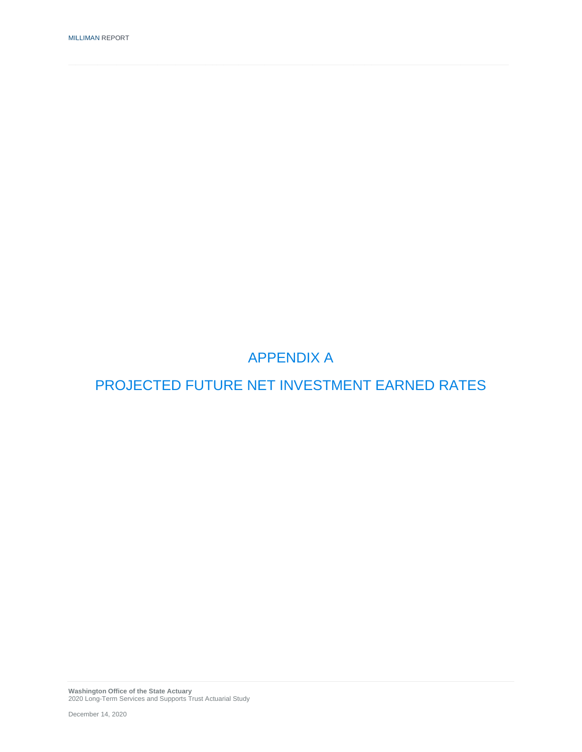# PROJECTED FUTURE NET INVESTMENT EARNED RATES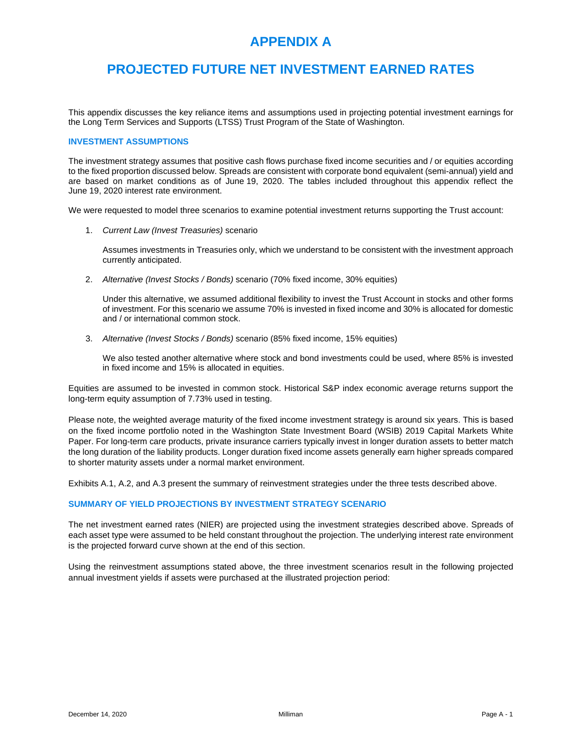### **PROJECTED FUTURE NET INVESTMENT EARNED RATES**

This appendix discusses the key reliance items and assumptions used in projecting potential investment earnings for the Long Term Services and Supports (LTSS) Trust Program of the State of Washington.

#### **INVESTMENT ASSUMPTIONS**

The investment strategy assumes that positive cash flows purchase fixed income securities and / or equities according to the fixed proportion discussed below. Spreads are consistent with corporate bond equivalent (semi-annual) yield and are based on market conditions as of June 19, 2020. The tables included throughout this appendix reflect the June 19, 2020 interest rate environment.

We were requested to model three scenarios to examine potential investment returns supporting the Trust account:

1. *Current Law (Invest Treasuries)* scenario

Assumes investments in Treasuries only, which we understand to be consistent with the investment approach currently anticipated.

2. *Alternative (Invest Stocks / Bonds)* scenario (70% fixed income, 30% equities)

Under this alternative, we assumed additional flexibility to invest the Trust Account in stocks and other forms of investment. For this scenario we assume 70% is invested in fixed income and 30% is allocated for domestic and / or international common stock.

3. *Alternative (Invest Stocks / Bonds)* scenario (85% fixed income, 15% equities)

We also tested another alternative where stock and bond investments could be used, where 85% is invested in fixed income and 15% is allocated in equities.

Equities are assumed to be invested in common stock. Historical S&P index economic average returns support the long-term equity assumption of 7.73% used in testing.

Please note, the weighted average maturity of the fixed income investment strategy is around six years. This is based on the fixed income portfolio noted in the Washington State Investment Board (WSIB) 2019 Capital Markets White Paper. For long-term care products, private insurance carriers typically invest in longer duration assets to better match the long duration of the liability products. Longer duration fixed income assets generally earn higher spreads compared to shorter maturity assets under a normal market environment.

Exhibits A.1, A.2, and A.3 present the summary of reinvestment strategies under the three tests described above.

#### **SUMMARY OF YIELD PROJECTIONS BY INVESTMENT STRATEGY SCENARIO**

The net investment earned rates (NIER) are projected using the investment strategies described above. Spreads of each asset type were assumed to be held constant throughout the projection. The underlying interest rate environment is the projected forward curve shown at the end of this section.

Using the reinvestment assumptions stated above, the three investment scenarios result in the following projected annual investment yields if assets were purchased at the illustrated projection period: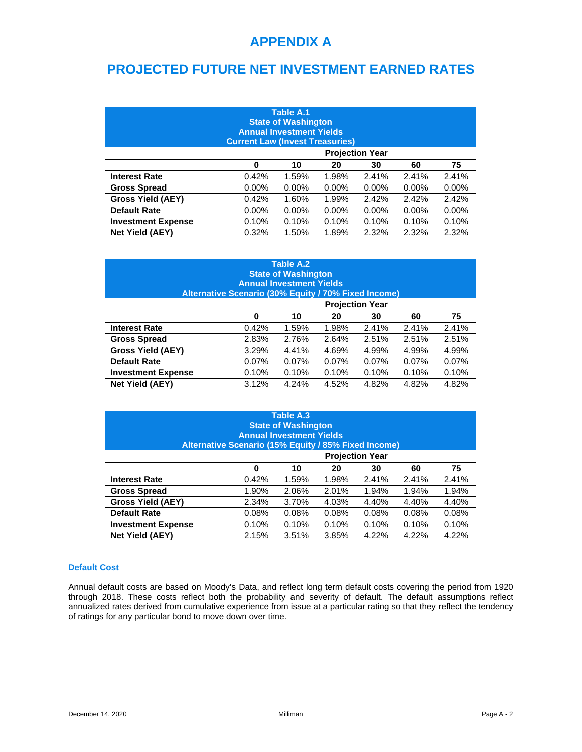### **PROJECTED FUTURE NET INVESTMENT EARNED RATES**

| Table A.1<br><b>State of Washington</b><br><b>Annual Investment Yields</b><br><b>Current Law (Invest Treasuries)</b> |                                                    |          |          |                        |          |          |  |  |
|----------------------------------------------------------------------------------------------------------------------|----------------------------------------------------|----------|----------|------------------------|----------|----------|--|--|
|                                                                                                                      |                                                    |          |          | <b>Projection Year</b> |          |          |  |  |
| 75<br>0<br>10<br>20<br>60<br>30                                                                                      |                                                    |          |          |                        |          |          |  |  |
| <b>Interest Rate</b>                                                                                                 | 0.42%                                              | 1.59%    | 1.98%    | 2.41%                  | 2.41%    | 2.41%    |  |  |
| <b>Gross Spread</b>                                                                                                  | $0.00\%$                                           | $0.00\%$ | $0.00\%$ | $0.00\%$               | $0.00\%$ | $0.00\%$ |  |  |
| <b>Gross Yield (AEY)</b>                                                                                             | 0.42%                                              | 1.60%    | 1.99%    | 2.42%                  | 2.42%    | 2.42%    |  |  |
| <b>Default Rate</b>                                                                                                  | $0.00\%$                                           | $0.00\%$ | $0.00\%$ | $0.00\%$               | $0.00\%$ | $0.00\%$ |  |  |
| <b>Investment Expense</b>                                                                                            | 0.10%<br>0.10%<br>0.10%<br>0.10%<br>0.10%<br>0.10% |          |          |                        |          |          |  |  |
| <b>Net Yield (AEY)</b>                                                                                               | 0.32%                                              | 1.50%    | 1.89%    | 2.32%                  | 2.32%    | 2.32%    |  |  |

| Table A.2<br><b>State of Washington</b><br><b>Annual Investment Yields</b><br>Alternative Scenario (30% Equity / 70% Fixed Income) |          |          |          |          |       |       |  |  |
|------------------------------------------------------------------------------------------------------------------------------------|----------|----------|----------|----------|-------|-------|--|--|
| <b>Projection Year</b>                                                                                                             |          |          |          |          |       |       |  |  |
| 75<br>0<br>10<br>20<br>60<br>30                                                                                                    |          |          |          |          |       |       |  |  |
| <b>Interest Rate</b>                                                                                                               | 0.42%    | 1.59%    | 1.98%    | 2.41%    | 2.41% | 2.41% |  |  |
| <b>Gross Spread</b>                                                                                                                | 2.83%    | 2.76%    | 2.64%    | 2.51%    | 2.51% | 2.51% |  |  |
| <b>Gross Yield (AEY)</b>                                                                                                           | 3.29%    | 4.41%    | 4.69%    | 4.99%    | 4.99% | 4.99% |  |  |
| <b>Default Rate</b>                                                                                                                | $0.07\%$ | $0.07\%$ | $0.07\%$ | $0.07\%$ | 0.07% | 0.07% |  |  |
| <b>Investment Expense</b>                                                                                                          | 0.10%    | 0.10%    | 0.10%    | 0.10%    | 0.10% | 0.10% |  |  |
| <b>Net Yield (AEY)</b>                                                                                                             | 3.12%    | 4.24%    | 4.52%    | 4.82%    | 4.82% | 4.82% |  |  |

| Table A.3<br><b>State of Washington</b><br><b>Annual Investment Yields</b><br>Alternative Scenario (15% Equity / 85% Fixed Income) |                                                    |       |       |       |       |       |  |  |
|------------------------------------------------------------------------------------------------------------------------------------|----------------------------------------------------|-------|-------|-------|-------|-------|--|--|
|                                                                                                                                    | <b>Projection Year</b>                             |       |       |       |       |       |  |  |
|                                                                                                                                    | 75<br>20<br>60<br>0<br>10<br>30                    |       |       |       |       |       |  |  |
| <b>Interest Rate</b>                                                                                                               | 0.42%                                              | 1.59% | 1.98% | 2.41% | 2.41% | 2.41% |  |  |
| <b>Gross Spread</b>                                                                                                                | 1.90%                                              | 2.06% | 2.01% | 1.94% | 1.94% | 1.94% |  |  |
| <b>Gross Yield (AEY)</b>                                                                                                           | 2.34%                                              | 3.70% | 4.03% | 4.40% | 4.40% | 4.40% |  |  |
| <b>Default Rate</b>                                                                                                                | 0.08%                                              | 0.08% | 0.08% | 0.08% | 0.08% | 0.08% |  |  |
| <b>Investment Expense</b>                                                                                                          | 0.10%<br>0.10%<br>0.10%<br>0.10%<br>0.10%<br>0.10% |       |       |       |       |       |  |  |
| <b>Net Yield (AEY)</b>                                                                                                             | 2.15%                                              | 3.51% | 3.85% | 4.22% | 4.22% | 4.22% |  |  |

#### **Default Cost**

Annual default costs are based on Moody's Data, and reflect long term default costs covering the period from 1920 through 2018. These costs reflect both the probability and severity of default. The default assumptions reflect annualized rates derived from cumulative experience from issue at a particular rating so that they reflect the tendency of ratings for any particular bond to move down over time.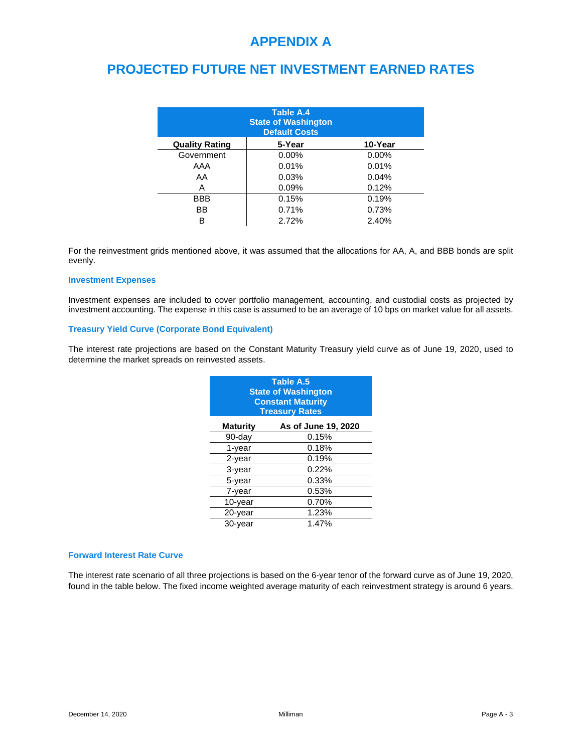### **PROJECTED FUTURE NET INVESTMENT EARNED RATES**

| Table A.4<br><b>State of Washington</b><br><b>Default Costs</b> |          |          |  |  |  |  |  |  |  |
|-----------------------------------------------------------------|----------|----------|--|--|--|--|--|--|--|
| <b>Quality Rating</b>                                           | 5-Year   | 10-Year  |  |  |  |  |  |  |  |
| Government                                                      | $0.00\%$ | $0.00\%$ |  |  |  |  |  |  |  |
| AAA                                                             | 0.01%    | 0.01%    |  |  |  |  |  |  |  |
| AA                                                              | 0.03%    | 0.04%    |  |  |  |  |  |  |  |
| A                                                               | 0.09%    | 0.12%    |  |  |  |  |  |  |  |
| <b>BBB</b>                                                      | 0.15%    | 0.19%    |  |  |  |  |  |  |  |
| BB                                                              | 0.71%    | 0.73%    |  |  |  |  |  |  |  |
| в                                                               | 2.72%    | 2.40%    |  |  |  |  |  |  |  |

For the reinvestment grids mentioned above, it was assumed that the allocations for AA, A, and BBB bonds are split evenly.

#### **Investment Expenses**

Investment expenses are included to cover portfolio management, accounting, and custodial costs as projected by investment accounting. The expense in this case is assumed to be an average of 10 bps on market value for all assets.

#### **Treasury Yield Curve (Corporate Bond Equivalent)**

The interest rate projections are based on the Constant Maturity Treasury yield curve as of June 19, 2020, used to determine the market spreads on reinvested assets.

| <b>Table A.5</b><br><b>State of Washington</b><br><b>Constant Maturity</b><br><b>Treasury Rates</b> |       |  |  |  |  |  |  |
|-----------------------------------------------------------------------------------------------------|-------|--|--|--|--|--|--|
| As of June 19, 2020<br><b>Maturity</b>                                                              |       |  |  |  |  |  |  |
| $90$ -day                                                                                           | 0.15% |  |  |  |  |  |  |
| $1$ -year                                                                                           | 0.18% |  |  |  |  |  |  |
| $2$ -year                                                                                           | 0.19% |  |  |  |  |  |  |
| $3$ -year                                                                                           | 0.22% |  |  |  |  |  |  |
| 5-year                                                                                              | 0.33% |  |  |  |  |  |  |
| $7$ -year                                                                                           | 0.53% |  |  |  |  |  |  |
| 10-year                                                                                             | 0.70% |  |  |  |  |  |  |
| $20$ -year                                                                                          | 1.23% |  |  |  |  |  |  |
| 30-year                                                                                             | 1.47% |  |  |  |  |  |  |

#### **Forward Interest Rate Curve**

The interest rate scenario of all three projections is based on the 6-year tenor of the forward curve as of June 19, 2020, found in the table below. The fixed income weighted average maturity of each reinvestment strategy is around 6 years.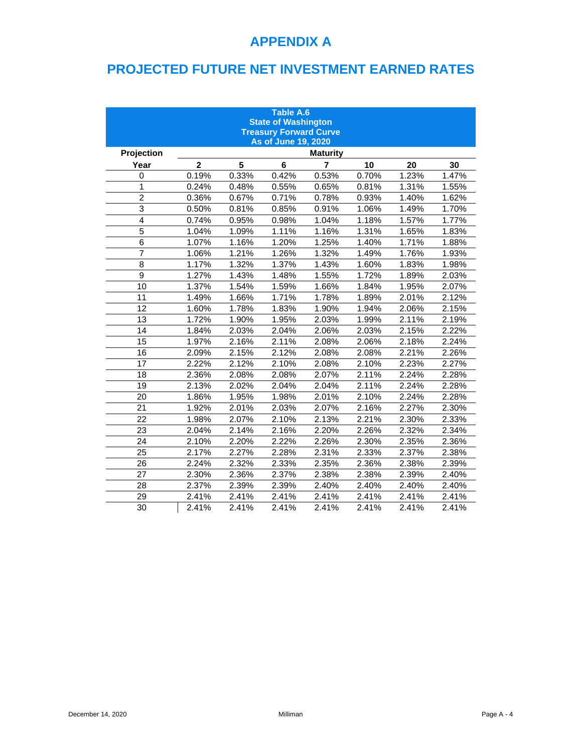# **PROJECTED FUTURE NET INVESTMENT EARNED RATES**

| <b>Table A.6</b><br><b>State of Washington</b><br><b>Treasury Forward Curve</b><br>As of June 19, 2020 |                |       |         |                 |       |       |       |  |  |  |
|--------------------------------------------------------------------------------------------------------|----------------|-------|---------|-----------------|-------|-------|-------|--|--|--|
| Projection                                                                                             |                |       |         | <b>Maturity</b> |       |       |       |  |  |  |
| Year                                                                                                   | $\overline{2}$ | 5     | $\bf 6$ | $\overline{7}$  | 10    | 20    | 30    |  |  |  |
| 0                                                                                                      | 0.19%          | 0.33% | 0.42%   | 0.53%           | 0.70% | 1.23% | 1.47% |  |  |  |
| 1                                                                                                      | 0.24%          | 0.48% | 0.55%   | 0.65%           | 0.81% | 1.31% | 1.55% |  |  |  |
| $\overline{2}$                                                                                         | 0.36%          | 0.67% | 0.71%   | 0.78%           | 0.93% | 1.40% | 1.62% |  |  |  |
| 3                                                                                                      | 0.50%          | 0.81% | 0.85%   | 0.91%           | 1.06% | 1.49% | 1.70% |  |  |  |
| $\overline{4}$                                                                                         | 0.74%          | 0.95% | 0.98%   | 1.04%           | 1.18% | 1.57% | 1.77% |  |  |  |
| 5                                                                                                      | 1.04%          | 1.09% | 1.11%   | 1.16%           | 1.31% | 1.65% | 1.83% |  |  |  |
| 6                                                                                                      | 1.07%          | 1.16% | 1.20%   | 1.25%           | 1.40% | 1.71% | 1.88% |  |  |  |
| $\overline{7}$                                                                                         | 1.06%          | 1.21% | 1.26%   | 1.32%           | 1.49% | 1.76% | 1.93% |  |  |  |
| 8                                                                                                      | 1.17%          | 1.32% | 1.37%   | 1.43%           | 1.60% | 1.83% | 1.98% |  |  |  |
| 9                                                                                                      | 1.27%          | 1.43% | 1.48%   | 1.55%           | 1.72% | 1.89% | 2.03% |  |  |  |
| 10                                                                                                     | 1.37%          | 1.54% | 1.59%   | 1.66%           | 1.84% | 1.95% | 2.07% |  |  |  |
| 11                                                                                                     | 1.49%          | 1.66% | 1.71%   | 1.78%           | 1.89% | 2.01% | 2.12% |  |  |  |
| 12                                                                                                     | 1.60%          | 1.78% | 1.83%   | 1.90%           | 1.94% | 2.06% | 2.15% |  |  |  |
| 13                                                                                                     | 1.72%          | 1.90% | 1.95%   | 2.03%           | 1.99% | 2.11% | 2.19% |  |  |  |
| 14                                                                                                     | 1.84%          | 2.03% | 2.04%   | 2.06%           | 2.03% | 2.15% | 2.22% |  |  |  |
| 15                                                                                                     | 1.97%          | 2.16% | 2.11%   | 2.08%           | 2.06% | 2.18% | 2.24% |  |  |  |
| 16                                                                                                     | 2.09%          | 2.15% | 2.12%   | 2.08%           | 2.08% | 2.21% | 2.26% |  |  |  |
| 17                                                                                                     | 2.22%          | 2.12% | 2.10%   | 2.08%           | 2.10% | 2.23% | 2.27% |  |  |  |
| 18                                                                                                     | 2.36%          | 2.08% | 2.08%   | 2.07%           | 2.11% | 2.24% | 2.28% |  |  |  |
| 19                                                                                                     | 2.13%          | 2.02% | 2.04%   | 2.04%           | 2.11% | 2.24% | 2.28% |  |  |  |
| 20                                                                                                     | 1.86%          | 1.95% | 1.98%   | 2.01%           | 2.10% | 2.24% | 2.28% |  |  |  |
| 21                                                                                                     | 1.92%          | 2.01% | 2.03%   | 2.07%           | 2.16% | 2.27% | 2.30% |  |  |  |
| 22                                                                                                     | 1.98%          | 2.07% | 2.10%   | 2.13%           | 2.21% | 2.30% | 2.33% |  |  |  |
| 23                                                                                                     | 2.04%          | 2.14% | 2.16%   | 2.20%           | 2.26% | 2.32% | 2.34% |  |  |  |
| 24                                                                                                     | 2.10%          | 2.20% | 2.22%   | 2.26%           | 2.30% | 2.35% | 2.36% |  |  |  |
| 25                                                                                                     | 2.17%          | 2.27% | 2.28%   | 2.31%           | 2.33% | 2.37% | 2.38% |  |  |  |
| 26                                                                                                     | 2.24%          | 2.32% | 2.33%   | 2.35%           | 2.36% | 2.38% | 2.39% |  |  |  |
| 27                                                                                                     | 2.30%          | 2.36% | 2.37%   | 2.38%           | 2.38% | 2.39% | 2.40% |  |  |  |
| 28                                                                                                     | 2.37%          | 2.39% | 2.39%   | 2.40%           | 2.40% | 2.40% | 2.40% |  |  |  |
| 29                                                                                                     | 2.41%          | 2.41% | 2.41%   | 2.41%           | 2.41% | 2.41% | 2.41% |  |  |  |
| 30                                                                                                     | 2.41%          | 2.41% | 2.41%   | 2.41%           | 2.41% | 2.41% | 2.41% |  |  |  |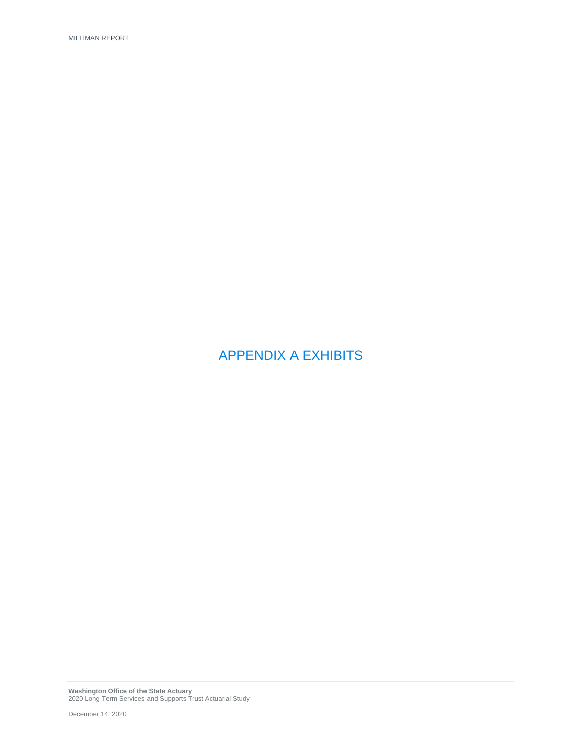APPENDIX A EXHIBITS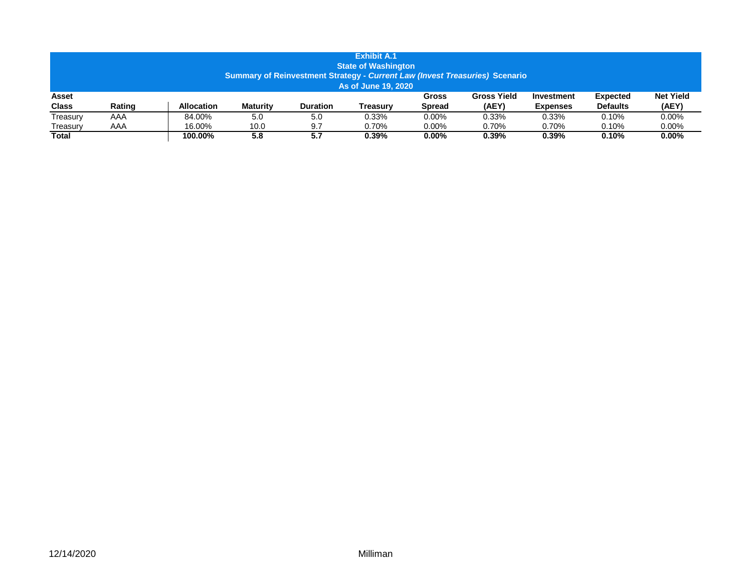| <b>Exhibit A.1</b><br><b>State of Washington</b><br>Summary of Reinvestment Strategy - Current Law (Invest Treasuries) Scenario<br>As of June 19, 2020 |        |                   |                 |                 |          |                 |                             |                               |                                    |                           |
|--------------------------------------------------------------------------------------------------------------------------------------------------------|--------|-------------------|-----------------|-----------------|----------|-----------------|-----------------------------|-------------------------------|------------------------------------|---------------------------|
| Asset<br><b>Class</b>                                                                                                                                  | Rating | <b>Allocation</b> | <b>Maturity</b> | <b>Duration</b> | Treasurv | Gross<br>Spread | <b>Gross Yield</b><br>(AEY) | Investment<br><b>Expenses</b> | <b>Expected</b><br><b>Defaults</b> | <b>Net Yield</b><br>(AEY) |
|                                                                                                                                                        |        |                   |                 |                 |          |                 |                             |                               |                                    |                           |
| Treasury                                                                                                                                               | AAA    | 84.00%            | 5.0             | 5.0             | 0.33%    | $0.00\%$        | 0.33%                       | 0.33%                         | 0.10%                              | $0.00\%$                  |
| Treasurv                                                                                                                                               | AAA    | 16.00%            | 10.0            | 9.7             | 0.70%    | $0.00\%$        | 0.70%                       | 0.70%                         | 0.10%                              | 0.00%                     |
| Total                                                                                                                                                  |        | 100.00%           | 5.8             | 5.7             | $0.39\%$ | $0.00\%$        | 0.39%                       | 0.39%                         | 0.10%                              | $0.00\%$                  |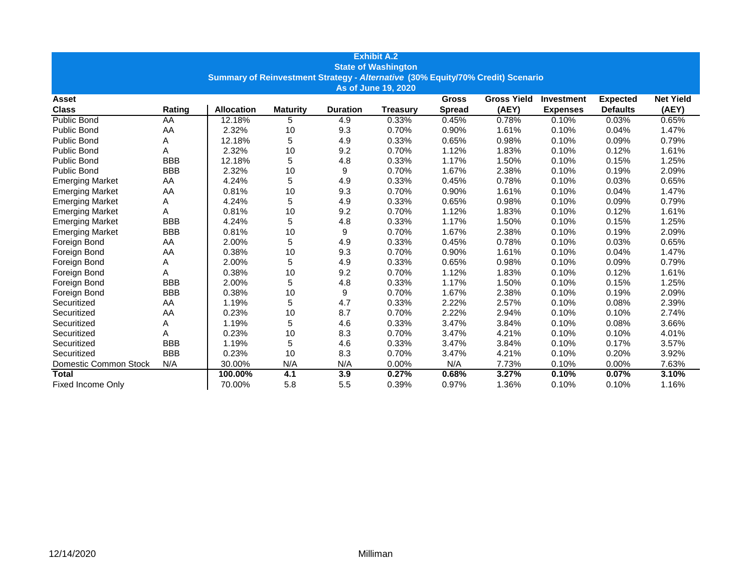| <b>Exhibit A.2</b>                                                              |            |                   |                 |                 |                 |               |                    |                   |                 |                  |  |
|---------------------------------------------------------------------------------|------------|-------------------|-----------------|-----------------|-----------------|---------------|--------------------|-------------------|-----------------|------------------|--|
| <b>State of Washington</b>                                                      |            |                   |                 |                 |                 |               |                    |                   |                 |                  |  |
| Summary of Reinvestment Strategy - Alternative (30% Equity/70% Credit) Scenario |            |                   |                 |                 |                 |               |                    |                   |                 |                  |  |
| As of June 19, 2020                                                             |            |                   |                 |                 |                 |               |                    |                   |                 |                  |  |
| Asset                                                                           |            |                   |                 |                 |                 | <b>Gross</b>  | <b>Gross Yield</b> | <b>Investment</b> | <b>Expected</b> | <b>Net Yield</b> |  |
| <b>Class</b>                                                                    | Rating     | <b>Allocation</b> | <b>Maturity</b> | <b>Duration</b> | <b>Treasury</b> | <b>Spread</b> | (AEY)              | <b>Expenses</b>   | <b>Defaults</b> | (AEY)            |  |
| Public Bond                                                                     | AA         | 12.18%            | 5               | 4.9             | 0.33%           | 0.45%         | 0.78%              | 0.10%             | 0.03%           | 0.65%            |  |
| Public Bond                                                                     | AA         | 2.32%             | 10              | 9.3             | 0.70%           | 0.90%         | 1.61%              | 0.10%             | 0.04%           | 1.47%            |  |
| <b>Public Bond</b>                                                              | Α          | 12.18%            | 5               | 4.9             | 0.33%           | 0.65%         | 0.98%              | 0.10%             | 0.09%           | 0.79%            |  |
| <b>Public Bond</b>                                                              | A          | 2.32%             | 10              | 9.2             | 0.70%           | 1.12%         | 1.83%              | 0.10%             | 0.12%           | 1.61%            |  |
| <b>Public Bond</b>                                                              | <b>BBB</b> | 12.18%            | 5               | 4.8             | 0.33%           | 1.17%         | 1.50%              | 0.10%             | 0.15%           | 1.25%            |  |
| Public Bond                                                                     | <b>BBB</b> | 2.32%             | 10              | 9               | 0.70%           | 1.67%         | 2.38%              | 0.10%             | 0.19%           | 2.09%            |  |
| <b>Emerging Market</b>                                                          | AA         | 4.24%             | 5               | 4.9             | 0.33%           | 0.45%         | 0.78%              | 0.10%             | 0.03%           | 0.65%            |  |
| <b>Emerging Market</b>                                                          | AA         | 0.81%             | 10              | 9.3             | 0.70%           | 0.90%         | 1.61%              | 0.10%             | 0.04%           | 1.47%            |  |
| <b>Emerging Market</b>                                                          | Α          | 4.24%             | 5               | 4.9             | 0.33%           | 0.65%         | 0.98%              | 0.10%             | 0.09%           | 0.79%            |  |
| <b>Emerging Market</b>                                                          | А          | 0.81%             | 10              | 9.2             | 0.70%           | 1.12%         | 1.83%              | 0.10%             | 0.12%           | 1.61%            |  |
| <b>Emerging Market</b>                                                          | <b>BBB</b> | 4.24%             | 5               | 4.8             | 0.33%           | 1.17%         | 1.50%              | 0.10%             | 0.15%           | 1.25%            |  |
| <b>Emerging Market</b>                                                          | <b>BBB</b> | 0.81%             | 10              | 9               | 0.70%           | 1.67%         | 2.38%              | 0.10%             | 0.19%           | 2.09%            |  |
| Foreign Bond                                                                    | AA         | 2.00%             | 5               | 4.9             | 0.33%           | 0.45%         | 0.78%              | 0.10%             | 0.03%           | 0.65%            |  |
| Foreign Bond                                                                    | AA         | 0.38%             | 10              | 9.3             | 0.70%           | 0.90%         | 1.61%              | 0.10%             | 0.04%           | 1.47%            |  |
| Foreign Bond                                                                    | Α          | 2.00%             | 5               | 4.9             | 0.33%           | 0.65%         | 0.98%              | 0.10%             | 0.09%           | 0.79%            |  |
| Foreign Bond                                                                    | A          | 0.38%             | 10              | 9.2             | 0.70%           | 1.12%         | 1.83%              | 0.10%             | 0.12%           | 1.61%            |  |
| Foreign Bond                                                                    | <b>BBB</b> | 2.00%             | 5               | 4.8             | 0.33%           | 1.17%         | 1.50%              | 0.10%             | 0.15%           | 1.25%            |  |
| Foreign Bond                                                                    | <b>BBB</b> | 0.38%             | 10              | 9               | 0.70%           | 1.67%         | 2.38%              | 0.10%             | 0.19%           | 2.09%            |  |
| Securitized                                                                     | AA         | 1.19%             | 5               | 4.7             | 0.33%           | 2.22%         | 2.57%              | 0.10%             | 0.08%           | 2.39%            |  |
| Securitized                                                                     | AA         | 0.23%             | 10              | 8.7             | 0.70%           | 2.22%         | 2.94%              | 0.10%             | 0.10%           | 2.74%            |  |
| Securitized                                                                     | Α          | 1.19%             | 5               | 4.6             | 0.33%           | 3.47%         | 3.84%              | 0.10%             | 0.08%           | 3.66%            |  |
| Securitized                                                                     | A          | 0.23%             | 10              | 8.3             | 0.70%           | 3.47%         | 4.21%              | 0.10%             | 0.10%           | 4.01%            |  |
| Securitized                                                                     | <b>BBB</b> | 1.19%             | 5               | 4.6             | 0.33%           | 3.47%         | 3.84%              | 0.10%             | 0.17%           | 3.57%            |  |
| Securitized                                                                     | <b>BBB</b> | 0.23%             | 10              | 8.3             | 0.70%           | 3.47%         | 4.21%              | 0.10%             | 0.20%           | 3.92%            |  |
| Domestic Common Stock                                                           | N/A        | 30.00%            | N/A             | N/A             | 0.00%           | N/A           | 7.73%              | 0.10%             | 0.00%           | 7.63%            |  |
| <b>Total</b>                                                                    |            | 100.00%           | 4.1             | 3.9             | 0.27%           | 0.68%         | 3.27%              | 0.10%             | 0.07%           | 3.10%            |  |
| Fixed Income Only                                                               |            | 70.00%            | 5.8             | 5.5             | 0.39%           | 0.97%         | 1.36%              | 0.10%             | 0.10%           | 1.16%            |  |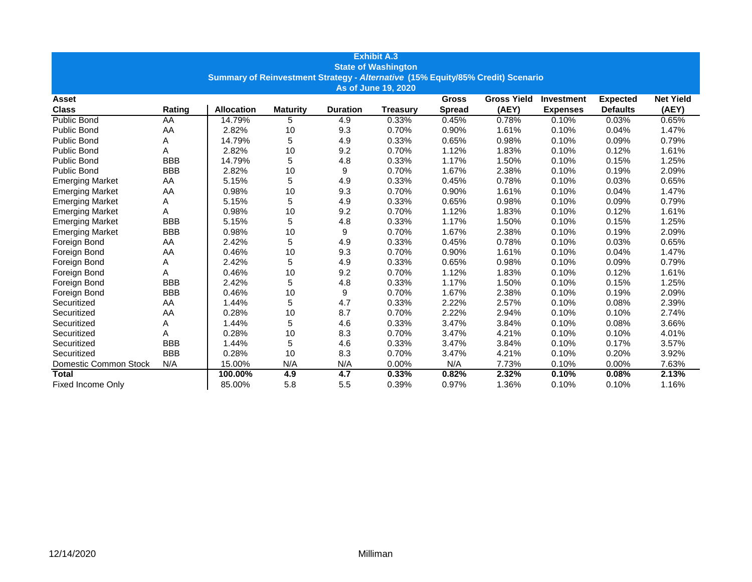| <b>Exhibit A.3</b>                                                              |            |                   |                 |                 |                 |               |                    |                   |                 |                  |  |
|---------------------------------------------------------------------------------|------------|-------------------|-----------------|-----------------|-----------------|---------------|--------------------|-------------------|-----------------|------------------|--|
| <b>State of Washington</b>                                                      |            |                   |                 |                 |                 |               |                    |                   |                 |                  |  |
| Summary of Reinvestment Strategy - Alternative (15% Equity/85% Credit) Scenario |            |                   |                 |                 |                 |               |                    |                   |                 |                  |  |
| As of June 19, 2020                                                             |            |                   |                 |                 |                 |               |                    |                   |                 |                  |  |
| Asset                                                                           |            |                   |                 |                 |                 | <b>Gross</b>  | <b>Gross Yield</b> | <b>Investment</b> | <b>Expected</b> | <b>Net Yield</b> |  |
| <b>Class</b>                                                                    | Rating     | <b>Allocation</b> | <b>Maturity</b> | <b>Duration</b> | <b>Treasury</b> | <b>Spread</b> | (AEY)              | <b>Expenses</b>   | <b>Defaults</b> | (AEY)            |  |
| Public Bond                                                                     | AA         | 14.79%            | 5               | 4.9             | 0.33%           | 0.45%         | 0.78%              | 0.10%             | 0.03%           | 0.65%            |  |
| Public Bond                                                                     | AA         | 2.82%             | 10              | 9.3             | 0.70%           | 0.90%         | 1.61%              | 0.10%             | 0.04%           | 1.47%            |  |
| <b>Public Bond</b>                                                              | A          | 14.79%            | 5               | 4.9             | 0.33%           | 0.65%         | 0.98%              | 0.10%             | 0.09%           | 0.79%            |  |
| <b>Public Bond</b>                                                              | Α          | 2.82%             | 10              | 9.2             | 0.70%           | 1.12%         | 1.83%              | 0.10%             | 0.12%           | 1.61%            |  |
| <b>Public Bond</b>                                                              | <b>BBB</b> | 14.79%            | 5               | 4.8             | 0.33%           | 1.17%         | 1.50%              | 0.10%             | 0.15%           | 1.25%            |  |
| Public Bond                                                                     | <b>BBB</b> | 2.82%             | 10              | 9               | 0.70%           | 1.67%         | 2.38%              | 0.10%             | 0.19%           | 2.09%            |  |
| <b>Emerging Market</b>                                                          | AA         | 5.15%             | 5               | 4.9             | 0.33%           | 0.45%         | 0.78%              | 0.10%             | 0.03%           | 0.65%            |  |
| <b>Emerging Market</b>                                                          | AA         | 0.98%             | 10              | 9.3             | 0.70%           | 0.90%         | 1.61%              | 0.10%             | 0.04%           | 1.47%            |  |
| <b>Emerging Market</b>                                                          | Α          | 5.15%             | 5               | 4.9             | 0.33%           | 0.65%         | 0.98%              | 0.10%             | 0.09%           | 0.79%            |  |
| <b>Emerging Market</b>                                                          | А          | 0.98%             | 10              | 9.2             | 0.70%           | 1.12%         | 1.83%              | 0.10%             | 0.12%           | 1.61%            |  |
| <b>Emerging Market</b>                                                          | <b>BBB</b> | 5.15%             | 5               | 4.8             | 0.33%           | 1.17%         | 1.50%              | 0.10%             | 0.15%           | 1.25%            |  |
| <b>Emerging Market</b>                                                          | <b>BBB</b> | 0.98%             | 10              | 9               | 0.70%           | 1.67%         | 2.38%              | 0.10%             | 0.19%           | 2.09%            |  |
| Foreign Bond                                                                    | AA         | 2.42%             | 5               | 4.9             | 0.33%           | 0.45%         | 0.78%              | 0.10%             | 0.03%           | 0.65%            |  |
| Foreign Bond                                                                    | AA         | 0.46%             | 10              | 9.3             | 0.70%           | 0.90%         | 1.61%              | 0.10%             | 0.04%           | 1.47%            |  |
| Foreign Bond                                                                    | Α          | 2.42%             | 5               | 4.9             | 0.33%           | 0.65%         | 0.98%              | 0.10%             | 0.09%           | 0.79%            |  |
| Foreign Bond                                                                    | A          | 0.46%             | 10              | 9.2             | 0.70%           | 1.12%         | 1.83%              | 0.10%             | 0.12%           | 1.61%            |  |
| Foreign Bond                                                                    | <b>BBB</b> | 2.42%             | 5               | 4.8             | 0.33%           | 1.17%         | 1.50%              | 0.10%             | 0.15%           | 1.25%            |  |
| Foreign Bond                                                                    | <b>BBB</b> | 0.46%             | 10              | 9               | 0.70%           | 1.67%         | 2.38%              | 0.10%             | 0.19%           | 2.09%            |  |
| Securitized                                                                     | AA         | 1.44%             | 5               | 4.7             | 0.33%           | 2.22%         | 2.57%              | 0.10%             | 0.08%           | 2.39%            |  |
| Securitized                                                                     | AA         | 0.28%             | 10              | 8.7             | 0.70%           | 2.22%         | 2.94%              | 0.10%             | 0.10%           | 2.74%            |  |
| Securitized                                                                     | Α          | 1.44%             | 5               | 4.6             | 0.33%           | 3.47%         | 3.84%              | 0.10%             | 0.08%           | 3.66%            |  |
| Securitized                                                                     | A          | 0.28%             | 10              | 8.3             | 0.70%           | 3.47%         | 4.21%              | 0.10%             | 0.10%           | 4.01%            |  |
| Securitized                                                                     | <b>BBB</b> | 1.44%             | 5               | 4.6             | 0.33%           | 3.47%         | 3.84%              | 0.10%             | 0.17%           | 3.57%            |  |
| Securitized                                                                     | <b>BBB</b> | 0.28%             | 10              | 8.3             | 0.70%           | 3.47%         | 4.21%              | 0.10%             | 0.20%           | 3.92%            |  |
| Domestic Common Stock                                                           | N/A        | 15.00%            | N/A             | N/A             | 0.00%           | N/A           | 7.73%              | 0.10%             | 0.00%           | 7.63%            |  |
| <b>Total</b>                                                                    |            | 100.00%           | 4.9             | 4.7             | 0.33%           | 0.82%         | 2.32%              | 0.10%             | 0.08%           | 2.13%            |  |
| <b>Fixed Income Only</b>                                                        |            | 85.00%            | 5.8             | 5.5             | 0.39%           | 0.97%         | 1.36%              | 0.10%             | 0.10%           | 1.16%            |  |